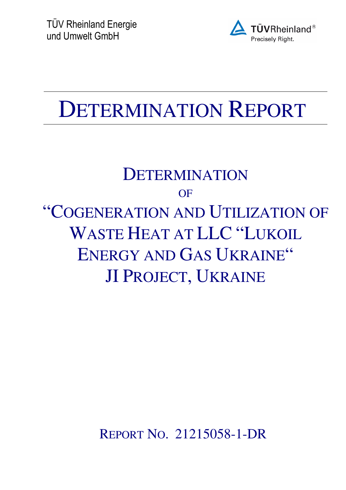

# DETERMINATION REPORT

## **DETERMINATION** OF "COGENERATION AND UTILIZATION OF WASTE HEAT AT LLC "LUKOIL ENERGY AND GAS UKRAINE" JI PROJECT, UKRAINE

REPORT NO. 21215058-1-DR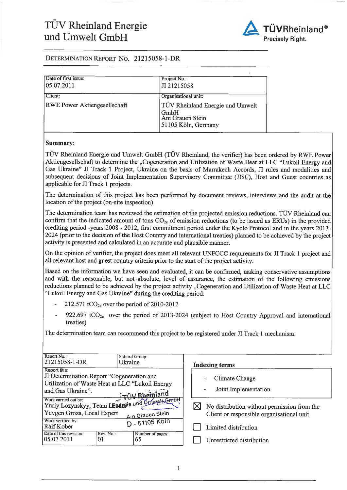

| Date of first issue:                           | Project No.:                                                                                               |
|------------------------------------------------|------------------------------------------------------------------------------------------------------------|
| 05.07.2011                                     | Л 21215058                                                                                                 |
| Client:<br><b>RWE Power Aktiengesellschaft</b> | Organisational unit:<br>TÜV Rheinland Energie und Umwelt<br>GmbH<br>Am Grauen Stein<br>51105 Köln, Germany |

#### Summary:

TÜV Rheinland Energie und Umwelt GmbH (TÜV Rheinland, the verifier) has been ordered by RWE Power Aktiengesellschaft to determine the "Cogeneration and Utilization of Waste Heat at LLC "Lukoil Energy and Gas Ukraine" JI Track 1 Project, Ukraine on the basis of Marrakech Accords, JI rules and modalities and subsequent decisions of Joint Implementation Supervisory Committee (JISC), Host and Guest countries as applicable for JI Track 1 projects.

The determination of this project has been performed by document reviews, interviews and the audit at the location of the project (on-site inspection).

The determination team has reviewed the estimation of the projected emission reductions. TÜV Rheinland can confirm that the indicated amount of tons  $CO<sub>2e</sub>$  of emission reductions (to be issued as ERUs) in the provided crediting period -years 2008 - 2012, first commitment period under the Kyoto Protocol and in the years 2013-2024 (prior to the decision of the Host Country and international treaties) planned to be achieved by the project activity is presented and calculated in an accurate and plausible manner.

On the opinion of verifier, the project does meet all relevant UNFCCC requirements for JI Track 1 project and all relevant host and guest country criteria prior to the start of the project activity.

Based on the information we have seen and evaluated, it can be confirmed, making conservative assumptions and with the reasonable, but not absolute, level of assurance, the estimation of the following emissions reductions planned to be achieved by the project activity "Cogeneration and Utilization of Waste Heat at LLC "Lukoil Energy and Gas Ukraine" during the crediting period:

- 212.571 tCO<sub>2e</sub> over the period of 2010-2012
- 922.697 tCO<sub>2e</sub> over the period of 2013-2024 (subject to Host Country Approval and international treaties)

The determination team can recommend this project to be registered under JI Track 1 mechanism.

| Report No.:<br>21215058-1-DR                                                                                                                        | Subject Group:<br>Ukraine | <b>Indexing terms</b>                                                                    |
|-----------------------------------------------------------------------------------------------------------------------------------------------------|---------------------------|------------------------------------------------------------------------------------------|
| Report title:<br>JI Determination Report "Cogeneration and<br>Utilization of Waste Heat at LLC "Lukoil Energy<br>and Gas Ukraine".<br>TÜV Rheimland |                           | Climate Change<br>Joint Implementation                                                   |
| Work carried out by:<br>Yuriy Lozynskyy, Team Lendesie und Unwelt-GmbH<br>Yevgen Groza, Local Expert<br>Am Grauen Stein                             |                           | No distribution without permission from the<br>Client or responsible organisational unit |
| Work verified by:<br>Ralf Kober                                                                                                                     | D - 51105 Köln            | Limited distribution                                                                     |
| Date of this revision:<br>Rev. No.<br>105.07.2011<br>01                                                                                             | Number of pages:<br>65    | Unrestricted distribution                                                                |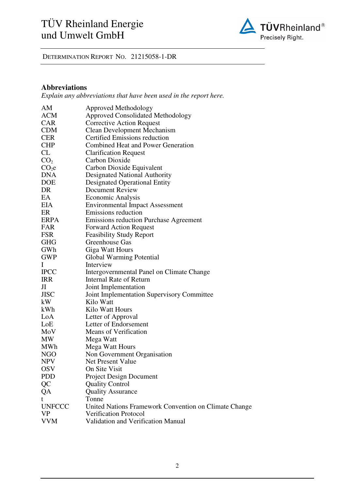

#### **Abbreviations**

*Explain any abbreviations that have been used in the report here.* 

| AM                | Approved Methodology                                  |
|-------------------|-------------------------------------------------------|
| <b>ACM</b>        | <b>Approved Consolidated Methodology</b>              |
| <b>CAR</b>        | <b>Corrective Action Request</b>                      |
| <b>CDM</b>        | <b>Clean Development Mechanism</b>                    |
| <b>CER</b>        | Certified Emissions reduction                         |
| <b>CHP</b>        | <b>Combined Heat and Power Generation</b>             |
| CL                | <b>Clarification Request</b>                          |
| CO <sub>2</sub>   | Carbon Dioxide                                        |
| CO <sub>2</sub> e | Carbon Dioxide Equivalent                             |
| <b>DNA</b>        | Designated National Authority                         |
| <b>DOE</b>        | <b>Designated Operational Entity</b>                  |
| DR                | <b>Document Review</b>                                |
| EA                | <b>Economic Analysis</b>                              |
| <b>EIA</b>        | <b>Environmental Impact Assessment</b>                |
| ER                | Emissions reduction                                   |
| <b>ERPA</b>       | <b>Emissions reduction Purchase Agreement</b>         |
| FAR               | <b>Forward Action Request</b>                         |
| <b>FSR</b>        | <b>Feasibility Study Report</b>                       |
| <b>GHG</b>        | Greenhouse Gas                                        |
| GWh               | Giga Watt Hours                                       |
| <b>GWP</b>        | <b>Global Warming Potential</b>                       |
| Ι                 | Interview                                             |
| <b>IPCC</b>       | Intergovernmental Panel on Climate Change             |
| <b>IRR</b>        | <b>Internal Rate of Return</b>                        |
| Л                 | Joint Implementation                                  |
| <b>JISC</b>       | Joint Implementation Supervisory Committee            |
| kW                | Kilo Watt                                             |
| kWh               | Kilo Watt Hours                                       |
| LoA               | Letter of Approval                                    |
| LoE               | Letter of Endorsement                                 |
| MoV               | Means of Verification                                 |
| MW                | Mega Watt                                             |
| MWh               | Mega Watt Hours                                       |
| <b>NGO</b>        | Non Government Organisation                           |
| <b>NPV</b>        | <b>Net Present Value</b>                              |
| <b>OSV</b>        | On Site Visit                                         |
| <b>PDD</b>        | <b>Project Design Document</b>                        |
| QC                | <b>Quality Control</b>                                |
| QA                | <b>Quality Assurance</b>                              |
| t                 | Tonne                                                 |
| <b>UNFCCC</b>     | United Nations Framework Convention on Climate Change |
| <b>VP</b>         | Verification Protocol                                 |
| <b>VVM</b>        | Validation and Verification Manual                    |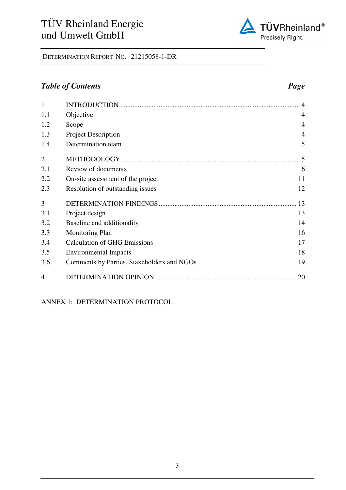

DETERMINATION REPORT NO. 21215058-1-DR

### *Table of Contents Page*

| $\mathbf{1}$   |                                            |                         |
|----------------|--------------------------------------------|-------------------------|
| 1.1            | Objective                                  | $\overline{4}$          |
| 1.2            | Scope                                      | $\overline{4}$          |
| 1.3            | <b>Project Description</b>                 | $\overline{4}$          |
| 1.4            | Determination team                         | 5                       |
| $\overline{2}$ |                                            | $\overline{\mathbf{5}}$ |
| 2.1            | Review of documents                        | 6                       |
| 2.2            | On-site assessment of the project          | 11                      |
| 2.3            | Resolution of outstanding issues           | 12                      |
| 3              |                                            | 13                      |
| 3.1            | Project design                             | 13                      |
| 3.2            | Baseline and additionality                 | 14                      |
| 3.3            | <b>Monitoring Plan</b>                     | 16                      |
| 3.4            | <b>Calculation of GHG Emissions</b>        | 17                      |
| 3.5            | <b>Environmental Impacts</b>               | 18                      |
| 3.6            | Comments by Parties, Stakeholders and NGOs | 19                      |
| 4              |                                            | 20                      |

ANNEX 1: DETERMINATION PROTOCOL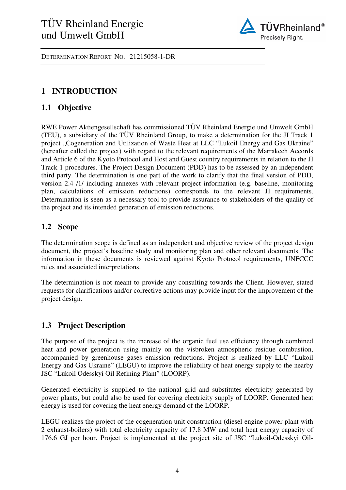

#### **1 INTRODUCTION**

#### **1.1 Objective**

RWE Power Aktiengesellschaft has commissioned TÜV Rheinland Energie und Umwelt GmbH (TEU), a subsidiary of the TÜV Rheinland Group, to make a determination for the JI Track 1 project "Cogeneration and Utilization of Waste Heat at LLC "Lukoil Energy and Gas Ukraine" (hereafter called the project) with regard to the relevant requirements of the Marrakech Accords and Article 6 of the Kyoto Protocol and Host and Guest country requirements in relation to the JI Track 1 procedures. The Project Design Document (PDD) has to be assessed by an independent third party. The determination is one part of the work to clarify that the final version of PDD, version 2.4 /1/ including annexes with relevant project information (e.g. baseline, monitoring plan, calculations of emission reductions) corresponds to the relevant JI requirements. Determination is seen as a necessary tool to provide assurance to stakeholders of the quality of the project and its intended generation of emission reductions.

#### **1.2 Scope**

The determination scope is defined as an independent and objective review of the project design document, the project's baseline study and monitoring plan and other relevant documents. The information in these documents is reviewed against Kyoto Protocol requirements, UNFCCC rules and associated interpretations.

The determination is not meant to provide any consulting towards the Client. However, stated requests for clarifications and/or corrective actions may provide input for the improvement of the project design.

#### **1.3 Project Description**

The purpose of the project is the increase of the organic fuel use efficiency through combined heat and power generation using mainly on the visbroken atmospheric residue combustion, accompanied by greenhouse gases emission reductions. Project is realized by LLC "Lukoil Energy and Gas Ukraine" (LEGU) to improve the reliability of heat energy supply to the nearby JSC "Lukoil Odesskyi Oil Refining Plant" (LOORP).

Generated electricity is supplied to the national grid and substitutes electricity generated by power plants, but could also be used for covering electricity supply of LOORP. Generated heat energy is used for covering the heat energy demand of the LOORP.

LEGU realizes the project of the cogeneration unit construction (diesel engine power plant with 2 exhaust-boilers) with total electricity capacity of 17.8 MW and total heat energy capacity of 176.6 GJ per hour. Project is implemented at the project site of JSC "Lukoil-Odesskyi Oil-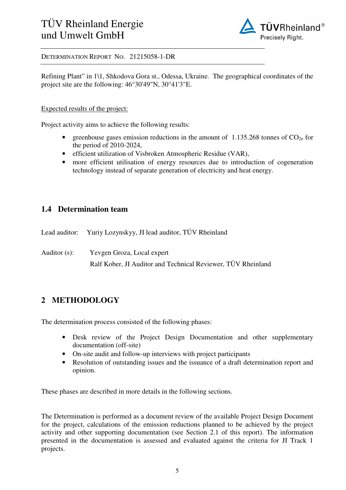

Refining Plant" in 1\1, Shkodova Gora st., Odessa, Ukraine. The geographical coordinates of the project site are the following: 46°30'49"N, 30°41'3"E.

#### Expected results of the project:

Project activity aims to achieve the following results:

- greenhouse gases emission reductions in the amount of  $1.135.268$  tonnes of  $CO<sub>2e</sub>$  for the period of 2010-2024,
- efficient utilization of Visbroken Atmospheric Residue (VAR),
- more efficient utilisation of energy resources due to introduction of cogeneration technology instead of separate generation of electricity and heat energy.

#### **1.4 Determination team**

Lead auditor: Yuriy Lozynskyy, JI lead auditor, TÜV Rheinland

Auditor (s): Yevgen Groza, Local expert

Ralf Kober, JI Auditor and Technical Reviewer, TÜV Rheinland

#### **2 METHODOLOGY**

The determination process consisted of the following phases:

- Desk review of the Project Design Documentation and other supplementary documentation (off-site)
- On-site audit and follow-up interviews with project participants
- Resolution of outstanding issues and the issuance of a draft determination report and opinion.

These phases are described in more details in the following sections.

The Determination is performed as a document review of the available Project Design Document for the project, calculations of the emission reductions planned to be achieved by the project activity and other supporting documentation (see Section 2.1 of this report). The information presented in the documentation is assessed and evaluated against the criteria for JI Track 1 projects.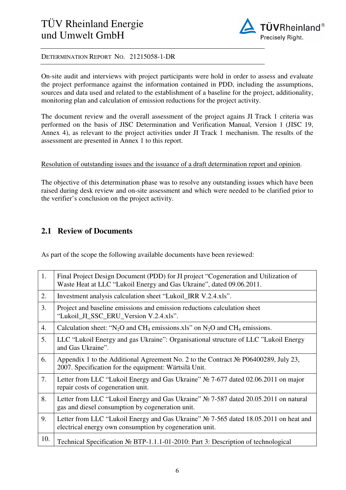

DETERMINATION REPORT NO. 21215058-1-DR

On-site audit and interviews with project participants were hold in order to assess and evaluate the project performance against the information contained in PDD, including the assumptions, sources and data used and related to the establishment of a baseline for the project, additionality, monitoring plan and calculation of emission reductions for the project activity.

The document review and the overall assessment of the project agains JI Track 1 criteria was performed on the basis of JISC Determination and Verification Manual, Version 1 (JISC 19, Annex 4), as relevant to the project activities under JI Track 1 mechanism. The results of the assessment are presented in Annex 1 to this report.

#### Resolution of outstanding issues and the issuance of a draft determination report and opinion.

The objective of this determination phase was to resolve any outstanding issues which have been raised during desk review and on-site assessment and which were needed to be clarified prior to the verifier's conclusion on the project activity.

#### **2.1 Review of Documents**

As part of the scope the following available documents have been reviewed:

| 1.  | Final Project Design Document (PDD) for JI project "Cogeneration and Utilization of<br>Waste Heat at LLC "Lukoil Energy and Gas Ukraine", dated 09.06.2011. |
|-----|-------------------------------------------------------------------------------------------------------------------------------------------------------------|
| 2.  | Investment analysis calculation sheet "Lukoil_IRR V.2.4.xls".                                                                                               |
| 3.  | Project and baseline emissions and emission reductions calculation sheet<br>"Lukoil JI SSC ERU Version V.2.4.xls".                                          |
| 4.  | Calculation sheet: "N <sub>2</sub> O and CH <sub>4</sub> emissions.xls" on N <sub>2</sub> O and CH <sub>4</sub> emissions.                                  |
| 5.  | LLC "Lukoil Energy and gas Ukraine": Organisational structure of LLC "Lukoil Energy<br>and Gas Ukraine".                                                    |
| 6.  | Appendix 1 to the Additional Agreement No. 2 to the Contract № P06400289, July 23,<br>2007. Specification for the equipment: Wärtsilä Unit.                 |
| 7.  | Letter from LLC "Lukoil Energy and Gas Ukraine" $N_2$ 7-677 dated 02.06.2011 on major<br>repair costs of cogeneration unit.                                 |
| 8.  | Letter from LLC "Lukoil Energy and Gas Ukraine" $N_2$ 7-587 dated 20.05.2011 on natural<br>gas and diesel consumption by cogeneration unit.                 |
| 9.  | Letter from LLC "Lukoil Energy and Gas Ukraine" № 7-565 dated 18.05.2011 on heat and<br>electrical energy own consumption by cogeneration unit.             |
| 10. | Technical Specification $\mathbb{N}^{\circ}$ BTP-1.1.1-01-2010: Part 3: Description of technological                                                        |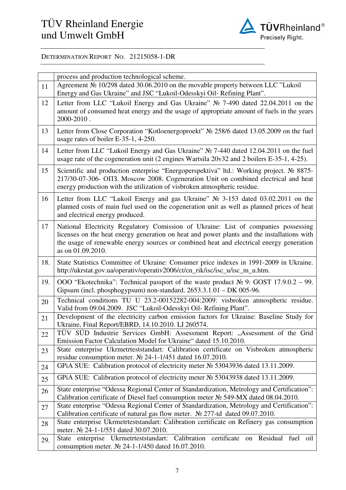

|     | process and production technological scheme.                                                                                                                                                                                                                                                     |
|-----|--------------------------------------------------------------------------------------------------------------------------------------------------------------------------------------------------------------------------------------------------------------------------------------------------|
| 11  | Agreement № 10/298 dated 30.06.2010 on the movable property between LLC "Lukoil<br>Energy and Gas Ukraine" and JSC "Lukoil-Odesskyi Oil- Refining Plant".                                                                                                                                        |
| 12  | Letter from LLC "Lukoil Energy and Gas Ukraine" № 7-490 dated 22.04.2011 on the<br>amount of consumed heat energy and the usage of appropriate amount of fuels in the years<br>2000-2010.                                                                                                        |
| 13  | Letter from Close Corporation "Kotloenergoproekt" № 258/6 dated 13.05.2009 on the fuel<br>usage rates of boiler E-35-1, 4-250.                                                                                                                                                                   |
| 14  | Letter from LLC "Lukoil Energy and Gas Ukraine" № 7-440 dated 12.04.2011 on the fuel<br>usage rate of the cogeneration unit (2 engines Wartsila 20v32 and 2 boilers E-35-1, 4-25).                                                                                                               |
| 15  | Scientific and production enterprise "Energoperspektiva" ltd.: Working project. № 8875-<br>217/30-07-306- OIT3. Moscow 2008. Cogeneration Unit on combined electrical and heat<br>energy production with the utilization of visbroken atmospheric residue.                                       |
| 16  | Letter from LLC "Lukoil Energy and gas Ukraine" $\mathcal{N}_2$ 3-153 dated 03.02.2011 on the<br>planned costs of main fuel used on the cogeneration unit as well as planned prices of heat<br>and electrical energy produced.                                                                   |
| 17  | National Electricity Regulatory Comission of Ukraine: List of companies possessing<br>licenses on the heat energy generation on heat and power plants and the installations with<br>the usage of renewable energy sources or combined heat and electrical energy generation<br>as on 01.09.2010. |
| 18. | State Statistics Committee of Ukraine: Consumer price indexes in 1991-2009 in Ukraine.<br>http://ukrstat.gov.ua/operativ/operativ2006/ct/cn_rik/isc/isc_u/isc_m_u.htm.                                                                                                                           |
| 19. | OOO "Ekotechnika": Technical passport of the waste product $N_2$ 9: GOST 17.9.0.2 – 99.<br>Gipsum (incl. phosphogypsum) non-standard. 2653.3.1.01 - DK 005-96.                                                                                                                                   |
| 20  | Technical conditions TU U 23.2-00152282-004:2009: visbroken atmospheric residue.<br>Valid from 09.04.2009. JSC "Lukoil-Odesskyi Oil- Refining Plant".                                                                                                                                            |
| 21  | Development of the electricity carbon emission factors for Ukraine: Baseline Study for<br>Ukraine, Final Report/EBRD, 14.10.2010. LI 260574.                                                                                                                                                     |
| 22  | TÜV SÜD Industrie Services GmbH: Assessment Report: "Assessment of the Grid<br>Emission Factor Calculation Model for Ukraine" dated 15.10.2010.                                                                                                                                                  |
| 23  | State enterprise Ukrmetrteststandart: Calibration certificate on Visbroken atmospheric<br>residue consumption meter. No 24-1-1/451 dated 16.07.2010.                                                                                                                                             |
| 24  | GPiA SUE: Calibration protocol of electricity meter № 53043936 dated 13.11.2009.                                                                                                                                                                                                                 |
| 25  | GPiA SUE: Calibration protocol of electricity meter № 53043938 dated 13.11.2009.                                                                                                                                                                                                                 |
| 26  | State enterprise "Odessa Regional Center of Standardization, Metrology and Certification":<br>Calibration certificate of Diesel fuel consumption meter № 549-MX dated 08.04.2010.                                                                                                                |
| 27  | State enterprise "Odessa Regional Center of Standardization, Metrology and Certification":<br>Calibration certificate of natural gas flow meter. No 277-td dated 09.07.2010.                                                                                                                     |
| 28  | State enterprise Ukrmetrteststandart: Calibration certificate on Refinery gas consumption<br>meter. No 24-1-1/551 dated 30.07.2010.                                                                                                                                                              |
| 29. | State enterprise Ukrmetrteststandart: Calibration certificate on Residual fuel oil<br>consumption meter. № 24-1-1/450 dated 16.07.2010.                                                                                                                                                          |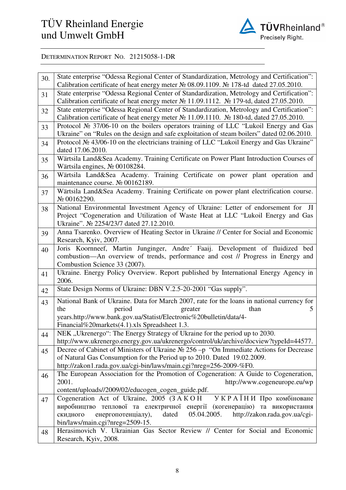

| 30. | State enterprise "Odessa Regional Center of Standardization, Metrology and Certification":                                                                                                 |
|-----|--------------------------------------------------------------------------------------------------------------------------------------------------------------------------------------------|
|     | Calibration certificate of heat energy meter № 08.09.1109. № 178-td dated 27.05.2010.                                                                                                      |
| 31  | State enterprise "Odessa Regional Center of Standardization, Metrology and Certification":                                                                                                 |
|     | Calibration certificate of heat energy meter № 11.09.1112. № 179-td, dated 27.05.2010.                                                                                                     |
| 32  | State enterprise "Odessa Regional Center of Standardization, Metrology and Certification":                                                                                                 |
|     | Calibration certificate of heat energy meter № 11.09.1110. № 180-td, dated 27.05.2010.                                                                                                     |
| 33  | Protocol № 37/06-10 on the boilers operators training of LLC "Lukoil Energy and Gas                                                                                                        |
|     | Ukraine" on "Rules on the design and safe exploitation of steam boilers" dated 02.06.2010.                                                                                                 |
| 34  | Protocol № 43/06-10 on the electricians training of LLC "Lukoil Energy and Gas Ukraine"                                                                                                    |
|     | dated 17.06.2010.                                                                                                                                                                          |
| 35  | Wärtsila Land&Sea Academy. Training Certificate on Power Plant Introduction Courses of                                                                                                     |
|     | Wärtsila engines, No 00108284.                                                                                                                                                             |
| 36  | Wärtsila Land&Sea Academy. Training Certificate on power plant operation and                                                                                                               |
|     | maintenance course. Nº 00162189.<br>Wärtsila Land&Sea Academy. Training Certificate on power plant electrification course.                                                                 |
| 37  | № 00162290.                                                                                                                                                                                |
| 38  | National Environmental Investment Agency of Ukraine: Letter of endorsement for JI                                                                                                          |
|     | Project "Cogeneration and Utilization of Waste Heat at LLC "Lukoil Energy and Gas                                                                                                          |
|     | Ukraine". № 2254/23/7 dated 27.12.2010.                                                                                                                                                    |
| 39  | Anna Tsarenko. Overview of Heating Sector in Ukraine // Center for Social and Economic                                                                                                     |
|     | Research, Kyiv, 2007.                                                                                                                                                                      |
| 40  | Joris Koornneef, Martin Junginger, Andre <sup>c</sup> Faaij. Development of fluidized bed                                                                                                  |
|     | combustion-An overview of trends, performance and cost // Progress in Energy and                                                                                                           |
|     | Combustion Science 33 (2007).                                                                                                                                                              |
| 41  | Ukraine. Energy Policy Overview. Report published by International Energy Agency in<br>2006.                                                                                               |
|     | State Design Norms of Ukraine: DBN V.2.5-20-2001 "Gas supply".                                                                                                                             |
| 42  |                                                                                                                                                                                            |
| 43  | National Bank of Ukraine. Data for March 2007, rate for the loans in national currency for                                                                                                 |
|     | period<br>the<br>greater<br>than<br>5                                                                                                                                                      |
|     | years.http://www.bank.gov.ua/Statist/Electronic%20bulletin/data/4-                                                                                                                         |
|     | Financial%20markets(4.1).xls Spreadsheet 1.3.<br>NEK "Ukrenergo": The Energy Strategy of Ukraine for the period up to 2030.                                                                |
| 44  |                                                                                                                                                                                            |
|     | http://www.ukrenergo.energy.gov.ua/ukrenergo/control/uk/archive/docview?typeId=44577.<br>Decree of Cabinet of Ministers of Ukraine $\mathcal{N}$ 256 -p "On Immediate Actions for Decrease |
| 45  | of Natural Gas Consumption for the Period up to 2010. Dated 19.02.2009.                                                                                                                    |
|     | http://zakon1.rada.gov.ua/cgi-bin/laws/main.cgi?nreg=256-2009-%F0.                                                                                                                         |
| 46  | The European Association for the Promotion of Cogeneration: A Guide to Cogeneration,                                                                                                       |
|     | 2001.<br>http://www.cogeneurope.eu/wp                                                                                                                                                      |
|     | content/uploads//2009/02/educogen_cogen_guide.pdf.                                                                                                                                         |
| 47  | Cogeneration Act of Ukraine, 2005 (3 A K O H<br>УКРАЇНИ Про комбіноване                                                                                                                    |
|     | виробництво теплової та електричної енергії (когенерацію) та використання                                                                                                                  |
|     | http://zakon.rada.gov.ua/cgi-<br>енергопотенціалу),<br>dated<br>05.04.2005.<br>скидного                                                                                                    |
|     | bin/laws/main.cgi?nreg=2509-15.                                                                                                                                                            |
| 48  | Herasimovich V. Ukrainian Gas Sector Review // Center for Social and Economic                                                                                                              |
|     | Research, Kyiv, 2008.                                                                                                                                                                      |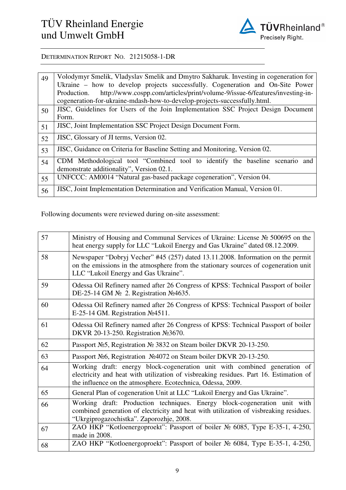

| 49 | Volodymyr Smelik, Vladyslav Smelik and Dmytro Sakharuk. Investing in cogeneration for      |  |
|----|--------------------------------------------------------------------------------------------|--|
|    | Ukraine – how to develop projects successfully. Cogeneration and On-Site Power             |  |
|    | http://www.cospp.com/articles/print/volume-9/issue-6/features/investing-in-<br>Production. |  |
|    | cogeneration-for-ukraine-mdash-how-to-develop-projects-successfully.html.                  |  |
| 50 | JISC, Guidelines for Users of the Join Implementation SSC Project Design Document          |  |
|    | Form.                                                                                      |  |
| 51 | JISC, Joint Implementation SSC Project Design Document Form.                               |  |
| 52 | JISC, Glossary of JI terms, Version 02.                                                    |  |
| 53 | JISC, Guidance on Criteria for Baseline Setting and Monitoring, Version 02.                |  |
| 54 | CDM Methodological tool "Combined tool to identify the baseline scenario and               |  |
|    | demonstrate additionality", Version 02.1.                                                  |  |
| 55 | UNFCCC: AM0014 "Natural gas-based package cogeneration", Version 04.                       |  |
| 56 | JISC, Joint Implementation Determination and Verification Manual, Version 01.              |  |

Following documents were reviewed during on-site assessment:

| 57 | Ministry of Housing and Communal Services of Ukraine: License № 500695 on the<br>heat energy supply for LLC "Lukoil Energy and Gas Ukraine" dated 08.12.2009.                                                                     |
|----|-----------------------------------------------------------------------------------------------------------------------------------------------------------------------------------------------------------------------------------|
| 58 | Newspaper "Dobryj Vecher" #45 (257) dated 13.11.2008. Information on the permit<br>on the emissions in the atmosphere from the stationary sources of cogeneration unit<br>LLC "Lukoil Energy and Gas Ukraine".                    |
| 59 | Odessa Oil Refinery named after 26 Congress of KPSS: Technical Passport of boiler<br>DE-25-14 GM № 2. Registration Nº4635.                                                                                                        |
| 60 | Odessa Oil Refinery named after 26 Congress of KPSS: Technical Passport of boiler<br>E-25-14 GM. Registration No.4511.                                                                                                            |
| 61 | Odessa Oil Refinery named after 26 Congress of KPSS: Technical Passport of boiler<br>DKVR 20-13-250. Registration No. 3670.                                                                                                       |
| 62 | Passport Nº5, Registration Nº 3832 on Steam boiler DKVR 20-13-250.                                                                                                                                                                |
| 63 | Passport Nº6, Registration Nº4072 on Steam boiler DKVR 20-13-250.                                                                                                                                                                 |
| 64 | Working draft: energy block-cogeneration unit with combined generation of<br>electricity and heat with utilization of visbreaking residues. Part 16. Estimation of<br>the influence on the atmosphere. Ecotechnica, Odessa, 2009. |
| 65 | General Plan of cogeneration Unit at LLC "Lukoil Energy and Gas Ukraine".                                                                                                                                                         |
| 66 | Working draft: Production techniques. Energy block-cogeneration unit with<br>combined generation of electricity and heat with utilization of visbreaking residues.<br>"Ukrgiprogazochistka". Zaporozhje, 2008.                    |
| 67 | ZAO HKP "Kotloenergoproekt": Passport of boiler № 6085, Type E-35-1, 4-250,<br>made in 2008.                                                                                                                                      |
| 68 | ZAO HKP "Kotloenergoproekt": Passport of boiler № 6084, Type E-35-1, 4-250,                                                                                                                                                       |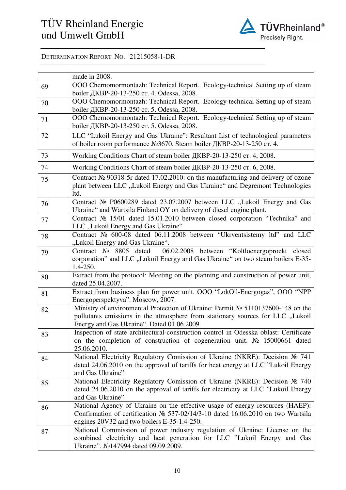

DETERMINATION REPORT NO. 21215058-1-DR

|    | made in 2008.                                                                                                                                                    |
|----|------------------------------------------------------------------------------------------------------------------------------------------------------------------|
| 69 | OOO Chernomormontazh: Technical Report. Ecology-technical Setting up of steam                                                                                    |
|    | boiler ДКВР-20-13-250 ст. 4. Odessa, 2008.                                                                                                                       |
| 70 | OOO Chernomormontazh: Technical Report. Ecology-technical Setting up of steam                                                                                    |
|    | boiler ДКВР-20-13-250 ст. 5. Odessa, 2008.                                                                                                                       |
| 71 | OOO Chernomormontazh: Technical Report. Ecology-technical Setting up of steam                                                                                    |
|    | boiler ДКВР-20-13-250 ст. 5. Odessa, 2008.                                                                                                                       |
| 72 | LLC "Lukoil Energy and Gas Ukraine": Resultant List of technological parameters                                                                                  |
|    | of boiler room performance Nº3670. Steam boiler ДКВР-20-13-250 ст. 4.                                                                                            |
| 73 | Working Conditions Chart of steam boiler <i>IKBP-20-13-250</i> cr. 4, 2008.                                                                                      |
| 74 | Working Conditions Chart of steam boiler ДКВР-20-13-250 ст. 6, 2008.                                                                                             |
| 75 | Contract $\mathcal{N}_2$ 90318-5r dated 17.02.2010: on the manufacturing and delivery of ozone                                                                   |
|    | plant between LLC "Lukoil Energy and Gas Ukraine" and Degremont Technologies                                                                                     |
|    | ltd.                                                                                                                                                             |
| 76 | Contract № P0600289 dated 23.07.2007 between LLC "Lukoil Energy and Gas<br>Ukraine" and Wärtsilä Finland OY on delivery of diesel engine plant.                  |
| 77 | Contract № 15/01 dated 15.01.2010 between closed corporation "Technika" and                                                                                      |
|    | LLC "Lukoil Energy and Gas Ukraine"                                                                                                                              |
| 78 | Contract Nº 600-08 dated 06.11.2008 between "Ukrventsistemy ltd" and LLC                                                                                         |
|    | "Lukoil Energy and Gas Ukraine".                                                                                                                                 |
| 79 | Contract № 8805 dated 06.02.2008 between "Koltloenergoproekt closed                                                                                              |
|    | corporation" and LLC "Lukoil Energy and Gas Ukraine" on two steam boilers E-35-                                                                                  |
|    | 1.4-250.<br>Extract from the protocol: Meeting on the planning and construction of power unit,                                                                   |
| 80 | dated 25.04.2007.                                                                                                                                                |
| 81 | Extract from business plan for power unit. OOO "LokOil-Energogaz", OOO "NPP                                                                                      |
|    | Energoperspektyva". Moscow, 2007.                                                                                                                                |
| 82 | Ministry of environmental Protection of Ukraine: Permit № 5110137600-148 on the                                                                                  |
|    | pollutants emissions in the atmosphere from stationary sources for LLC "Lukoil                                                                                   |
|    | Energy and Gas Ukraine". Dated 01.06.2009.                                                                                                                       |
| 83 | Inspection of state architectural-construction control in Odesska oblast: Certificate                                                                            |
|    | on the completion of construction of cogeneration unit. $N_2$ 15000661 dated                                                                                     |
|    | 25.06.2010.                                                                                                                                                      |
| 84 | National Electricity Regulatory Comission of Ukraine (NKRE): Decision № 741<br>dated 24.06.2010 on the approval of tariffs for heat energy at LLC "Lukoil Energy |
|    | and Gas Ukraine".                                                                                                                                                |
| 85 | National Electricity Regulatory Comission of Ukraine (NKRE): Decision № 740                                                                                      |
|    | dated 24.06.2010 on the approval of tariffs for electricity at LLC "Lukoil Energy                                                                                |
|    | and Gas Ukraine".                                                                                                                                                |
| 86 | National Agency of Ukraine on the effective usage of energy resources (HAEP):                                                                                    |
|    | Confirmation of certification $N_2$ 537-02/14/3-10 dated 16.06.2010 on two Wartsila                                                                              |
|    | engines 20V32 and two boilers E-35-1.4-250.                                                                                                                      |
| 87 | National Commission of power industry regulation of Ukraine: License on the                                                                                      |
|    | combined electricity and heat generation for LLC "Lukoil Energy and Gas<br>Ukraine". No147994 dated 09.09.2009.                                                  |
|    |                                                                                                                                                                  |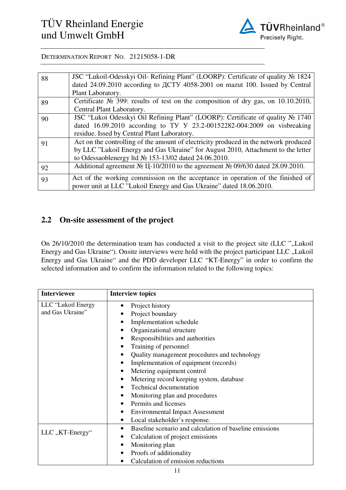

| 88 | JSC "Lukoil-Odesskyi Oil- Refining Plant" (LOORP): Certificate of quality № 1824               |
|----|------------------------------------------------------------------------------------------------|
|    | dated 24.09.2010 according to ДСТУ 4058-2001 on mazut 100. Issued by Central                   |
|    | Plant Laboratory.                                                                              |
| 89 | Certificate $\mathcal{N}_2$ 399: results of test on the composition of dry gas, on 10.10.2010, |
|    | Central Plant Laboratory.                                                                      |
| 90 | JSC "Lukoi Odesskyi Oil Refining Plant" (LOORP): Certificate of quality № 1740                 |
|    | dated 16.09.2010 according to TV V 23.2-00152282-004:2009 on visbreaking                       |
|    | residue. Issed by Central Plant Laboratory.                                                    |
| 91 | Act on the controlling of the amount of electricity produced in the network produced           |
|    | by LLC "Lukoil Energy and Gas Ukraine" for August 2010, Attachment to the letter               |
|    | to Odessaoblenergy ltd $\mathcal{N}$ 153-13/02 dated 24.06.2010.                               |
| 92 | Additional agreement № II-10/2010 to the agreement № 09/630 dated 28.09.2010.                  |
|    |                                                                                                |
| 93 | Act of the working commission on the acceptance in operation of the finished of                |
|    | power unit at LLC "Lukoil Energy and Gas Ukraine" dated 18.06.2010.                            |

#### **2.2 On-site assessment of the project**

On 26/10/2010 the determination team has conducted a visit to the project site (LLC ", Lukoil Energy and Gas Ukraine"). Onsite interviews were hold with the project participant LLC "Lukoil Energy and Gas Ukraine" and the PDD developer LLC "KT-Energy" in order to confirm the selected information and to confirm the information related to the following topics:

| <b>Interviewee</b> | <b>Interview topics</b>                                 |
|--------------------|---------------------------------------------------------|
| LLC "Lukoil Energy | Project history                                         |
| and Gas Ukraine"   | Project boundary                                        |
|                    | Implementation schedule                                 |
|                    | Organizational structure                                |
|                    | Responsibilities and authorities                        |
|                    | Training of personnel                                   |
|                    | Quality management procedures and technology            |
|                    | Implementation of equipment (records)                   |
|                    | Metering equipment control                              |
|                    | Metering record keeping system, database                |
|                    | <b>Technical documentation</b>                          |
|                    | Monitoring plan and procedures                          |
|                    | Permits and licenses                                    |
|                    | <b>Environmental Impact Assessment</b>                  |
|                    | Local stakeholder's response.                           |
| LLC, KT-Energy"    | Baseline scenario and calculation of baseline emissions |
|                    | Calculation of project emissions                        |
|                    | Monitoring plan                                         |
|                    | Proofs of additionality                                 |
|                    | Calculation of emission reductions                      |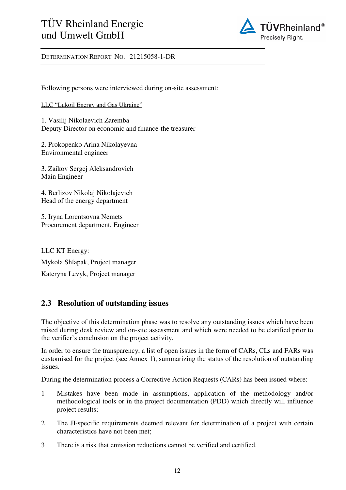

Following persons were interviewed during on-site assessment:

LLC "Lukoil Energy and Gas Ukraine"

1. Vasilij Nikolaevich Zaremba Deputy Director on economic and finance-the treasurer

2. Prokopenko Arina Nikolayevna Environmental engineer

3. Zaikov Sergej Aleksandrovich Main Engineer

4. Berlizov Nikolaj Nikolajevich Head of the energy department

5. Iryna Lorentsovna Nemets Procurement department, Engineer

LLC KT Energy: Mykola Shlapak, Project manager Kateryna Levyk, Project manager

#### **2.3 Resolution of outstanding issues**

The objective of this determination phase was to resolve any outstanding issues which have been raised during desk review and on-site assessment and which were needed to be clarified prior to the verifier's conclusion on the project activity.

In order to ensure the transparency, a list of open issues in the form of CARs, CLs and FARs was customised for the project (see Annex 1), summarizing the status of the resolution of outstanding issues.

During the determination process a Corrective Action Requests (CARs) has been issued where:

- 1 Mistakes have been made in assumptions, application of the methodology and/or methodological tools or in the project documentation (PDD) which directly will influence project results;
- 2 The JI-specific requirements deemed relevant for determination of a project with certain characteristics have not been met;
- 3 There is a risk that emission reductions cannot be verified and certified.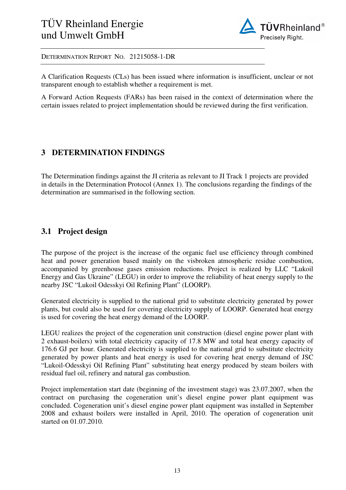

DETERMINATION REPORT NO. 21215058-1-DR

A Clarification Requests (CLs) has been issued where information is insufficient, unclear or not transparent enough to establish whether a requirement is met.

A Forward Action Requests (FARs) has been raised in the context of determination where the certain issues related to project implementation should be reviewed during the first verification.

#### **3 DETERMINATION FINDINGS**

The Determination findings against the JI criteria as relevant to JI Track 1 projects are provided in details in the Determination Protocol (Annex 1). The conclusions regarding the findings of the determination are summarised in the following section.

#### **3.1 Project design**

The purpose of the project is the increase of the organic fuel use efficiency through combined heat and power generation based mainly on the visbroken atmospheric residue combustion, accompanied by greenhouse gases emission reductions. Project is realized by LLC "Lukoil Energy and Gas Ukraine" (LEGU) in order to improve the reliability of heat energy supply to the nearby JSC "Lukoil Odesskyi Oil Refining Plant" (LOORP).

Generated electricity is supplied to the national grid to substitute electricity generated by power plants, but could also be used for covering electricity supply of LOORP. Generated heat energy is used for covering the heat energy demand of the LOORP.

LEGU realizes the project of the cogeneration unit construction (diesel engine power plant with 2 exhaust-boilers) with total electricity capacity of 17.8 MW and total heat energy capacity of 176.6 GJ per hour. Generated electricity is supplied to the national grid to substitute electricity generated by power plants and heat energy is used for covering heat energy demand of JSC "Lukoil-Odesskyi Oil Refining Plant" substituting heat energy produced by steam boilers with residual fuel oil, refinery and natural gas combustion.

Project implementation start date (beginning of the investment stage) was 23.07.2007, when the contract on purchasing the cogeneration unit's diesel engine power plant equipment was concluded. Cogeneration unit's diesel engine power plant equipment was installed in September 2008 and exhaust boilers were installed in April, 2010. The operation of cogeneration unit started on 01.07.2010.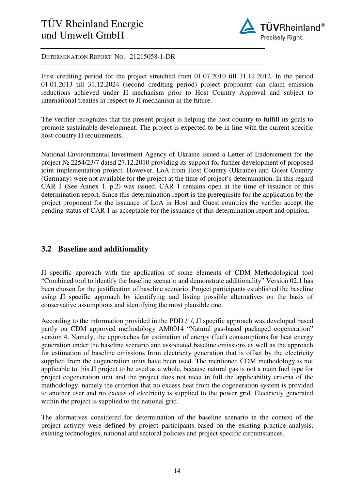

DETERMINATION REPORT NO. 21215058-1-DR

First crediting period for the project stretched from 01.07.2010 till 31.12.2012. In the period 01.01.2013 till 31.12.2024 (second crediting period) project proponent can claim emission reductions achieved under JI mechanism prior to Host Country Approval and subject to international treaties in respect to JI mechanism in the future.

The verifier recognizes that the present project is helping the host country to fulfill its goals to promote sustainable development. The project is expected to be in line with the current specific host-country JI requirements.

National Environmental Investment Agency of Ukraine issued a Letter of Endorsement for the project № 2254/23/7 dated 27.12.2010 providing its support for further development of proposed joint implementation project. However, LoA from Host Country (Ukraine) and Guest Country (Germany) were not available for the project at the time of project's determination. In this regard CAR 1 (See Annex 1, p.2) was issued. CAR 1 remains open at the time of issuance of this determination report. Since this determination report is the prerequisite for the application by the project proponent for the issuance of LoA in Host and Guest countries the verifier accept the pending status of CAR 1 as acceptable for the issuance of this determination report and opinion.

#### **3.2 Baseline and additionality**

JI specific approach with the application of some elements of CDM Methodological tool "Combined tool to identify the baseline scenario and demonstrate additionality" Version 02.1 has been chosen for the justification of baseline scenario. Project participants established the baseline using JI specific approach by identifying and listing possible alternatives on the basis of conservative assumptions and identifying the most plausible one.

According to the information provided in the PDD /1/, JI specific approach was developed based partly on CDM approved methodology AM0014 "Natural gas-based packaged cogeneration" version 4. Namely, the approaches for estimation of energy (fuel) consumptions for heat energy generation under the baseline scenario and associated baseline emissions as well as the approach for estimation of baseline emissions from electricity generation that is offset by the electricity supplied from the cogeneration units have been used. The mentioned CDM methodology is not applicable to this JI project to be used as a whole, because natural gas is not a main fuel type for project cogeneration unit and the project does not meet in full the applicability criteria of the methodology, namely the criterion that no excess heat from the cogeneration system is provided to another user and no excess of electricity is supplied to the power grid. Electricity generated within the project is supplied to the national grid.

The alternatives considered for determination of the baseline scenario in the context of the project activity were defined by project participants based on the existing practice analysis, existing technologies, national and sectoral policies and project specific circumstances.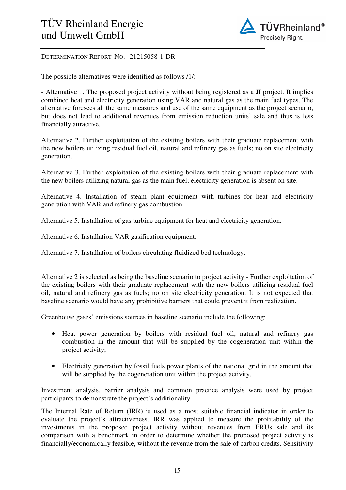

DETERMINATION REPORT NO. 21215058-1-DR

The possible alternatives were identified as follows /1/:

- Alternative 1. The proposed project activity without being registered as a JI project. It implies combined heat and electricity generation using VAR and natural gas as the main fuel types. The alternative foresees all the same measures and use of the same equipment as the project scenario, but does not lead to additional revenues from emission reduction units' sale and thus is less financially attractive.

Alternative 2. Further exploitation of the existing boilers with their graduate replacement with the new boilers utilizing residual fuel oil, natural and refinery gas as fuels; no on site electricity generation.

Alternative 3. Further exploitation of the existing boilers with their graduate replacement with the new boilers utilizing natural gas as the main fuel; electricity generation is absent on site.

Alternative 4. Installation of steam plant equipment with turbines for heat and electricity generation with VAR and refinery gas combustion.

Alternative 5. Installation of gas turbine equipment for heat and electricity generation.

Alternative 6. Installation VAR gasification equipment.

Alternative 7. Installation of boilers circulating fluidized bed technology.

Alternative 2 is selected as being the baseline scenario to project activity - Further exploitation of the existing boilers with their graduate replacement with the new boilers utilizing residual fuel oil, natural and refinery gas as fuels; no on site electricity generation. It is not expected that baseline scenario would have any prohibitive barriers that could prevent it from realization.

Greenhouse gases' emissions sources in baseline scenario include the following:

- Heat power generation by boilers with residual fuel oil, natural and refinery gas combustion in the amount that will be supplied by the cogeneration unit within the project activity;
- Electricity generation by fossil fuels power plants of the national grid in the amount that will be supplied by the cogeneration unit within the project activity.

Investment analysis, barrier analysis and common practice analysis were used by project participants to demonstrate the project's additionality.

The Internal Rate of Return (IRR) is used as a most suitable financial indicator in order to evaluate the project's attractiveness. IRR was applied to measure the profitability of the investments in the proposed project activity without revenues from ERUs sale and its comparison with a benchmark in order to determine whether the proposed project activity is financially/economically feasible, without the revenue from the sale of carbon credits. Sensitivity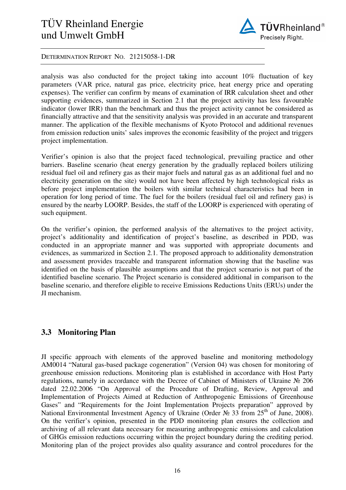

analysis was also conducted for the project taking into account 10% fluctuation of key parameters (VAR price, natural gas price, electricity price, heat energy price and operating expenses). The verifier can confirm by means of examination of IRR calculation sheet and other supporting evidences, summarized in Section 2.1 that the project activity has less favourable indicator (lower IRR) than the benchmark and thus the project activity cannot be considered as financially attractive and that the sensitivity analysis was provided in an accurate and transparent manner. The application of the flexible mechanisms of Kyoto Protocol and additional revenues from emission reduction units' sales improves the economic feasibility of the project and triggers project implementation.

Verifier's opinion is also that the project faced technological, prevailing practice and other barriers. Baseline scenario (heat energy generation by the gradually replaced boilers utilizing residual fuel oil and refinery gas as their major fuels and natural gas as an additional fuel and no electricity generation on the site) would not have been affected by high technological risks as before project implementation the boilers with similar technical characteristics had been in operation for long period of time. The fuel for the boilers (residual fuel oil and refinery gas) is ensured by the nearby LOORP. Besides, the staff of the LOORP is experienced with operating of such equipment.

On the verifier's opinion, the performed analysis of the alternatives to the project activity, project's additionality and identification of project's baseline, as described in PDD, was conducted in an appropriate manner and was supported with appropriate documents and evidences, as summarized in Section 2.1. The proposed approach to additionality demonstration and assessment provides traceable and transparent information showing that the baseline was identified on the basis of plausible assumptions and that the project scenario is not part of the identified baseline scenario. The Project scenario is considered additional in comparison to the baseline scenario, and therefore eligible to receive Emissions Reductions Units (ERUs) under the JI mechanism.

#### **3.3 Monitoring Plan**

JI specific approach with elements of the approved baseline and monitoring methodology AM0014 "Natural gas-based package cogeneration" (Version 04) was chosen for monitoring of greenhouse emission reductions. Monitoring plan is established in accordance with Host Party regulations, namely in accordance with the Decree of Cabinet of Ministers of Ukraine № 206 dated 22.02.2006 "On Approval of the Procedure of Drafting, Review, Approval and Implementation of Projects Aimed at Reduction of Anthropogenic Emissions of Greenhouse Gases" and "Requirements for the Joint Implementation Projects preparation" approved by National Environmental Investment Agency of Ukraine (Order № 33 from 25<sup>th</sup> of June, 2008). On the verifier's opinion, presented in the PDD monitoring plan ensures the collection and archiving of all relevant data necessary for measuring anthropogenic emissions and calculation of GHGs emission reductions occurring within the project boundary during the crediting period. Monitoring plan of the project provides also quality assurance and control procedures for the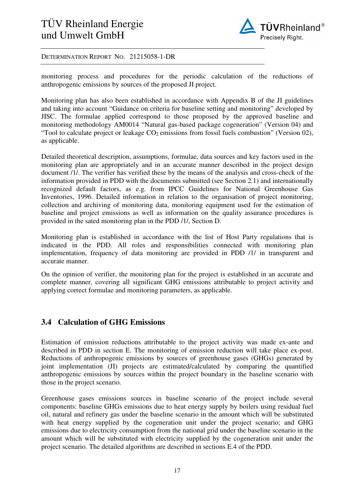

DETERMINATION REPORT NO. 21215058-1-DR

monitoring process and procedures for the periodic calculation of the reductions of anthropogenic emissions by sources of the proposed JI project.

Monitoring plan has also been established in accordance with Appendix B of the JI guidelines and taking into account "Guidance on criteria for baseline setting and monitoring" developed by JISC. The formulae applied correspond to those proposed by the approved baseline and monitoring methodology AM0014 "Natural gas-based package cogeneration" (Version 04) and "Tool to calculate project or leakage  $CO<sub>2</sub>$  emissions from fossil fuels combustion" (Version 02), as applicable.

Detailed theoretical description, assumptions, formulae, data sources and key factors used in the monitoring plan are appropriately and in an accurate manner described in the project design document /1/. The verifier has verified these by the means of the analysis and cross-check of the information provided in PDD with the documents submitted (see Section 2.1) and internationally recognized default factors, as e.g. from IPCC Guidelines for National Greenhouse Gas Inventories, 1996. Detailed information in relation to the organisation of project monitoring, collection and archiving of monitoring data, monitoring equipment used for the estimation of baseline and project emissions as well as information on the quality assurance procedures is provided in the sated monitoring plan in the PDD /1/, Section D.

Monitoring plan is established in accordance with the list of Host Party regulations that is indicated in the PDD. All roles and responsibilities connected with monitoring plan implementation, frequency of data monitoring are provided in PDD /1/ in transparent and accurate manner.

On the opinion of verifier, the monitoring plan for the project is established in an accurate and complete manner, covering all significant GHG emissions attributable to project activity and applying correct formulae and monitoring parameters, as applicable.

#### **3.4 Calculation of GHG Emissions**

Estimation of emission reductions attributable to the project activity was made ex-ante and described in PDD in section E. The monitoring of emission reduction will take place ex-post. Reductions of anthropogenic emissions by sources of greenhouse gases (GHGs) generated by joint implementation (JI) projects are estimated/calculated by comparing the quantified anthropogenic emissions by sources within the project boundary in the baseline scenario with those in the project scenario.

Greenhouse gases emissions sources in baseline scenario of the project include several components: baseline GHGs emissions due to heat energy supply by boilers using residual fuel oil, natural and refinery gas under the baseline scenario in the amount which will be substituted with heat energy supplied by the cogeneration unit under the project scenario; and GHG emissions due to electricity consumption from the national grid under the baseline scenario in the amount which will be substituted with electricity supplied by the cogeneration unit under the project scenario. The detailed algorithms are described in sections E.4 of the PDD.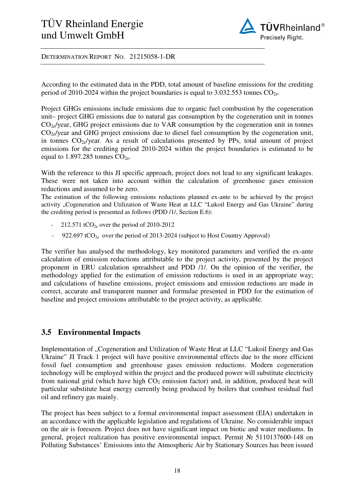

DETERMINATION REPORT NO. 21215058-1-DR

According to the estimated data in the PDD, total amount of baseline emissions for the crediting period of 2010-2024 within the project boundaries is equal to 3.032.553 tonnes  $CO_{2e}$ .

Project GHGs emissions include emissions due to organic fuel combustion by the cogeneration unit– project GHG emissions due to natural gas consumption by the cogeneration unit in tonnes  $CO<sub>2e</sub>/year$ , GHG project emissions due to VAR consumption by the cogeneration unit in tonnes  $CO_{2e}/year$  and GHG project emissions due to diesel fuel consumption by the cogeneration unit, in tonnes  $CO_{2e}/year$ . As a result of calculations presented by PPs, total amount of project emissions for the crediting period 2010-2024 within the project boundaries is estimated to be equal to  $1.897.285$  tonnes  $CO<sub>2e</sub>$ .

With the reference to this JI specific approach, project does not lead to any significant leakages. These were not taken into account within the calculation of greenhouse gases emission reductions and assumed to be zero.

The estimation of the following emissions reductions planned ex-ante to be achieved by the project activity "Cogeneration and Utilization of Waste Heat at LLC "Lukoil Energy and Gas Ukraine" during the crediting period is presented as follows (PDD /1/, Section E.6):

- 212.571 tCO<sub>2e</sub> over the period of 2010-2012
- 922.697 tCO<sub>2e</sub> over the period of 2013-2024 (subject to Host Country Approval)

The verifier has analysed the methodology, key monitored parameters and verified the ex-ante calculation of emission reductions attributable to the project activity, presented by the project proponent in ERU calculation spreadsheet and PDD /1/. On the opinion of the verifier, the methodology applied for the estimation of emission reductions is used in an appropriate way; and calculations of baseline emissions, project emissions and emission reductions are made in correct, accurate and transparent manner and formulae presented in PDD for the estimation of baseline and project emissions attributable to the project activity, as applicable.

#### **3.5 Environmental Impacts**

Implementation of "Cogeneration and Utilization of Waste Heat at LLC "Lukoil Energy and Gas Ukraine" JI Track 1 project will have positive environmental effects due to the more efficient fossil fuel consumption and greenhouse gases emission reductions. Modern cogeneration technology will be employed within the project and the produced power will substitute electricity from national grid (which have high  $CO<sub>2</sub>$  emission factor) and, in addition, produced heat will particular substitute heat energy currently being produced by boilers that combust residual fuel oil and refinery gas mainly.

The project has been subject to a formal environmental impact assessment (EIA) undertaken in an accordance with the applicable legislation and regulations of Ukraine. No considerable impact on the air is foreseen. Project does not have significant impact on biotic and water mediums. In general, project realization has positive environmental impact. Permit № 5110137600-148 on Polluting Substances' Emissions into the Atmospheric Air by Stationary Sources has been issued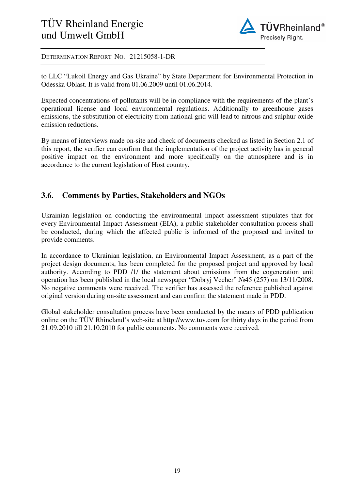

to LLC "Lukoil Energy and Gas Ukraine" by State Department for Environmental Protection in Odesska Oblast. It is valid from 01.06.2009 until 01.06.2014.

Expected concentrations of pollutants will be in compliance with the requirements of the plant's operational license and local environmental regulations. Additionally to greenhouse gases emissions, the substitution of electricity from national grid will lead to nitrous and sulphur oxide emission reductions.

By means of interviews made on-site and check of documents checked as listed in Section 2.1 of this report, the verifier can confirm that the implementation of the project activity has in general positive impact on the environment and more specifically on the atmosphere and is in accordance to the current legislation of Host country.

#### **3.6. Comments by Parties, Stakeholders and NGOs**

Ukrainian legislation on conducting the environmental impact assessment stipulates that for every Environmental Impact Assessment (EIA), a public stakeholder consultation process shall be conducted, during which the affected public is informed of the proposed and invited to provide comments.

In accordance to Ukrainian legislation, an Environmental Impact Assessment, as a part of the project design documents, has been completed for the proposed project and approved by local authority. According to PDD /1/ the statement about emissions from the cogeneration unit operation has been published in the local newspaper "Dobryj Vecher" №45 (257) on 13/11/2008. No negative comments were received. The verifier has assessed the reference published against original version during on-site assessment and can confirm the statement made in PDD.

Global stakeholder consultation process have been conducted by the means of PDD publication online on the TÜV Rhineland's web-site at http://www.tuv.com for thirty days in the period from 21.09.2010 till 21.10.2010 for public comments. No comments were received.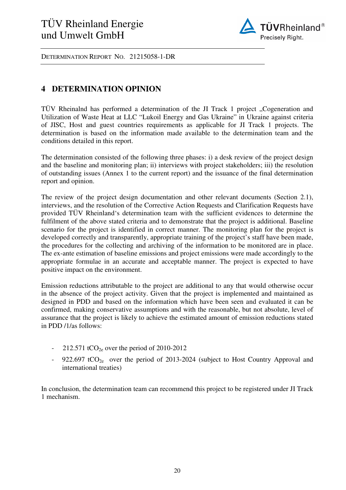

#### **4 DETERMINATION OPINION**

TÜV Rheinalnd has performed a determination of the JI Track 1 project . Cogeneration and Utilization of Waste Heat at LLC "Lukoil Energy and Gas Ukraine" in Ukraine against criteria of JISC, Host and guest countries requirements as applicable for JI Track 1 projects. The determination is based on the information made available to the determination team and the conditions detailed in this report.

The determination consisted of the following three phases: i) a desk review of the project design and the baseline and monitoring plan; ii) interviews with project stakeholders; iii) the resolution of outstanding issues (Annex 1 to the current report) and the issuance of the final determination report and opinion.

The review of the project design documentation and other relevant documents (Section 2.1), interviews, and the resolution of the Corrective Action Requests and Clarification Requests have provided TÜV Rheinland's determination team with the sufficient evidences to determine the fulfilment of the above stated criteria and to demonstrate that the project is additional. Baseline scenario for the project is identified in correct manner. The monitoring plan for the project is developed correctly and transparently, appropriate training of the project's staff have been made, the procedures for the collecting and archiving of the information to be monitored are in place. The ex-ante estimation of baseline emissions and project emissions were made accordingly to the appropriate formulae in an accurate and acceptable manner. The project is expected to have positive impact on the environment.

Emission reductions attributable to the project are additional to any that would otherwise occur in the absence of the project activity. Given that the project is implemented and maintained as designed in PDD and based on the information which have been seen and evaluated it can be confirmed, making conservative assumptions and with the reasonable, but not absolute, level of assurance that the project is likely to achieve the estimated amount of emission reductions stated in PDD /1/as follows:

- 212.571 tCO<sub>2e</sub> over the period of 2010-2012
- 922.697 tCO<sub>2e</sub> over the period of 2013-2024 (subject to Host Country Approval and international treaties)

In conclusion, the determination team can recommend this project to be registered under JI Track 1 mechanism.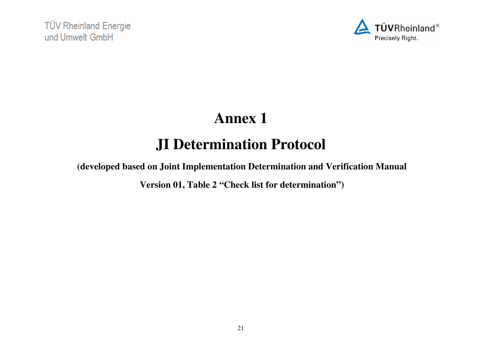

## **Annex 1 JI Determination Protocol**

 **(developed based on Joint Implementation Determination and Verification Manual** 

 **Version 01, Table 2 "Check list for determination")**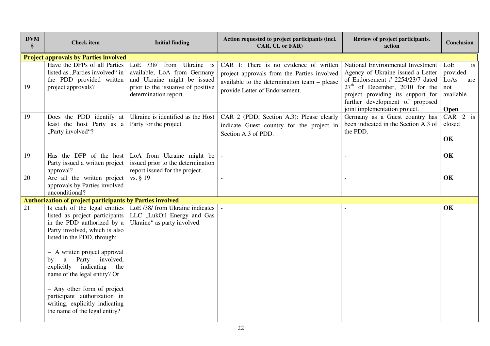| <b>DVM</b><br>§ | <b>Check</b> item                                                                                                                                                                                                                                                                                                                                                                                                                | <b>Initial finding</b>                                                                                                                                     | Action requested to project participants (incl.<br>CAR, CL or FAR)                                                                                                      | Review of project participants.<br>action                                                                                                                                                                                                               | <b>Conclusion</b>                                                  |
|-----------------|----------------------------------------------------------------------------------------------------------------------------------------------------------------------------------------------------------------------------------------------------------------------------------------------------------------------------------------------------------------------------------------------------------------------------------|------------------------------------------------------------------------------------------------------------------------------------------------------------|-------------------------------------------------------------------------------------------------------------------------------------------------------------------------|---------------------------------------------------------------------------------------------------------------------------------------------------------------------------------------------------------------------------------------------------------|--------------------------------------------------------------------|
|                 | <b>Project approvals by Parties involved</b>                                                                                                                                                                                                                                                                                                                                                                                     |                                                                                                                                                            |                                                                                                                                                                         |                                                                                                                                                                                                                                                         |                                                                    |
| 19              | Have the DFPs of all Parties<br>listed as "Parties involved" in<br>the PDD provided written<br>project approvals?                                                                                                                                                                                                                                                                                                                | /38/ from Ukraine<br>LoE<br>is<br>available; LoA from Germany<br>and Ukraine might be issued<br>prior to the issuance of positive<br>determination report. | CAR 1: There is no evidence of written<br>project approvals from the Parties involved<br>available to the determination team - please<br>provide Letter of Endorsement. | National Environmental Investment<br>Agency of Ukraine issued a Letter<br>of Endorsement # 2254/23/7 dated<br>$27th$ of December, 2010 for the<br>project providing its support for<br>further development of proposed<br>joint implementation project. | LoE<br>is<br>provided.<br>LoAs<br>are<br>not<br>available.<br>Open |
| 19              | Does the PDD identify at<br>least the host Party as a<br>"Party involved"?                                                                                                                                                                                                                                                                                                                                                       | Ukraine is identified as the Host<br>Party for the project                                                                                                 | CAR 2 (PDD, Section A.3): Please clearly<br>indicate Guest country for the project in<br>Section A.3 of PDD.                                                            | Germany as a Guest country has<br>been indicated in the Section A.3 of<br>the PDD.                                                                                                                                                                      | $CAR$ $2$ is<br>closed<br>OK                                       |
| 19              | Has the DFP of the host<br>Party issued a written project<br>approval?                                                                                                                                                                                                                                                                                                                                                           | LoA from Ukraine might be<br>issued prior to the determination<br>report issued for the project.                                                           |                                                                                                                                                                         |                                                                                                                                                                                                                                                         | OK                                                                 |
| 20              | Are all the written project<br>approvals by Parties involved<br>unconditional?                                                                                                                                                                                                                                                                                                                                                   | vs. § 19                                                                                                                                                   |                                                                                                                                                                         |                                                                                                                                                                                                                                                         | OK                                                                 |
|                 | <b>Authorization of project participants by Parties involved</b>                                                                                                                                                                                                                                                                                                                                                                 |                                                                                                                                                            |                                                                                                                                                                         |                                                                                                                                                                                                                                                         |                                                                    |
| 21              | Is each of the legal entities<br>listed as project participants<br>in the PDD authorized by a<br>Party involved, which is also<br>listed in the PDD, through:<br>- A written project approval<br>involved,<br>Party<br>a<br>bv<br>explicitly indicating<br>the<br>name of the legal entity? Or<br>- Any other form of project<br>participant authorization in<br>writing, explicitly indicating<br>the name of the legal entity? | LoE /38/ from Ukraine indicates<br>LLC "LukOil Energy and Gas<br>Ukraine" as party involved.                                                               |                                                                                                                                                                         |                                                                                                                                                                                                                                                         | OK                                                                 |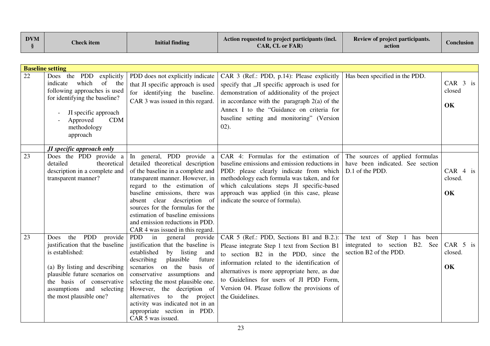| <b>DVM</b> | <b>Check item</b> | <b>Initial finding</b> | Action requested to project participants (incl.<br><b>CAR. CL or FAR)</b> | Review of project participants.<br>action | Conclusion |
|------------|-------------------|------------------------|---------------------------------------------------------------------------|-------------------------------------------|------------|
|------------|-------------------|------------------------|---------------------------------------------------------------------------|-------------------------------------------|------------|

| <b>Baseline setting</b> |                                                                                                                                                                                                                                         |                                                                                                                                                                                                                                                                                                                                                                                                        |                                                                                                                                                                                                                                                                                                                                               |                                                                                              |                             |
|-------------------------|-----------------------------------------------------------------------------------------------------------------------------------------------------------------------------------------------------------------------------------------|--------------------------------------------------------------------------------------------------------------------------------------------------------------------------------------------------------------------------------------------------------------------------------------------------------------------------------------------------------------------------------------------------------|-----------------------------------------------------------------------------------------------------------------------------------------------------------------------------------------------------------------------------------------------------------------------------------------------------------------------------------------------|----------------------------------------------------------------------------------------------|-----------------------------|
| 22                      | Does the PDD<br>explicitly<br>which<br>of<br>indicate<br>the<br>following approaches is used<br>for identifying the baseline?<br>JI specific approach<br>Approved<br><b>CDM</b><br>methodology<br>approach                              | PDD does not explicitly indicate<br>that JI specific approach is used<br>for identifying the baseline.<br>CAR 3 was issued in this regard.                                                                                                                                                                                                                                                             | CAR 3 (Ref.: PDD, p.14): Please explicitly<br>specify that "II specific approach is used for<br>demonstration of additionality of the project<br>in accordance with the paragraph $2(a)$ of the<br>Annex I to the "Guidance on criteria for<br>baseline setting and monitoring" (Version<br>$02$ ).                                           | Has been specified in the PDD.                                                               | CAR 3 is<br>closed<br>OK    |
| 23                      | JI specific approach only<br>Does the PDD provide a<br>detailed<br>theoretical<br>description in a complete and<br>transparent manner?                                                                                                  | In general, PDD provide a<br>detailed theoretical description<br>of the baseline in a complete and<br>transparent manner. However, in<br>regard to the estimation of<br>baseline emissions, there was<br>absent clear description of<br>sources for the formulas for the<br>estimation of baseline emissions<br>and emission reductions in PDD.<br>CAR 4 was issued in this regard.                    | CAR 4: Formulas for the estimation of<br>baseline emissions and emission reductions in<br>PDD: please clearly indicate from which<br>methodology each formula was taken, and for<br>which calculations steps JI specific-based<br>approach was applied (in this case, please<br>indicate the source of formula).                              | The sources of applied formulas<br>have been indicated. See section<br>D.1 of the PDD.       | $CAR$ 4 is<br>closed.<br>OK |
| 23                      | the PDD<br>provide<br>Does<br>justification that the baseline<br>is established:<br>(a) By listing and describing<br>plausible future scenarios on<br>the basis of conservative<br>assumptions and selecting<br>the most plausible one? | in<br><b>PDD</b><br>general<br>provide<br>justification that the baseline is<br>established<br>by listing and<br>describing<br>plausible future<br>scenarios on the basis of<br>conservative assumptions and<br>selecting the most plausible one.<br>However, the decription of<br>alternatives to the project<br>activity was indicated not in an<br>appropriate section in PDD.<br>CAR 5 was issued. | CAR 5 (Ref.: PDD, Sections B1 and B.2.):<br>Please integrate Step 1 text from Section B1<br>to section B2 in the PDD, since the<br>information related to the identification of<br>alternatives is more appropriate here, as due<br>to Guidelines for users of JI PDD Form,<br>Version 04. Please follow the provisions of<br>the Guidelines. | The text of Step 1<br>has been<br>integrated to section B2.<br>See<br>section B2 of the PDD. | CAR 5 is<br>closed.<br>OK   |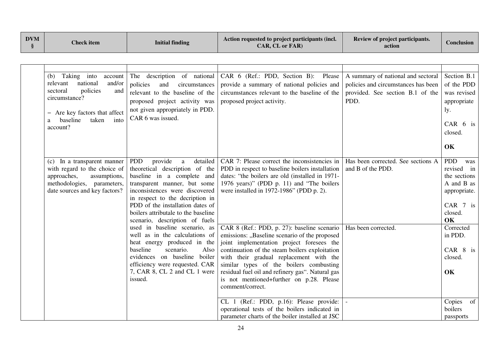| <b>DVM</b> | Check item | Initial finding | Action requested to project participants (incl.<br><b>CAR. CL or FARE</b> | <b>Review of project participants.</b><br>action | <b>Conclusion</b> |
|------------|------------|-----------------|---------------------------------------------------------------------------|--------------------------------------------------|-------------------|
|------------|------------|-----------------|---------------------------------------------------------------------------|--------------------------------------------------|-------------------|

|  | (b) Taking into<br>account<br>national<br>and/or<br>relevant<br>sectoral<br>policies<br>and<br>circumstance?<br>- Are key factors that affect<br>baseline<br>taken<br>into<br>a<br>account? | The description of national<br>policies<br>and<br>circumstances<br>relevant to the baseline of the<br>proposed project activity was<br>not given appropriately in PDD.<br>CAR 6 was issued.                                                                                                                                                                                                                                                                                                                                                                              | CAR 6 (Ref.: PDD, Section B): Please<br>provide a summary of national policies and<br>circumstances relevant to the baseline of the<br>proposed project activity.                                                                                                                                                                                                                                     | A summary of national and sectoral<br>policies and circumstances has been<br>provided. See section B.1 of the<br>PDD. | Section B.1<br>of the PDD<br>was revised<br>appropriate<br>1y.<br>CAR $6$ is<br>closed.<br>OK              |
|--|---------------------------------------------------------------------------------------------------------------------------------------------------------------------------------------------|--------------------------------------------------------------------------------------------------------------------------------------------------------------------------------------------------------------------------------------------------------------------------------------------------------------------------------------------------------------------------------------------------------------------------------------------------------------------------------------------------------------------------------------------------------------------------|-------------------------------------------------------------------------------------------------------------------------------------------------------------------------------------------------------------------------------------------------------------------------------------------------------------------------------------------------------------------------------------------------------|-----------------------------------------------------------------------------------------------------------------------|------------------------------------------------------------------------------------------------------------|
|  | (c) In a transparent manner<br>with regard to the choice of<br>approaches,<br>assumptions,<br>methodologies, parameters,<br>date sources and key factors?                                   | <b>PDD</b><br>provide<br>detailed<br>a<br>theoretical description of the<br>baseline in a complete and<br>transparent manner, but some<br>inconsistences were discovered<br>in respect to the decription in<br>PDD of the installation dates of<br>boilers attributale to the baseline<br>scenario, description of fuels<br>used in baseline scenario, as<br>well as in the calculations of<br>heat energy produced in the<br>scenario.<br>baseline<br>Also<br>evidences on baseline boiler<br>efficiency were requested. CAR<br>7, CAR 8, CL 2 and CL 1 were<br>issued. | CAR 7: Please correct the inconsistencies in<br>PDD in respect to baseline boilers installation<br>dates: "the boilers are old (installed in 1971-<br>1976 years)" (PDD p. 11) and "The boilers<br>were installed in 1972-1986" (PDD p. 2).                                                                                                                                                           | Has been corrected. See sections A<br>and B of the PDD.                                                               | <b>PDD</b><br>was<br>revised in<br>the sections<br>A and B as<br>appropriate.<br>CAR 7 is<br>closed.<br>OK |
|  |                                                                                                                                                                                             |                                                                                                                                                                                                                                                                                                                                                                                                                                                                                                                                                                          | CAR 8 (Ref.: PDD, p. 27): baseline scenario<br>emissions: "Baseline scenario of the proposed<br>joint implementation project foresees the<br>continuation of the steam boilers exploitation<br>with their gradual replacement with the<br>similar types of the boilers combusting<br>residual fuel oil and refinery gas". Natural gas<br>is not mentioned+further on p.28. Please<br>comment/correct. | Has been corrected.                                                                                                   | Corrected<br>in PDD.<br>CAR 8 is<br>closed.<br>OK                                                          |
|  |                                                                                                                                                                                             |                                                                                                                                                                                                                                                                                                                                                                                                                                                                                                                                                                          | CL 1 (Ref.: PDD, p.16): Please provide:<br>operational tests of the boilers indicated in<br>parameter charts of the boiler installed at JSC                                                                                                                                                                                                                                                           |                                                                                                                       | Copies of<br>boilers<br>passports                                                                          |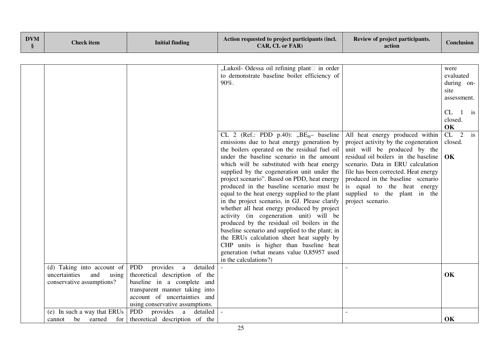| <b>DVM</b><br>§ | <b>Check</b> item                                                                        | <b>Initial finding</b>                                                                                                                                                                             | Action requested to project participants (incl.<br>CAR, CL or FAR)                                                                                                                                                                                                                                                                                                                                                                                                                                                                                                                                                                                                                                                                                                                                                 | Review of project participants.<br>action                                                                                                                                                                                                                                                                                                             | Conclusion                                                                                                                                       |
|-----------------|------------------------------------------------------------------------------------------|----------------------------------------------------------------------------------------------------------------------------------------------------------------------------------------------------|--------------------------------------------------------------------------------------------------------------------------------------------------------------------------------------------------------------------------------------------------------------------------------------------------------------------------------------------------------------------------------------------------------------------------------------------------------------------------------------------------------------------------------------------------------------------------------------------------------------------------------------------------------------------------------------------------------------------------------------------------------------------------------------------------------------------|-------------------------------------------------------------------------------------------------------------------------------------------------------------------------------------------------------------------------------------------------------------------------------------------------------------------------------------------------------|--------------------------------------------------------------------------------------------------------------------------------------------------|
|                 |                                                                                          |                                                                                                                                                                                                    |                                                                                                                                                                                                                                                                                                                                                                                                                                                                                                                                                                                                                                                                                                                                                                                                                    |                                                                                                                                                                                                                                                                                                                                                       |                                                                                                                                                  |
|                 |                                                                                          |                                                                                                                                                                                                    | "Lukoil- Odessa oil refining plant <sup>[1]</sup> in order<br>to demonstrate baseline boiler efficiency of<br>90%.<br>CL 2 (Ref.: PDD $p.40$ ): "BE <sub>th</sub> - baseline<br>emissions due to heat energy generation by<br>the boilers operated on the residual fuel oil<br>under the baseline scenario in the amount<br>which will be substituted with heat energy<br>supplied by the cogeneration unit under the<br>project scenario". Based on PDD, heat energy<br>produced in the baseline scenario must be<br>equal to the heat energy supplied to the plant<br>in the project scenario, in GJ. Please clarify<br>whether all heat energy produced by project<br>activity (in cogeneration unit) will be<br>produced by the residual oil boilers in the<br>baseline scenario and supplied to the plant; in | All heat energy produced within<br>project activity by the cogeneration<br>unit will be produced by the<br>residual oil boilers in the baseline<br>scenario. Data in ERU calculation<br>file has been corrected. Heat energy<br>produced in the baseline scenario<br>is equal to the heat energy<br>supplied to the plant in the<br>project scenario. | were<br>evaluated<br>during on-<br>site<br>assessment.<br>CL<br>-1<br>$\frac{1}{1}$<br>closed.<br>OK<br>CL<br>$\overline{2}$ is<br>closed.<br>OK |
|                 |                                                                                          |                                                                                                                                                                                                    | the ERUs calculation sheet heat supply by<br>CHP units is higher than baseline heat<br>generation (what means value 0,85957 used<br>in the calculations?)                                                                                                                                                                                                                                                                                                                                                                                                                                                                                                                                                                                                                                                          |                                                                                                                                                                                                                                                                                                                                                       |                                                                                                                                                  |
|                 | (d) Taking into account of<br>uncertainties<br>and<br>using<br>conservative assumptions? | provides a<br>PDD<br>detailed<br>theoretical description of the<br>baseline in a complete and<br>transparent manner taking into<br>account of uncertainties and<br>using conservative assumptions. |                                                                                                                                                                                                                                                                                                                                                                                                                                                                                                                                                                                                                                                                                                                                                                                                                    |                                                                                                                                                                                                                                                                                                                                                       | OK                                                                                                                                               |
|                 | (e) In such a way that ERUs<br>be<br>earned<br>for<br>cannot                             | PDD<br>provides<br>a<br>detailed<br>theoretical description of the                                                                                                                                 |                                                                                                                                                                                                                                                                                                                                                                                                                                                                                                                                                                                                                                                                                                                                                                                                                    |                                                                                                                                                                                                                                                                                                                                                       | OK                                                                                                                                               |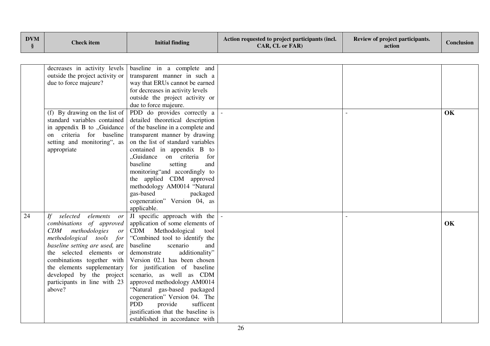| <b>DVM</b><br>$\S$ | <b>Check item</b>                                                                                                                                                                                                                                                                                                            | <b>Initial finding</b>                                                                                                                                                                                                                                                                                                                                                                                                                                                                                     | Action requested to project participants (incl.<br>CAR, CL or FAR) | Review of project participants.<br>action | Conclusion |
|--------------------|------------------------------------------------------------------------------------------------------------------------------------------------------------------------------------------------------------------------------------------------------------------------------------------------------------------------------|------------------------------------------------------------------------------------------------------------------------------------------------------------------------------------------------------------------------------------------------------------------------------------------------------------------------------------------------------------------------------------------------------------------------------------------------------------------------------------------------------------|--------------------------------------------------------------------|-------------------------------------------|------------|
|                    |                                                                                                                                                                                                                                                                                                                              |                                                                                                                                                                                                                                                                                                                                                                                                                                                                                                            |                                                                    |                                           |            |
|                    | decreases in activity levels<br>outside the project activity or<br>due to force majeure?                                                                                                                                                                                                                                     | baseline in a complete and<br>transparent manner in such a<br>way that ERUs cannot be earned<br>for decreases in activity levels<br>outside the project activity or<br>due to force majeure.                                                                                                                                                                                                                                                                                                               |                                                                    |                                           |            |
|                    | (f) By drawing on the list of<br>standard variables contained<br>in appendix B to "Guidance<br>on criteria for baseline<br>setting and monitoring", as<br>appropriate                                                                                                                                                        | PDD do provides correctly a<br>detailed theoretical description<br>of the baseline in a complete and<br>transparent manner by drawing<br>on the list of standard variables<br>contained in appendix B to<br>"Guidance on criteria<br>for<br>baseline<br>setting<br>and<br>monitoring"and accordingly to<br>the applied CDM approved<br>methodology AM0014 "Natural<br>gas-based<br>packaged<br>cogeneration" Version 04, as<br>applicable.                                                                 |                                                                    |                                           | OK         |
| 24                 | selected<br>H<br>elements<br><i>or</i><br>combinations of approved<br>methodologies<br>CDM<br>or<br>methodological tools for<br>baseline setting are used, are<br>the selected elements or<br>combinations together with<br>the elements supplementary<br>developed by the project<br>participants in line with 23<br>above? | JI specific approach with the<br>application of some elements of<br>CDM Methodological<br>tool<br>"Combined tool to identify the<br>baseline<br>scenario<br>and<br>additionality"<br>demonstrate<br>Version 02.1 has been chosen<br>for justification of baseline<br>scenario, as well as CDM<br>approved methodology AM0014<br>"Natural gas-based packaged<br>cogeneration" Version 04. The<br><b>PDD</b><br>sufficent<br>provide<br>justification that the baseline is<br>established in accordance with |                                                                    |                                           | OK         |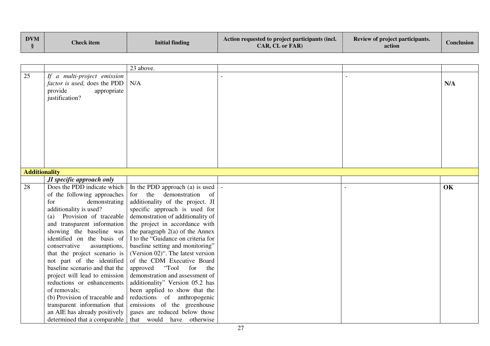| <b>DVM</b> | <b>Check item</b> | <b>Initial finding</b> | Action requested to project participants (incl.<br><b>CAR. CL or FAR)</b> | <b>Review of project participants.</b><br>action | <b>Conclusion</b> |
|------------|-------------------|------------------------|---------------------------------------------------------------------------|--------------------------------------------------|-------------------|
|------------|-------------------|------------------------|---------------------------------------------------------------------------|--------------------------------------------------|-------------------|

|                      |                                                                                                         | 23 above.                                 |  |     |
|----------------------|---------------------------------------------------------------------------------------------------------|-------------------------------------------|--|-----|
| 25                   | If a multi-project emission<br>factor is used, does the PDD<br>provide<br>appropriate<br>justification? | N/A                                       |  | N/A |
|                      |                                                                                                         |                                           |  |     |
| <b>Additionality</b> |                                                                                                         |                                           |  |     |
|                      | JI specific approach only                                                                               |                                           |  |     |
| 28                   | Does the PDD indicate which                                                                             | In the PDD approach (a) is used $\vert$ - |  | OK  |
|                      | of the following approaches                                                                             | for the<br>demonstration of               |  |     |
|                      | for<br>demonstrating                                                                                    | additionality of the project. JI          |  |     |
|                      | additionality is used?                                                                                  | specific approach is used for             |  |     |
|                      | Provision of traceable<br>(a)                                                                           | demonstration of additionality of         |  |     |
|                      | and transparent information                                                                             | the project in accordance with            |  |     |
|                      | showing the baseline was                                                                                | the paragraph $2(a)$ of the Annex         |  |     |
|                      | identified on the basis of                                                                              | I to the "Guidance on criteria for        |  |     |
|                      | conservative<br>assumptions,                                                                            | baseline setting and monitoring"          |  |     |
|                      | that the project scenario is                                                                            | (Version 02)". The latest version         |  |     |
|                      | not part of the identified                                                                              | of the CDM Executive Board                |  |     |
|                      | baseline scenario and that the                                                                          | "Tool<br>approved<br>for<br>the           |  |     |
|                      | project will lead to emission                                                                           | demonstration and assessment of           |  |     |
|                      | reductions or enhancements                                                                              | additionality" Version 05.2 has           |  |     |
|                      | of removals;                                                                                            | been applied to show that the             |  |     |
|                      | (b) Provision of traceable and                                                                          | reductions of anthropogenic               |  |     |
|                      | transparent information that                                                                            | emissions of the greenhouse               |  |     |
|                      | an AIE has already positively                                                                           | gases are reduced below those             |  |     |
|                      | determined that a comparable                                                                            | that would have otherwise                 |  |     |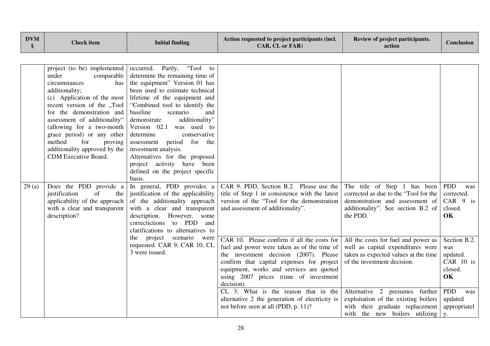| <b>DVM</b><br>§ | <b>Check</b> item                                                                                                                                                                                                                                                                                                                                                                                                                                                                                                | <b>Initial finding</b>                                                                                                                                                                                                                                                                                                                                                                                                                                                                                                                                                                                                                                                                                                                                                                                                         | Action requested to project participants (incl.<br>CAR, CL or FAR)                                                                                                                                                                                                                                                                                                                                                                                                                                                                                             | Review of project participants.<br>action                                                                                                                                                                                                                                                                                                                                               | Conclusion                                                                                                                                                        |
|-----------------|------------------------------------------------------------------------------------------------------------------------------------------------------------------------------------------------------------------------------------------------------------------------------------------------------------------------------------------------------------------------------------------------------------------------------------------------------------------------------------------------------------------|--------------------------------------------------------------------------------------------------------------------------------------------------------------------------------------------------------------------------------------------------------------------------------------------------------------------------------------------------------------------------------------------------------------------------------------------------------------------------------------------------------------------------------------------------------------------------------------------------------------------------------------------------------------------------------------------------------------------------------------------------------------------------------------------------------------------------------|----------------------------------------------------------------------------------------------------------------------------------------------------------------------------------------------------------------------------------------------------------------------------------------------------------------------------------------------------------------------------------------------------------------------------------------------------------------------------------------------------------------------------------------------------------------|-----------------------------------------------------------------------------------------------------------------------------------------------------------------------------------------------------------------------------------------------------------------------------------------------------------------------------------------------------------------------------------------|-------------------------------------------------------------------------------------------------------------------------------------------------------------------|
| 29(a)           | project (to be) implemented<br>under<br>comparable<br>circumstances<br>has<br>additionality;<br>(c) Application of the most<br>recent version of the "Tool<br>for the demonstration and<br>assessment of additionality"<br>(allowing for a two-month<br>grace period) or any other<br>method<br>for<br>proving<br>additionality approved by the<br>CDM Executive Board.<br>Does the PDD provide a<br>justification<br>of<br>the<br>applicability of the approach<br>with a clear and transparent<br>description? | "Tool to<br>occurred.<br>Partly,<br>determine the remaining time of<br>the equipment" Version 01 has<br>been used to estimate technical<br>lifetime of the equipment and<br>"Combined tool to identify the<br>baseline<br>scenario<br>and<br>additionality"<br>demonstrate<br>Version 02.1 was used to<br>determine<br>conservative<br>assessment period for the<br>investment analysis.<br>Alternatives for the proposed<br>project activity have been<br>defined on the project specific<br>basis.<br>In general, PDD provides a<br>justification of the applicability<br>of the additionality approach<br>with a clear and transparent<br>description. However,<br>some<br>correctictions to PDD and<br>clarifications to alternatives to<br>the project scenario<br>were<br>requested. CAR 9, CAR 10, CL<br>3 were issued. | CAR 9. PDD, Section B.2. Please use the<br>title of Step 1 in consistence with the latest<br>version of the "Tool for the demonstration<br>and assessment of additionality".<br>CAR 10. Please confirm if all the costs for<br>fuel and power were taken as of the time of<br>the investment decision (2007). Please<br>confirm that capital expenses for project<br>equipment, works and services are quoted<br>using 2007 prices (time of investment<br>decision).<br>CL 3: What is the reason that in the<br>alternative 2 the generation of electricity is | The title of Step 1 has been<br>corrected as due to the "Tool for the<br>demonstration and assessment of<br>additionality". See section B.2 of<br>the PDD.<br>All the costs for fuel and power as<br>well as capital expenditures were<br>taken as expected values at the time<br>of the investment decision.<br>Alternative 2 presumes further<br>exploitation of the existing boilers | <b>PDD</b><br>was<br>corrected.<br>$CAR$ $9$ is<br>closed.<br>OK<br>Section B.2.<br>was<br>updated.<br>CAR 10 is<br>closed.<br>OK<br><b>PDD</b><br>was<br>updated |
|                 |                                                                                                                                                                                                                                                                                                                                                                                                                                                                                                                  |                                                                                                                                                                                                                                                                                                                                                                                                                                                                                                                                                                                                                                                                                                                                                                                                                                | not before seen at all (PDD, p. 11)?                                                                                                                                                                                                                                                                                                                                                                                                                                                                                                                           | with their graduate replacement<br>with the new boilers utilizing $\vert y$ .                                                                                                                                                                                                                                                                                                           | appropriatel                                                                                                                                                      |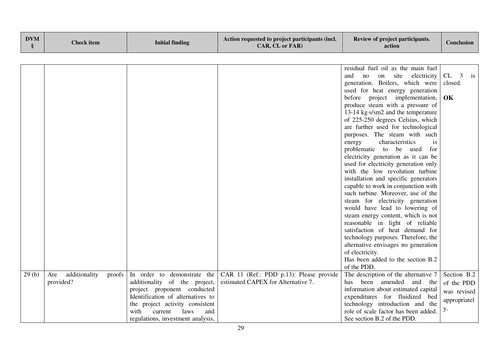| <b>DVM</b><br>§ | <b>Check item</b>              | <b>Initial finding</b>                                                                                                                                                     | Action requested to project participants (incl.<br>CAR, CL or FAR) | Review of project participants.<br>action                                                                                                                                                                                                                                                                                                                                                                                                                                                                                                                                                                                                                                                                                                                                                                                                               | <b>Conclusion</b>                              |
|-----------------|--------------------------------|----------------------------------------------------------------------------------------------------------------------------------------------------------------------------|--------------------------------------------------------------------|---------------------------------------------------------------------------------------------------------------------------------------------------------------------------------------------------------------------------------------------------------------------------------------------------------------------------------------------------------------------------------------------------------------------------------------------------------------------------------------------------------------------------------------------------------------------------------------------------------------------------------------------------------------------------------------------------------------------------------------------------------------------------------------------------------------------------------------------------------|------------------------------------------------|
|                 |                                |                                                                                                                                                                            |                                                                    | residual fuel oil as the main fuel<br>and<br>no on site electricity                                                                                                                                                                                                                                                                                                                                                                                                                                                                                                                                                                                                                                                                                                                                                                                     | CL<br>$\overline{\mathbf{3}}$<br>$\frac{1}{1}$ |
|                 |                                |                                                                                                                                                                            |                                                                    | generation. Boilers, which were<br>used for heat energy generation                                                                                                                                                                                                                                                                                                                                                                                                                                                                                                                                                                                                                                                                                                                                                                                      | closed.                                        |
|                 |                                |                                                                                                                                                                            |                                                                    | before project implementation,<br>produce steam with a pressure of<br>13-14 kg·s/sm2 and the temperature<br>of 225-250 degrees Celsius, which<br>are further used for technological<br>purposes. The steam with such<br>characteristics<br>energy<br>is<br>problematic to be used<br>for<br>electricity generation as it can be<br>used for electricity generation only<br>with the low revolution turbine<br>installation and specific generators<br>capable to work in conjunction with<br>such turbine. Moreover, use of the<br>steam for electricity generation<br>would have lead to lowering of<br>steam energy content, which is not<br>reasonable in light of reliable<br>satisfaction of heat demand for<br>technology purposes. Therefore, the<br>alternative envisages no generation<br>of electricity.<br>Has been added to the section B.2 | OK                                             |
| 29(b)           | additionality<br>Are<br>proofs | In order to demonstrate the                                                                                                                                                | CAR 11 (Ref.: PDD p.13): Please provide                            | of the PDD.<br>The description of the alternative 7                                                                                                                                                                                                                                                                                                                                                                                                                                                                                                                                                                                                                                                                                                                                                                                                     | Section B.2                                    |
|                 | provided?                      | additionality of the project,                                                                                                                                              | estimated CAPEX for Alternative 7.                                 | has been amended and the                                                                                                                                                                                                                                                                                                                                                                                                                                                                                                                                                                                                                                                                                                                                                                                                                                | of the PDD                                     |
|                 |                                | project proponent conducted<br>Identification of alternatives to<br>the project activity consistent<br>laws<br>current<br>with<br>and<br>regulations, investment analysis, |                                                                    | information about estimated capital<br>expenditures for fluidized bed<br>technology introduction and the<br>role of scale factor has been added.<br>See section B.2 of the PDD.                                                                                                                                                                                                                                                                                                                                                                                                                                                                                                                                                                                                                                                                         | was revised<br>appropriatel<br>у.              |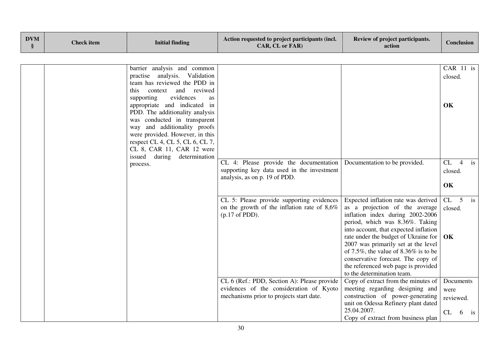| <b>DVM</b><br>$\S$ | <b>Check</b> item | <b>Initial finding</b>                                                                                                                                                                                                                                                                                                                                                | Action requested to project participants (incl.<br>CAR, CL or FAR)                                                                 | Review of project participants.<br>action                                                                                                                                                                                                                                                                                                                                                                               | <b>Conclusion</b>                               |
|--------------------|-------------------|-----------------------------------------------------------------------------------------------------------------------------------------------------------------------------------------------------------------------------------------------------------------------------------------------------------------------------------------------------------------------|------------------------------------------------------------------------------------------------------------------------------------|-------------------------------------------------------------------------------------------------------------------------------------------------------------------------------------------------------------------------------------------------------------------------------------------------------------------------------------------------------------------------------------------------------------------------|-------------------------------------------------|
|                    |                   |                                                                                                                                                                                                                                                                                                                                                                       |                                                                                                                                    |                                                                                                                                                                                                                                                                                                                                                                                                                         |                                                 |
|                    |                   | barrier analysis and common<br>practise analysis. Validation<br>team has reviewed the PDD in<br>context and reviwed<br>this<br>evidences<br>supporting<br>as<br>appropriate and indicated in<br>PDD. The additionality analysis<br>was conducted in transparent<br>way and additionality proofs<br>were provided. However, in this<br>respect CL 4, CL 5, CL 6, CL 7, |                                                                                                                                    |                                                                                                                                                                                                                                                                                                                                                                                                                         | CAR 11 is<br>closed.<br><b>OK</b>               |
|                    |                   | CL 8, CAR 11, CAR 12 were<br>issued during determination<br>process.                                                                                                                                                                                                                                                                                                  | CL 4: Please provide the documentation                                                                                             | Documentation to be provided.                                                                                                                                                                                                                                                                                                                                                                                           | CL<br>$\overline{4}$<br>is                      |
|                    |                   |                                                                                                                                                                                                                                                                                                                                                                       | supporting key data used in the investment<br>analysis, as on p. 19 of PDD.                                                        |                                                                                                                                                                                                                                                                                                                                                                                                                         | closed.<br>OK                                   |
|                    |                   |                                                                                                                                                                                                                                                                                                                                                                       | CL 5: Please provide supporting evidences<br>on the growth of the inflation rate of $8,6\%$<br>$(p.17$ of PDD).                    | Expected inflation rate was derived<br>as a projection of the average<br>inflation index during 2002-2006<br>period, which was 8.36%. Taking<br>into account, that expected inflation<br>rate under the budget of Ukraine for<br>2007 was primarily set at the level<br>of 7.5%, the value of 8.36% is to be<br>conservative forecast. The copy of<br>the referenced web page is provided<br>to the determination team. | CL<br>$5$ is<br>closed.<br>OK                   |
|                    |                   |                                                                                                                                                                                                                                                                                                                                                                       | CL 6 (Ref.: PDD, Section A): Please provide<br>evidences of the consideration of Kyoto<br>mechanisms prior to projects start date. | Copy of extract from the minutes of<br>meeting regarding designing and<br>construction of power-generating<br>unit on Odessa Refinery plant dated<br>25.04.2007.<br>Copy of extract from business plan                                                                                                                                                                                                                  | Documents<br>were<br>reviewed.<br>CL<br>6<br>is |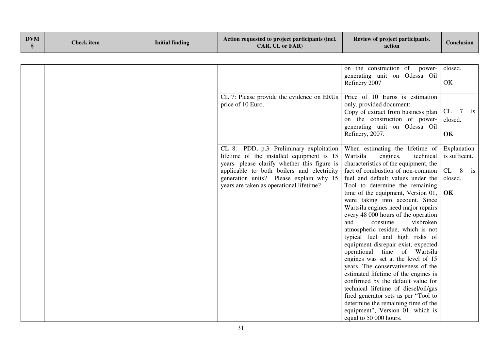| <b>DVM</b><br>§ | <b>Check item</b> | <b>Initial finding</b> | Action requested to project participants (incl.<br>CAR, CL or FAR)                                                                                                                                                                                                         | Review of project participants.<br>action                                                                                                                                                                                                                                                                                                                                                                                                                                                                                                                                                                                                                                                                                                                                                                                                                                                                    | Conclusion                                                     |
|-----------------|-------------------|------------------------|----------------------------------------------------------------------------------------------------------------------------------------------------------------------------------------------------------------------------------------------------------------------------|--------------------------------------------------------------------------------------------------------------------------------------------------------------------------------------------------------------------------------------------------------------------------------------------------------------------------------------------------------------------------------------------------------------------------------------------------------------------------------------------------------------------------------------------------------------------------------------------------------------------------------------------------------------------------------------------------------------------------------------------------------------------------------------------------------------------------------------------------------------------------------------------------------------|----------------------------------------------------------------|
|                 |                   |                        |                                                                                                                                                                                                                                                                            | on the construction of<br>power-<br>generating unit on Odessa Oil<br>Refinery 2007                                                                                                                                                                                                                                                                                                                                                                                                                                                                                                                                                                                                                                                                                                                                                                                                                           | closed.<br>OK                                                  |
|                 |                   |                        | CL 7: Please provide the evidence on ERUs<br>price of 10 Euro.                                                                                                                                                                                                             | Price of 10 Euros is estimation<br>only, provided document:<br>Copy of extract from business plan<br>on the construction of power-<br>generating unit on Odessa Oil<br>Refinery, 2007.                                                                                                                                                                                                                                                                                                                                                                                                                                                                                                                                                                                                                                                                                                                       | CL<br>$7\phantom{.0}$<br>i <sub>S</sub><br>closed.<br>OK       |
|                 |                   |                        | CL 8: PDD, p.3. Preliminary exploitation<br>lifetime of the installed equipment is 15<br>years- please clarify whether this figure is<br>applicable to both boilers and electricity<br>generation units? Please explain why 15<br>years are taken as operational lifetime? | When estimating the lifetime of<br>Wartsila<br>engines,<br>technical<br>characteristics of the equipment, the<br>fact of combustion of non-common<br>fuel and default values under the<br>Tool to determine the remaining<br>time of the equipment, Version 01,<br>were taking into account. Since<br>Wartsila engines need major repairs<br>every 48 000 hours of the operation<br>and<br>consume<br>visbroken<br>atmospheric residue, which is not<br>typical fuel and high risks of<br>equipment disrepair exist, expected<br>operational time of Wartsila<br>engines was set at the level of 15<br>years. The conservativeness of the<br>estimated lifetime of the engines is<br>confirmed by the default value for<br>technical lifetime of diesel/oil/gas<br>fired generator sets as per "Tool to<br>determine the remaining time of the<br>equipment", Version 01, which is<br>equal to 50 000 hours. | Explanation<br>is sufficent.<br>CL<br>8<br>is<br>closed.<br>OK |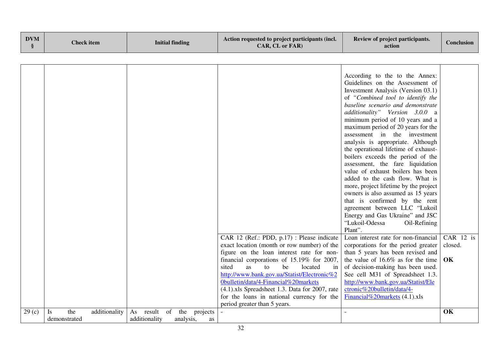| <b>DVM</b><br>§ | <b>Check</b> item                 | <b>Initial finding</b>                | Action requested to project participants (incl.<br>CAR, CL or FAR)                       | Review of project participants.<br>action                                                                                                                                                                                                                                                                                                                                                                                                                                                                                                                                                                                                                                                                                                                                         | <b>Conclusion</b> |
|-----------------|-----------------------------------|---------------------------------------|------------------------------------------------------------------------------------------|-----------------------------------------------------------------------------------------------------------------------------------------------------------------------------------------------------------------------------------------------------------------------------------------------------------------------------------------------------------------------------------------------------------------------------------------------------------------------------------------------------------------------------------------------------------------------------------------------------------------------------------------------------------------------------------------------------------------------------------------------------------------------------------|-------------------|
|                 |                                   |                                       |                                                                                          |                                                                                                                                                                                                                                                                                                                                                                                                                                                                                                                                                                                                                                                                                                                                                                                   |                   |
|                 |                                   |                                       |                                                                                          | According to the to the Annex:<br>Guidelines on the Assessment of<br>Investment Analysis (Version 03.1)<br>of "Combined tool to identify the<br>baseline scenario and demonstrate<br>additionality" Version 3.0.0 a<br>minimum period of 10 years and a<br>maximum period of 20 years for the<br>assessment in the investment<br>analysis is appropriate. Although<br>the operational lifetime of exhaust-<br>boilers exceeds the period of the<br>assessment, the fare liquidation<br>value of exhaust boilers has been<br>added to the cash flow. What is<br>more, project lifetime by the project<br>owners is also assumed as 15 years<br>that is confirmed by the rent<br>agreement between LLC "Lukoil<br>Energy and Gas Ukraine" and JSC<br>"Lukoil-Odessa<br>Oil-Refining |                   |
|                 |                                   |                                       | CAR 12 (Ref.: PDD, p.17) : Please indicate                                               | Plant".<br>Loan interest rate for non-financial                                                                                                                                                                                                                                                                                                                                                                                                                                                                                                                                                                                                                                                                                                                                   | CAR 12 is         |
|                 |                                   |                                       | exact location (month or row number) of the<br>figure on the loan interest rate for non- | corporations for the period greater<br>than 5 years has been revised and                                                                                                                                                                                                                                                                                                                                                                                                                                                                                                                                                                                                                                                                                                          | closed.           |
|                 |                                   |                                       | financial corporations of 15.19% for 2007,                                               | the value of $16.6\%$ as for the time                                                                                                                                                                                                                                                                                                                                                                                                                                                                                                                                                                                                                                                                                                                                             | OK                |
|                 |                                   |                                       | sited<br>be<br>as<br>to<br>located<br>in                                                 | of decision-making has been used.                                                                                                                                                                                                                                                                                                                                                                                                                                                                                                                                                                                                                                                                                                                                                 |                   |
|                 |                                   |                                       | http://www.bank.gov.ua/Statist/Electronic%2                                              | See cell M31 of Spreadsheet 1.3.                                                                                                                                                                                                                                                                                                                                                                                                                                                                                                                                                                                                                                                                                                                                                  |                   |
|                 |                                   |                                       | 0bulletin/data/4-Financial%20markets                                                     | http://www.bank.gov.ua/Statist/Ele                                                                                                                                                                                                                                                                                                                                                                                                                                                                                                                                                                                                                                                                                                                                                |                   |
|                 |                                   |                                       | $(4.1)$ .xls Spreadsheet 1.3. Data for 2007, rate                                        | ctronic%20bulletin/data/4-                                                                                                                                                                                                                                                                                                                                                                                                                                                                                                                                                                                                                                                                                                                                                        |                   |
|                 |                                   |                                       | for the loans in national currency for the<br>period greater than 5 years.               | Financial%20markets (4.1).xls                                                                                                                                                                                                                                                                                                                                                                                                                                                                                                                                                                                                                                                                                                                                                     |                   |
| 29(c)           | the<br>additionality<br><b>Is</b> | result<br>As<br>of<br>the<br>projects |                                                                                          |                                                                                                                                                                                                                                                                                                                                                                                                                                                                                                                                                                                                                                                                                                                                                                                   | OK                |
|                 | demonstrated                      | additionality<br>analysis,<br>as      |                                                                                          |                                                                                                                                                                                                                                                                                                                                                                                                                                                                                                                                                                                                                                                                                                                                                                                   |                   |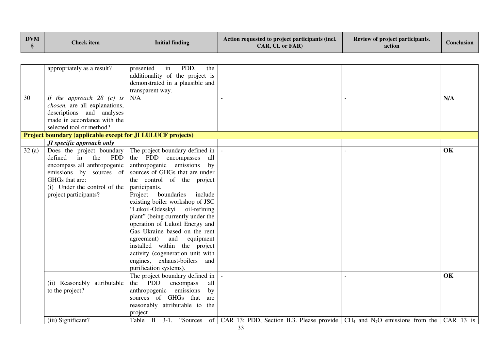| <b>DVM</b> | <b>Check item</b> | <b>Initial finding</b> | Action requested to project participants (incl.<br><b>CAR. CL or FAR)</b> | Review of project participants.<br>action | Conclusion |
|------------|-------------------|------------------------|---------------------------------------------------------------------------|-------------------------------------------|------------|
|------------|-------------------|------------------------|---------------------------------------------------------------------------|-------------------------------------------|------------|

|       | appropriately as a result?                                         | PDD,<br>the<br>presented<br>in          |                                                                                                                                     |     |
|-------|--------------------------------------------------------------------|-----------------------------------------|-------------------------------------------------------------------------------------------------------------------------------------|-----|
|       |                                                                    | additionality of the project is         |                                                                                                                                     |     |
|       |                                                                    | demonstrated in a plausible and         |                                                                                                                                     |     |
|       |                                                                    | transparent way.                        |                                                                                                                                     |     |
| 30    | If the approach 28 $\overline{(c)}$ is                             | N/A                                     |                                                                                                                                     | N/A |
|       | chosen, are all explanations,                                      |                                         |                                                                                                                                     |     |
|       | descriptions and analyses                                          |                                         |                                                                                                                                     |     |
|       | made in accordance with the                                        |                                         |                                                                                                                                     |     |
|       | selected tool or method?                                           |                                         |                                                                                                                                     |     |
|       | <b>Project boundary (applicable except for JI LULUCF projects)</b> |                                         |                                                                                                                                     |     |
|       | JI specific approach only                                          |                                         |                                                                                                                                     |     |
| 32(a) | Does the project boundary                                          | The project boundary defined in         |                                                                                                                                     | OK  |
|       | in<br>the<br>PDD<br>defined                                        | the PDD encompasses all                 |                                                                                                                                     |     |
|       | encompass all anthropogenic                                        | anthropogenic emissions<br>by           |                                                                                                                                     |     |
|       | emissions by sources of                                            | sources of GHGs that are under          |                                                                                                                                     |     |
|       | GHGs that are:                                                     | the control of the project              |                                                                                                                                     |     |
|       | (i) Under the control of the                                       | participants.                           |                                                                                                                                     |     |
|       | project participants?                                              | Project boundaries<br>include           |                                                                                                                                     |     |
|       |                                                                    | existing boiler workshop of JSC         |                                                                                                                                     |     |
|       |                                                                    | "Lukoil-Odesskyi oil-refining           |                                                                                                                                     |     |
|       |                                                                    | plant" (being currently under the       |                                                                                                                                     |     |
|       |                                                                    | operation of Lukoil Energy and          |                                                                                                                                     |     |
|       |                                                                    | Gas Ukraine based on the rent           |                                                                                                                                     |     |
|       |                                                                    | agreement)<br>and<br>equipment          |                                                                                                                                     |     |
|       |                                                                    | installed within the project            |                                                                                                                                     |     |
|       |                                                                    | activity (cogeneration unit with        |                                                                                                                                     |     |
|       |                                                                    | engines, exhaust-boilers and            |                                                                                                                                     |     |
|       |                                                                    | purification systems).                  |                                                                                                                                     |     |
|       |                                                                    | The project boundary defined in         |                                                                                                                                     | OK  |
|       | (ii) Reasonably attributable                                       | the PDD<br>all<br>encompass             |                                                                                                                                     |     |
|       | to the project?                                                    | anthropogenic emissions<br>$\mathbf{b}$ |                                                                                                                                     |     |
|       |                                                                    | sources of GHGs that<br>are             |                                                                                                                                     |     |
|       |                                                                    |                                         |                                                                                                                                     |     |
|       |                                                                    | reasonably attributable to the          |                                                                                                                                     |     |
|       |                                                                    | project                                 |                                                                                                                                     |     |
|       | (iii) Significant?                                                 |                                         | Table B 3-1. "Sources of CAR 13: PDD, Section B.3. Please provide CH <sub>4</sub> and N <sub>2</sub> O emissions from the CAR 13 is |     |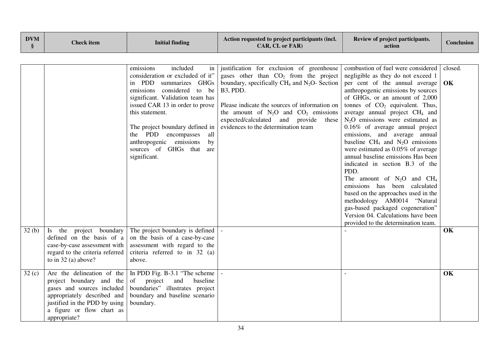| <b>DVM</b><br>§ | <b>Check</b> item                                                                                                                                                                                 | <b>Initial finding</b>                                                                                                                                                                                                                                                                                                                                          | Action requested to project participants (incl.<br>CAR, CL or FAR)                                                                                                                                                                                                                                                                                   | Review of project participants.<br>action                                                                                                                                                                                                                                                                                                                                                                                                                                                                                                                                                                                                                                                                                                                                                                    | <b>Conclusion</b> |
|-----------------|---------------------------------------------------------------------------------------------------------------------------------------------------------------------------------------------------|-----------------------------------------------------------------------------------------------------------------------------------------------------------------------------------------------------------------------------------------------------------------------------------------------------------------------------------------------------------------|------------------------------------------------------------------------------------------------------------------------------------------------------------------------------------------------------------------------------------------------------------------------------------------------------------------------------------------------------|--------------------------------------------------------------------------------------------------------------------------------------------------------------------------------------------------------------------------------------------------------------------------------------------------------------------------------------------------------------------------------------------------------------------------------------------------------------------------------------------------------------------------------------------------------------------------------------------------------------------------------------------------------------------------------------------------------------------------------------------------------------------------------------------------------------|-------------------|
|                 |                                                                                                                                                                                                   | included<br>emissions<br>in<br>consideration or excluded of it"<br>in PDD summarizes GHGs<br>emissions considered<br>to be<br>significant. Validation team has<br>issued CAR 13 in order to prove<br>this statement.<br>The project boundary defined in<br>the PDD encompasses all<br>anthropogenic emissions<br>by<br>sources of GHGs that are<br>significant. | justification for exclusion of greenhouse<br>gases other than $CO2$ from the project<br>boundary, specifically $CH_4$ and $N_2O$ - Section<br>B <sub>3</sub> , PDD.<br>Please indicate the sources of information on<br>the amount of $N_2O$ and $CO_2$ emissions<br>expected/calculated and provide<br>these<br>evidences to the determination team | combustion of fuel were considered<br>negligible as they do not exceed 1<br>per cent of the annual average<br>anthropogenic emissions by sources<br>of GHGs, or an amount of 2,000<br>tonnes of $CO2$ equivalent. Thus,<br>average annual project CH <sub>4</sub> and<br>$N_2O$ emissions were estimated as<br>$0.16\%$ of average annual project<br>emissions, and average annual<br>baseline $CH_4$ and $N_2O$ emissions<br>were estimated as 0.05% of average<br>annual baseline emissions Has been<br>indicated in section B.3 of the<br>PDD.<br>The amount of $N_2O$ and $CH_4$<br>emissions has been calculated<br>based on the approaches used in the<br>methodology AM0014 "Natural<br>gas-based packaged cogeneration"<br>Version 04. Calculations have been<br>provided to the determination team. | closed.<br>OK     |
| 32(b)           | Is the project boundary<br>defined on the basis of a<br>case-by-case assessment with<br>regard to the criteria referred<br>to in $32$ (a) above?                                                  | The project boundary is defined   -<br>on the basis of a case-by-case<br>assessment with regard to the<br>criteria referred to in 32 (a)<br>above.                                                                                                                                                                                                              |                                                                                                                                                                                                                                                                                                                                                      |                                                                                                                                                                                                                                                                                                                                                                                                                                                                                                                                                                                                                                                                                                                                                                                                              | OK                |
| 32(c)           | Are the delineation of the<br>project boundary and the<br>gases and sources included<br>appropriately described and<br>justified in the PDD by using<br>a figure or flow chart as<br>appropriate? | In PDD Fig. B-3.1 "The scheme<br>project<br>and<br>baseline<br>of<br>boundaries" illustrates project<br>boundary and baseline scenario<br>boundary.                                                                                                                                                                                                             |                                                                                                                                                                                                                                                                                                                                                      |                                                                                                                                                                                                                                                                                                                                                                                                                                                                                                                                                                                                                                                                                                                                                                                                              | OK                |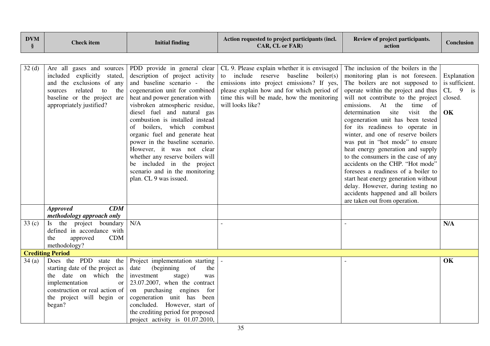| <b>DVM</b><br>§   | <b>Check</b> item                                                                                                                                                                              | <b>Initial finding</b>                                                                                                                                                                                                                                                                                                                                                                                                                                                                                                              | Action requested to project participants (incl.<br>CAR, CL or FAR)                                                                                                                                                                                 | Review of project participants.<br>action                                                                                                                                                                                                                                                                                                                                                                                                                                                                                                                                                                                                                                                                                         | <b>Conclusion</b>                                           |
|-------------------|------------------------------------------------------------------------------------------------------------------------------------------------------------------------------------------------|-------------------------------------------------------------------------------------------------------------------------------------------------------------------------------------------------------------------------------------------------------------------------------------------------------------------------------------------------------------------------------------------------------------------------------------------------------------------------------------------------------------------------------------|----------------------------------------------------------------------------------------------------------------------------------------------------------------------------------------------------------------------------------------------------|-----------------------------------------------------------------------------------------------------------------------------------------------------------------------------------------------------------------------------------------------------------------------------------------------------------------------------------------------------------------------------------------------------------------------------------------------------------------------------------------------------------------------------------------------------------------------------------------------------------------------------------------------------------------------------------------------------------------------------------|-------------------------------------------------------------|
| 32(d)             | Are all gases and sources<br>included explicitly stated,<br>and the exclusions of any<br>related<br>to<br>the<br>sources<br>baseline or the project are<br>appropriately justified?            | PDD provide in general clear<br>description of project activity<br>and baseline scenario - the<br>cogeneration unit for combined<br>heat and power generation with<br>visbroken atmospheric residue,<br>diesel fuel and natural gas<br>combustion is installed instead<br>of boilers, which combust<br>organic fuel and generate heat<br>power in the baseline scenario.<br>However, it was not clear<br>whether any reserve boilers will<br>be included in the project<br>scenario and in the monitoring<br>plan. CL 9 was issued. | CL 9. Please explain whether it is envisaged<br>to include reserve baseline boiler(s)<br>emissions into project emissions? If yes,<br>please explain how and for which period of<br>time this will be made, how the monitoring<br>will looks like? | The inclusion of the boilers in the<br>monitoring plan is not foreseen.<br>The boilers are not supposed to<br>operate within the project and thus<br>will not contribute to the project<br>emissions. At the<br>time<br>- of<br>determination<br>site<br>visit<br>the<br>cogeneration unit has been tested<br>for its readiness to operate in<br>winter, and one of reserve boilers<br>was put in "hot mode" to ensure<br>heat energy generation and supply<br>to the consumers in the case of any<br>accidents on the CHP. "Hot mode"<br>foresees a readiness of a boiler to<br>start heat energy generation without<br>delay. However, during testing no<br>accidents happened and all boilers<br>are taken out from operation. | Explanation<br>is sufficient.<br>$CL$ 9 is<br>closed.<br>OK |
|                   | <b>Approved</b><br>CDM<br>methodology approach only                                                                                                                                            |                                                                                                                                                                                                                                                                                                                                                                                                                                                                                                                                     |                                                                                                                                                                                                                                                    |                                                                                                                                                                                                                                                                                                                                                                                                                                                                                                                                                                                                                                                                                                                                   |                                                             |
| 33 <sub>(c)</sub> | Is the project boundary<br>defined in accordance with<br><b>CDM</b><br>approved<br>the<br>methodology?                                                                                         | N/A                                                                                                                                                                                                                                                                                                                                                                                                                                                                                                                                 |                                                                                                                                                                                                                                                    |                                                                                                                                                                                                                                                                                                                                                                                                                                                                                                                                                                                                                                                                                                                                   | N/A                                                         |
|                   | <b>Crediting Period</b>                                                                                                                                                                        |                                                                                                                                                                                                                                                                                                                                                                                                                                                                                                                                     |                                                                                                                                                                                                                                                    |                                                                                                                                                                                                                                                                                                                                                                                                                                                                                                                                                                                                                                                                                                                                   |                                                             |
| 34(a)             | Does the PDD state the<br>starting date of the project as<br>the date on which the<br>implementation<br><sub>or</sub><br>construction or real action of<br>the project will begin or<br>began? | Project implementation starting<br>(beginning)<br>of<br>date<br>the<br>investment<br>stage)<br>was<br>23.07.2007, when the contract<br>on purchasing engines for<br>cogeneration unit has been<br>concluded. However, start of<br>the crediting period for proposed<br>project activity is 01.07.2010,                                                                                                                                                                                                                              |                                                                                                                                                                                                                                                    |                                                                                                                                                                                                                                                                                                                                                                                                                                                                                                                                                                                                                                                                                                                                   | OK                                                          |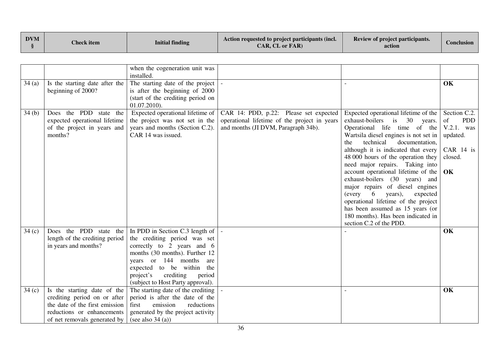| <b>DVM</b> | <b>Check item</b> | Initial finding | Action requested to project participants (incl.<br><b>CAR. CL or FARE</b> | <b>Review of project participants.</b><br>action | Conclusion |
|------------|-------------------|-----------------|---------------------------------------------------------------------------|--------------------------------------------------|------------|
|------------|-------------------|-----------------|---------------------------------------------------------------------------|--------------------------------------------------|------------|

|       |                                                                                                                                                             | when the cogeneration unit was<br>installed.                                                                                                                                                                                                                               |                                                                                                                               |                                                                                                                                                                                                                                                                                                                                                                                                                                                                                                                                                                                                        |                                                                                            |
|-------|-------------------------------------------------------------------------------------------------------------------------------------------------------------|----------------------------------------------------------------------------------------------------------------------------------------------------------------------------------------------------------------------------------------------------------------------------|-------------------------------------------------------------------------------------------------------------------------------|--------------------------------------------------------------------------------------------------------------------------------------------------------------------------------------------------------------------------------------------------------------------------------------------------------------------------------------------------------------------------------------------------------------------------------------------------------------------------------------------------------------------------------------------------------------------------------------------------------|--------------------------------------------------------------------------------------------|
| 34(a) | Is the starting date after the<br>beginning of 2000?                                                                                                        | The starting date of the project<br>is after the beginning of 2000<br>(start of the crediting period on<br>01.07.2010).                                                                                                                                                    |                                                                                                                               |                                                                                                                                                                                                                                                                                                                                                                                                                                                                                                                                                                                                        | OK                                                                                         |
| 34(b) | Does the PDD state the<br>expected operational lifetime<br>of the project in years and<br>months?                                                           | Expected operational lifetime of<br>the project was not set in the<br>years and months (Section C.2).<br>CAR 14 was issued.                                                                                                                                                | CAR 14: PDD, p.22: Please set expected<br>operational lifetime of the project in years<br>and months (JI DVM, Paragraph 34b). | Expected operational lifetime of the<br>exhaust-boilers is<br>30 years.<br>Operational life time of the<br>Wartsila diesel engines is not set in<br>technical<br>documentation,<br>the<br>although it is indicated that every<br>48 000 hours of the operation they<br>need major repairs. Taking into<br>account operational lifetime of the<br>exhaust-boilers (30 years) and<br>major repairs of diesel engines<br>$(every \t 6$<br>years),<br>expected<br>operational lifetime of the project<br>has been assumed as 15 years (or<br>180 months). Has been indicated in<br>section C.2 of the PDD. | Section C.2.<br>of<br><b>PDD</b><br>$V.2.1.$ was<br>updated.<br>CAR 14 is<br>closed.<br>OK |
| 34(c) | Does the PDD state the<br>length of the crediting period<br>in years and months?                                                                            | In PDD in Section C.3 length of $\vert$ -<br>the crediting period was set<br>correctly to 2 years and 6<br>months (30 months). Further 12<br>years or 144 months are<br>expected to be within the<br>crediting<br>project's<br>period<br>(subject to Host Party approval). |                                                                                                                               |                                                                                                                                                                                                                                                                                                                                                                                                                                                                                                                                                                                                        | OK                                                                                         |
| 34(c) | Is the starting date of the<br>crediting period on or after<br>the date of the first emission<br>reductions or enhancements<br>of net removals generated by | The starting date of the crediting<br>period is after the date of the<br>emission<br>first<br>reductions<br>generated by the project activity<br>(see also $34(a)$ )                                                                                                       |                                                                                                                               |                                                                                                                                                                                                                                                                                                                                                                                                                                                                                                                                                                                                        | OK                                                                                         |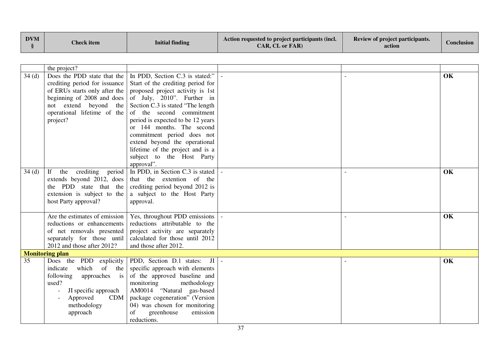| <b>DVM</b> | <b>Check item</b> | Initial finding | Action requested to project participants (incl.<br><b>CAR. CL or FAR)</b> | <b>Review of project participants.</b><br>action | <b>Conclusion</b> |
|------------|-------------------|-----------------|---------------------------------------------------------------------------|--------------------------------------------------|-------------------|
|------------|-------------------|-----------------|---------------------------------------------------------------------------|--------------------------------------------------|-------------------|

|       | the project?                   |                                    |  |    |
|-------|--------------------------------|------------------------------------|--|----|
| 34(d) | Does the PDD state that the    | In PDD, Section C.3 is stated:"    |  | OK |
|       | crediting period for issuance  | Start of the crediting period for  |  |    |
|       | of ERUs starts only after the  | proposed project activity is 1st   |  |    |
|       | beginning of 2008 and does     | of July, 2010". Further in         |  |    |
|       | not extend beyond the          | Section C.3 is stated "The length" |  |    |
|       | operational lifetime of the    | of the second commitment           |  |    |
|       | project?                       | period is expected to be 12 years  |  |    |
|       |                                | or 144 months. The second          |  |    |
|       |                                | commitment period does not         |  |    |
|       |                                | extend beyond the operational      |  |    |
|       |                                | lifetime of the project and is a   |  |    |
|       |                                | subject to the Host Party          |  |    |
|       |                                | approval".                         |  |    |
| 34(d) | the crediting period<br>If     | In PDD, in Section C.3 is stated   |  | OK |
|       | extends beyond 2012, does      | that the extention of the          |  |    |
|       | the PDD state that the         | crediting period beyond 2012 is    |  |    |
|       | extension is subject to the    | a subject to the Host Party        |  |    |
|       | host Party approval?           | approval.                          |  |    |
|       |                                |                                    |  |    |
|       | Are the estimates of emission  | Yes, throughout PDD emissions      |  | OK |
|       | reductions or enhancements     | reductions attributable to the     |  |    |
|       | of net removals presented      | project activity are separately    |  |    |
|       | separately for those until     | calculated for those until 2012    |  |    |
|       | 2012 and those after 2012?     | and those after 2012.              |  |    |
|       | <b>Monitoring plan</b>         |                                    |  |    |
| 35    | Does the PDD<br>explicitly     | PDD, Section D.1 states: $JI$ -    |  | OK |
|       | indicate<br>which<br>of<br>the | specific approach with elements    |  |    |
|       | following<br>approaches<br>is  | of the approved baseline and       |  |    |
|       | used?                          | monitoring<br>methodology          |  |    |
|       | JI specific approach           | AM0014 "Natural gas-based          |  |    |
|       | <b>CDM</b><br>Approved         | package cogeneration" (Version     |  |    |
|       | methodology                    | 04) was chosen for monitoring      |  |    |
|       | approach                       | greenhouse<br>emission<br>of       |  |    |
|       |                                | reductions.                        |  |    |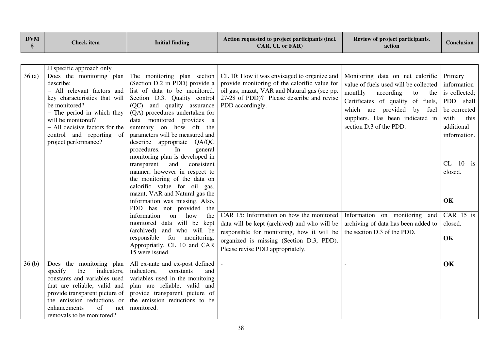| <b>DVM</b> | <b>Check item</b> | <b>Initial finding</b> | Action requested to project participants (incl.<br><b>CAR. CL or FAR)</b> | <b>Review of project participants.</b><br>action | Conclusion |
|------------|-------------------|------------------------|---------------------------------------------------------------------------|--------------------------------------------------|------------|
|------------|-------------------|------------------------|---------------------------------------------------------------------------|--------------------------------------------------|------------|

| 36(a) | JI specific approach only<br>Does the monitoring plan<br>describe:<br>- All relevant factors and<br>key characteristics that will<br>be monitored?<br>- The period in which they<br>will be monitored?<br>- All decisive factors for the<br>control and reporting of<br>project performance? | The monitoring plan section<br>(Section D.2 in PDD) provide a<br>list of data to be monitored.<br>Section D.3. Quality control<br>(QC) and quality assurance<br>(QA) procedures undertaken for<br>data monitored provides a<br>summary on how oft the<br>parameters will be measured and<br>describe appropriate QA/QC<br>procedures.<br>In<br>general<br>monitoring plan is developed in<br>transparent<br>consistent<br>and<br>manner, however in respect to<br>the monitoring of the data on<br>calorific value for oil gas,<br>mazut, VAR and Natural gas the<br>information was missing. Also,<br>PDD has not provided the<br>information<br>on<br>how<br>the<br>monitored data will be kept<br>(archived) and who will be<br>responsible for monitoring.<br>Appropriatly, CL 10 and CAR | CL 10: How it was envisaged to organize and<br>provide monitoring of the calorific value for<br>oil gas, mazut, VAR and Natural gas (see pp.<br>27-28 of PDD)? Please describe and revise<br>PDD accordingly.<br>CAR 15: Information on how the monitored<br>data will be kept (archived) and who will be<br>responsible for monitoring, how it will be<br>organized is missing (Section D.3, PDD).<br>Please revise PDD appropriately. | Monitoring data on net calorific<br>value of fuels used will be collected<br>monthly<br>according<br>to<br>the<br>Certificates of quality of fuels,<br>which are provided by fuel<br>suppliers. Has been indicated in<br>section D.3 of the PDD.<br>Information on monitoring and<br>archiving of data has been added to<br>the section D.3 of the PDD. | Primary<br>information<br>is collected;<br>PDD shall<br>be corrected<br>with<br>this<br>additional<br>information.<br>CL<br>$10$ is<br>closed.<br>OK<br>CAR 15 is<br>closed.<br>OK |
|-------|----------------------------------------------------------------------------------------------------------------------------------------------------------------------------------------------------------------------------------------------------------------------------------------------|-----------------------------------------------------------------------------------------------------------------------------------------------------------------------------------------------------------------------------------------------------------------------------------------------------------------------------------------------------------------------------------------------------------------------------------------------------------------------------------------------------------------------------------------------------------------------------------------------------------------------------------------------------------------------------------------------------------------------------------------------------------------------------------------------|-----------------------------------------------------------------------------------------------------------------------------------------------------------------------------------------------------------------------------------------------------------------------------------------------------------------------------------------------------------------------------------------------------------------------------------------|---------------------------------------------------------------------------------------------------------------------------------------------------------------------------------------------------------------------------------------------------------------------------------------------------------------------------------------------------------|------------------------------------------------------------------------------------------------------------------------------------------------------------------------------------|
|       |                                                                                                                                                                                                                                                                                              | 15 were issued.                                                                                                                                                                                                                                                                                                                                                                                                                                                                                                                                                                                                                                                                                                                                                                               |                                                                                                                                                                                                                                                                                                                                                                                                                                         |                                                                                                                                                                                                                                                                                                                                                         |                                                                                                                                                                                    |
| 36(b) | Does the monitoring plan<br>specify<br>indicators,<br>the<br>constants and variables used<br>that are reliable, valid and<br>provide transparent picture of<br>the emission reductions or<br>of<br>enhancements<br>net<br>removals to be monitored?                                          | All ex-ante and ex-post defined<br>indicators,<br>constants<br>and<br>variables used in the monitoing<br>plan are reliable, valid and<br>provide transparent picture of<br>the emission reductions to be<br>monitored.                                                                                                                                                                                                                                                                                                                                                                                                                                                                                                                                                                        |                                                                                                                                                                                                                                                                                                                                                                                                                                         |                                                                                                                                                                                                                                                                                                                                                         | OK                                                                                                                                                                                 |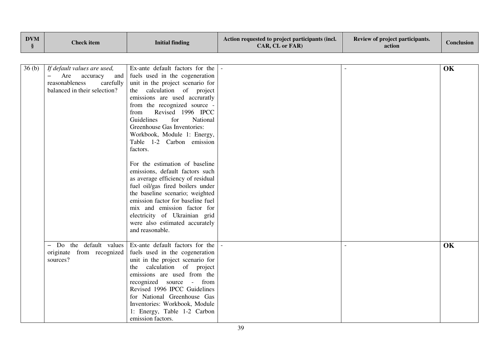| <b>DVM</b><br>$\S$ | <b>Check</b> item                                                                                                                                | <b>Initial finding</b>                                                                                                                                                                                                                                                                                                                                                                                                                                                                                                                                                                                                                                                                                               | Action requested to project participants (incl.<br>CAR, CL or FAR) | Review of project participants.<br>action | <b>Conclusion</b> |
|--------------------|--------------------------------------------------------------------------------------------------------------------------------------------------|----------------------------------------------------------------------------------------------------------------------------------------------------------------------------------------------------------------------------------------------------------------------------------------------------------------------------------------------------------------------------------------------------------------------------------------------------------------------------------------------------------------------------------------------------------------------------------------------------------------------------------------------------------------------------------------------------------------------|--------------------------------------------------------------------|-------------------------------------------|-------------------|
|                    |                                                                                                                                                  |                                                                                                                                                                                                                                                                                                                                                                                                                                                                                                                                                                                                                                                                                                                      |                                                                    |                                           |                   |
| 36(b)              | If default values are used,<br>$\overline{\phantom{0}}$<br>Are<br>accuracy<br>and<br>reasonableness<br>carefully<br>balanced in their selection? | Ex-ante default factors for the<br>fuels used in the cogeneration<br>unit in the project scenario for<br>the calculation of project<br>emissions are used accruratly<br>from the recognized source -<br>Revised 1996 IPCC<br>from<br>Guidelines<br>for<br>National<br>Greenhouse Gas Inventories:<br>Workbook, Module 1: Energy,<br>Table 1-2 Carbon emission<br>factors.<br>For the estimation of baseline<br>emissions, default factors such<br>as average efficiency of residual<br>fuel oil/gas fired boilers under<br>the baseline scenario; weighted<br>emission factor for baseline fuel<br>mix and emission factor for<br>electricity of Ukrainian grid<br>were also estimated accurately<br>and reasonable. |                                                                    |                                           | OK                |
|                    | Do the default values<br>originate from recognized<br>sources?                                                                                   | Ex-ante default factors for the<br>fuels used in the cogeneration<br>unit in the project scenario for<br>calculation of project<br>the<br>emissions are used from the<br>recognized source - from<br>Revised 1996 IPCC Guidelines<br>for National Greenhouse Gas<br>Inventories: Workbook, Module<br>1: Energy, Table 1-2 Carbon<br>emission factors.                                                                                                                                                                                                                                                                                                                                                                |                                                                    |                                           | OK                |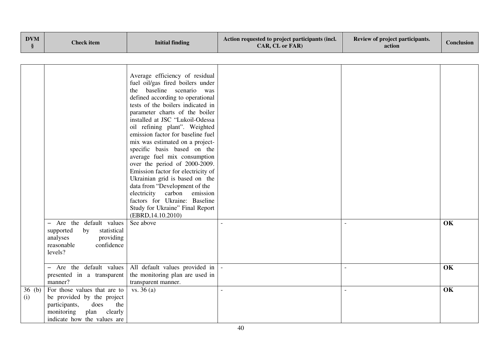| <b>DVM</b><br>$\S$ | <b>Check</b> item                                                                                                                                          | <b>Initial finding</b>                                                                                                                                                                                                                                                                                                                                                                                                                                                                                                                                                                                                                                                                         | Action requested to project participants (incl.<br>CAR, CL or FAR) | Review of project participants.<br>action | <b>Conclusion</b> |
|--------------------|------------------------------------------------------------------------------------------------------------------------------------------------------------|------------------------------------------------------------------------------------------------------------------------------------------------------------------------------------------------------------------------------------------------------------------------------------------------------------------------------------------------------------------------------------------------------------------------------------------------------------------------------------------------------------------------------------------------------------------------------------------------------------------------------------------------------------------------------------------------|--------------------------------------------------------------------|-------------------------------------------|-------------------|
|                    |                                                                                                                                                            |                                                                                                                                                                                                                                                                                                                                                                                                                                                                                                                                                                                                                                                                                                |                                                                    |                                           |                   |
|                    |                                                                                                                                                            | Average efficiency of residual<br>fuel oil/gas fired boilers under<br>baseline scenario was<br>the<br>defined according to operational<br>tests of the boilers indicated in<br>parameter charts of the boiler<br>installed at JSC "Lukoil-Odessa<br>oil refining plant". Weighted<br>emission factor for baseline fuel<br>mix was estimated on a project-<br>specific basis based on the<br>average fuel mix consumption<br>over the period of 2000-2009.<br>Emission factor for electricity of<br>Ukrainian grid is based on the<br>data from "Development of the<br>electricity carbon<br>emission<br>factors for Ukraine: Baseline<br>Study for Ukraine" Final Report<br>(EBRD, 14.10.2010) |                                                                    |                                           |                   |
|                    | - Are the default values<br>supported<br>statistical<br>by<br>analyses<br>providing<br>reasonable<br>confidence<br>levels?                                 | See above                                                                                                                                                                                                                                                                                                                                                                                                                                                                                                                                                                                                                                                                                      |                                                                    |                                           | OK                |
|                    | - Are the default values<br>presented in a transparent<br>manner?                                                                                          | All default values provided in<br>the monitoring plan are used in<br>transparent manner.                                                                                                                                                                                                                                                                                                                                                                                                                                                                                                                                                                                                       |                                                                    |                                           | OK                |
| 36(b)<br>(i)       | For those values that are to<br>be provided by the project<br>participants,<br>does<br>the<br>plan<br>monitoring<br>clearly<br>indicate how the values are | vs. 36(a)                                                                                                                                                                                                                                                                                                                                                                                                                                                                                                                                                                                                                                                                                      |                                                                    |                                           | OK                |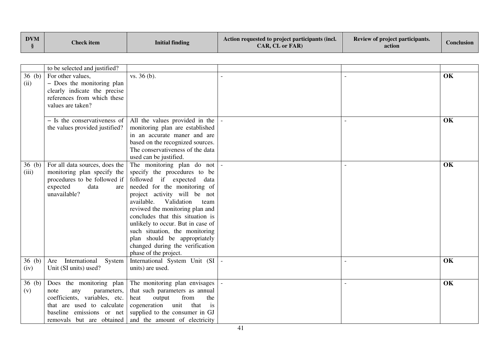| <b>DVM</b> | <b>Check item</b> | Initial finding | Action requested to project participants (incl.<br><b>CAR. CL or FAR)</b> | <b>Review of project participants.</b><br>action | <b>Conclusion</b> |
|------------|-------------------|-----------------|---------------------------------------------------------------------------|--------------------------------------------------|-------------------|
|------------|-------------------|-----------------|---------------------------------------------------------------------------|--------------------------------------------------|-------------------|

|       | to be selected and justified?                       |                                                         |  |    |
|-------|-----------------------------------------------------|---------------------------------------------------------|--|----|
| 36(b) | For other values,                                   | vs. 36(b).                                              |  | OK |
| (ii)  | - Does the monitoring plan                          |                                                         |  |    |
|       | clearly indicate the precise                        |                                                         |  |    |
|       | references from which these                         |                                                         |  |    |
|       | values are taken?                                   |                                                         |  |    |
|       |                                                     |                                                         |  |    |
|       | - Is the conservativeness of                        | All the values provided in the                          |  | OK |
|       | the values provided justified?                      | monitoring plan are established                         |  |    |
|       |                                                     | in an accurate maner and are                            |  |    |
|       |                                                     | based on the recognized sources.                        |  |    |
|       |                                                     | The conservativeness of the data                        |  |    |
|       |                                                     | used can be justified.                                  |  |    |
| 36(b) | For all data sources, does the                      | The monitoring plan do not                              |  | OK |
| (iii) | monitoring plan specify the                         | specify the procedures to be                            |  |    |
|       | procedures to be followed if                        | followed if expected data                               |  |    |
|       | expected<br>data<br>are                             | needed for the monitoring of                            |  |    |
|       | unavailable?                                        | project activity will be not                            |  |    |
|       |                                                     | available.<br>Validation<br>team                        |  |    |
|       |                                                     | reviwed the monitoring plan and                         |  |    |
|       |                                                     | concludes that this situation is                        |  |    |
|       |                                                     | unlikely to occur. But in case of                       |  |    |
|       |                                                     | such situation, the monitoring                          |  |    |
|       |                                                     | plan should be appropriately                            |  |    |
|       |                                                     | changed during the verification                         |  |    |
|       |                                                     | phase of the project.                                   |  |    |
| 36(b) | International<br>System<br>Are                      | International System Unit (SI                           |  | OK |
| (iv)  | Unit (SI units) used?                               | units) are used.                                        |  |    |
| 36(b) | Does the monitoring plan                            | The monitoring plan envisages                           |  | OK |
| (v)   | note                                                | that such parameters as annual                          |  |    |
|       | parameters,<br>any<br>coefficients, variables, etc. | from<br>heat<br>output<br>the                           |  |    |
|       | that are used to calculate                          | cogeneration unit that<br>$\frac{1}{1}$                 |  |    |
|       | baseline emissions or net                           | supplied to the consumer in GJ                          |  |    |
|       |                                                     | removals but are obtained and the amount of electricity |  |    |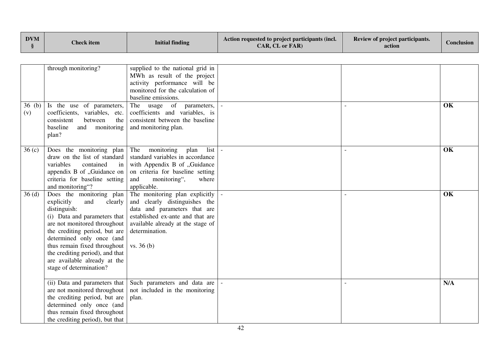| <b>DVM</b> | <b>Check item</b> | Initial finding | Action requested to project participants (incl.<br><b>CAR. CL or FAR)</b> | Review of project participants.<br>action | <b>Conclusion</b> |
|------------|-------------------|-----------------|---------------------------------------------------------------------------|-------------------------------------------|-------------------|
|------------|-------------------|-----------------|---------------------------------------------------------------------------|-------------------------------------------|-------------------|

|                   | through monitoring?                                      | supplied to the national grid in                              |  |           |
|-------------------|----------------------------------------------------------|---------------------------------------------------------------|--|-----------|
|                   |                                                          | MWh as result of the project<br>activity performance will be  |  |           |
|                   |                                                          | monitored for the calculation of                              |  |           |
|                   |                                                          | baseline emissions.                                           |  |           |
| 36 (b)            | Is the use of parameters,                                | The usage of<br>parameters,                                   |  | OK        |
| (v)               | coefficients, variables, etc.                            | coefficients and variables, is                                |  |           |
|                   | consistent<br>between<br>the<br>baseline                 | consistent between the baseline                               |  |           |
|                   | and monitoring<br>plan?                                  | and monitoring plan.                                          |  |           |
|                   |                                                          |                                                               |  |           |
| 36 <sub>(c)</sub> | Does the monitoring plan                                 | list<br>The<br>monitoring<br>plan                             |  | <b>OK</b> |
|                   | draw on the list of standard                             | standard variables in accordance                              |  |           |
|                   | variables<br>contained<br>in                             | with Appendix B of "Guidance                                  |  |           |
|                   | appendix B of "Guidance on                               | on criteria for baseline setting                              |  |           |
|                   | criteria for baseline setting                            | monitoring",<br>and<br>where                                  |  |           |
|                   | and monitoring"?                                         | applicable.                                                   |  |           |
| 36(d)             | Does the monitoring plan<br>explicitly<br>clearly<br>and | The monitoring plan explicitly                                |  | OK        |
|                   | distinguish:                                             | and clearly distinguishes the<br>data and parameters that are |  |           |
|                   | (i) Data and parameters that                             | established ex-ante and that are                              |  |           |
|                   | are not monitored throughout                             | available already at the stage of                             |  |           |
|                   | the crediting period, but are                            | determination.                                                |  |           |
|                   | determined only once (and                                |                                                               |  |           |
|                   | thus remain fixed throughout                             | vs. 36(b)                                                     |  |           |
|                   | the crediting period), and that                          |                                                               |  |           |
|                   | are available already at the                             |                                                               |  |           |
|                   | stage of determination?                                  |                                                               |  |           |
|                   | (ii) Data and parameters that                            | Such parameters and data are                                  |  | N/A       |
|                   | are not monitored throughout                             | not included in the monitoring                                |  |           |
|                   | the crediting period, but are                            | plan.                                                         |  |           |
|                   | determined only once (and                                |                                                               |  |           |
|                   | thus remain fixed throughout                             |                                                               |  |           |
|                   | the crediting period), but that                          |                                                               |  |           |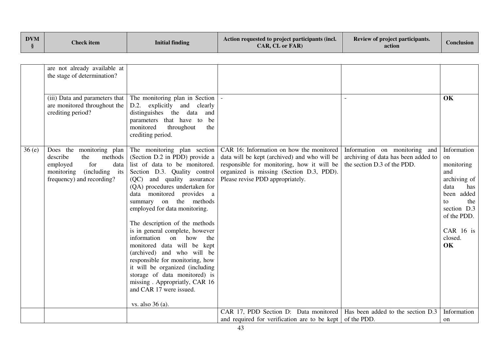| <b>DVM</b> | <b>Check item</b> | <b>Initial finding</b> | Action requested to project participants (incl.<br><b>CAR. CL or FAR)</b> | <b>Review of project participants.</b><br>action | Conclusion |
|------------|-------------------|------------------------|---------------------------------------------------------------------------|--------------------------------------------------|------------|
|------------|-------------------|------------------------|---------------------------------------------------------------------------|--------------------------------------------------|------------|

|       | are not already available at<br>the stage of determination?                                                                                        |                                                                                                                                                                                                                                                                                                                                                                                                                                                                                                                                                                                                                                                       |                                                                                                                                                                                                                        |                                                                                                     |                                                                                                                                                              |
|-------|----------------------------------------------------------------------------------------------------------------------------------------------------|-------------------------------------------------------------------------------------------------------------------------------------------------------------------------------------------------------------------------------------------------------------------------------------------------------------------------------------------------------------------------------------------------------------------------------------------------------------------------------------------------------------------------------------------------------------------------------------------------------------------------------------------------------|------------------------------------------------------------------------------------------------------------------------------------------------------------------------------------------------------------------------|-----------------------------------------------------------------------------------------------------|--------------------------------------------------------------------------------------------------------------------------------------------------------------|
|       | (iii) Data and parameters that<br>are monitored throughout the<br>crediting period?                                                                | The monitoring plan in Section<br>D.2. explicitly and clearly<br>distinguishes the data<br>and<br>parameters that have to<br>be<br>monitored<br>throughout<br>the<br>crediting period.                                                                                                                                                                                                                                                                                                                                                                                                                                                                |                                                                                                                                                                                                                        |                                                                                                     | OK                                                                                                                                                           |
| 36(e) | Does the monitoring plan<br>describe<br>methods<br>the<br>for<br>employed<br>data<br>(including)<br>its<br>monitoring<br>frequency) and recording? | The monitoring plan section<br>(Section D.2 in PDD) provide a<br>list of data to be monitored.<br>Section D.3. Quality control<br>(QC) and quality assurance<br>(QA) procedures undertaken for<br>data monitored provides a<br>summary on the methods<br>employed for data monitoring.<br>The description of the methods<br>is in general complete, however<br>information<br>on<br>how<br>the<br>monitored data will be kept<br>(archived) and who will be<br>responsible for monitoring, how<br>it will be organized (including<br>storage of data monitored) is<br>missing . Appropriatly, CAR 16<br>and CAR 17 were issued.<br>vs. also $36$ (a). | CAR 16: Information on how the monitored<br>data will be kept (archived) and who will be<br>responsible for monitoring, how it will be<br>organized is missing (Section D.3, PDD).<br>Please revise PDD appropriately. | Information on monitoring and<br>archiving of data has been added to<br>the section D.3 of the PDD. | Information<br>on<br>monitoring<br>and<br>archiving of<br>data<br>has<br>been added<br>the<br>to<br>section D.3<br>of the PDD.<br>CAR 16 is<br>closed.<br>OK |
|       |                                                                                                                                                    |                                                                                                                                                                                                                                                                                                                                                                                                                                                                                                                                                                                                                                                       | CAR 17, PDD Section D: Data monitored   Has been added to the section D.3                                                                                                                                              |                                                                                                     | Information                                                                                                                                                  |
|       |                                                                                                                                                    |                                                                                                                                                                                                                                                                                                                                                                                                                                                                                                                                                                                                                                                       | and required for verification are to be kept of the PDD.                                                                                                                                                               |                                                                                                     | on                                                                                                                                                           |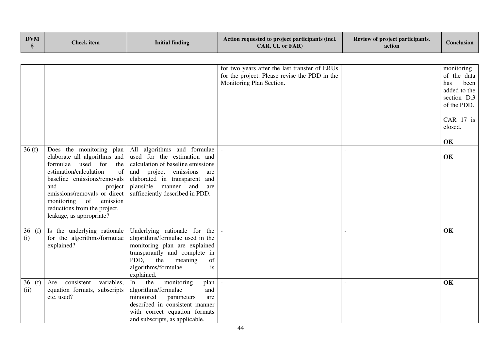| <b>DVM</b><br>§ | <b>Check item</b>                                                                                                                                                                                                                                                                                    | <b>Initial finding</b>                                                                                                                                                                                                             | Action requested to project participants (incl.<br>CAR, CL or FAR)                                                         | Review of project participants.<br>action | <b>Conclusion</b>                                                                      |
|-----------------|------------------------------------------------------------------------------------------------------------------------------------------------------------------------------------------------------------------------------------------------------------------------------------------------------|------------------------------------------------------------------------------------------------------------------------------------------------------------------------------------------------------------------------------------|----------------------------------------------------------------------------------------------------------------------------|-------------------------------------------|----------------------------------------------------------------------------------------|
|                 |                                                                                                                                                                                                                                                                                                      |                                                                                                                                                                                                                                    |                                                                                                                            |                                           |                                                                                        |
|                 |                                                                                                                                                                                                                                                                                                      |                                                                                                                                                                                                                                    | for two years after the last transfer of ERUs<br>for the project. Please revise the PDD in the<br>Monitoring Plan Section. |                                           | monitoring<br>of the data<br>been<br>has<br>added to the<br>section D.3<br>of the PDD. |
|                 |                                                                                                                                                                                                                                                                                                      |                                                                                                                                                                                                                                    |                                                                                                                            |                                           | CAR 17 is<br>closed.                                                                   |
|                 |                                                                                                                                                                                                                                                                                                      |                                                                                                                                                                                                                                    |                                                                                                                            |                                           | OK                                                                                     |
| 36(f)           | Does the monitoring plan<br>elaborate all algorithms and<br>for<br>formulae<br>used<br>the<br>estimation/calculation<br>of<br>baseline emissions/removals<br>and<br>project<br>emissions/removals or direct<br>monitoring of<br>emission<br>reductions from the project,<br>leakage, as appropriate? | All algorithms and formulae<br>used for the estimation and<br>calculation of baseline emissions<br>and project emissions<br>are<br>elaborated in transparent and<br>plausible manner and<br>are<br>suffieciently described in PDD. |                                                                                                                            |                                           | OK                                                                                     |
| 36 (f)<br>(i)   | Is the underlying rationale<br>for the algorithms/formulae<br>explained?                                                                                                                                                                                                                             | Underlying rationale for the<br>algorithms/formulae used in the<br>monitoring plan are explained<br>transparantly and complete in<br>PDD,<br>the<br>meaning<br>of<br>algorithms/formulae<br>is<br>explained.                       | $\mathbb{L}$                                                                                                               |                                           | OK                                                                                     |
| 36 (f)<br>(ii)  | consistent<br>variables,<br>Are<br>equation formats, subscripts<br>etc. used?                                                                                                                                                                                                                        | the<br>monitoring<br>In<br>plan<br>algorithms/formulae<br>and<br>minotored<br>parameters<br>are<br>described in consistent manner<br>with correct equation formats<br>and subscripts, as applicable.                               |                                                                                                                            |                                           | OK                                                                                     |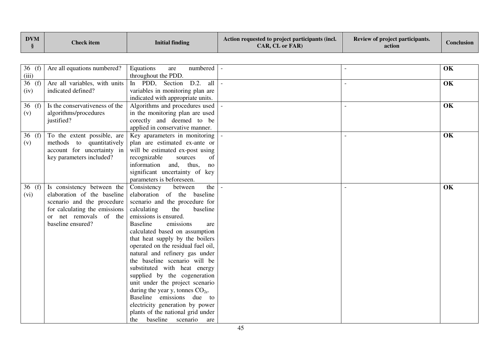| <b>DVM</b><br>$\S$ | <b>Check item</b>                                                                                                                                                       | <b>Initial finding</b>                                                                                                                                                                                                                                                                                                                                                                                                                                                                                                                                                                                                                                          | Action requested to project participants (incl.<br>CAR, CL or FAR) | Review of project participants.<br>action | <b>Conclusion</b> |
|--------------------|-------------------------------------------------------------------------------------------------------------------------------------------------------------------------|-----------------------------------------------------------------------------------------------------------------------------------------------------------------------------------------------------------------------------------------------------------------------------------------------------------------------------------------------------------------------------------------------------------------------------------------------------------------------------------------------------------------------------------------------------------------------------------------------------------------------------------------------------------------|--------------------------------------------------------------------|-------------------------------------------|-------------------|
|                    |                                                                                                                                                                         |                                                                                                                                                                                                                                                                                                                                                                                                                                                                                                                                                                                                                                                                 |                                                                    |                                           |                   |
| 36 $(f)$<br>(iii)  | Are all equations numbered?                                                                                                                                             | numbered<br>Equations<br>are<br>throughout the PDD.                                                                                                                                                                                                                                                                                                                                                                                                                                                                                                                                                                                                             |                                                                    |                                           | OK                |
| 36 (f)<br>(iv)     | Are all variables, with units<br>indicated defined?                                                                                                                     | In PDD, Section<br>$D.2.$ all<br>variables in monitoring plan are<br>indicated with appropriate units.                                                                                                                                                                                                                                                                                                                                                                                                                                                                                                                                                          | $\omega$                                                           |                                           | OK                |
| 36(f)<br>(v)       | Is the conservativeness of the<br>algorithms/procedures<br>justified?                                                                                                   | Algorithms and procedures used<br>in the monitoring plan are used<br>corectly and deemed to be<br>applied in conservative manner.                                                                                                                                                                                                                                                                                                                                                                                                                                                                                                                               |                                                                    |                                           | OK                |
| 36 $(f)$<br>(v)    | To the extent possible, are<br>methods to quantitatively<br>account for uncertainty in<br>key parameters included?                                                      | Key aparameters in monitoring<br>plan are estimated ex-ante or<br>will be estimated ex-post using<br>recognizable<br>sources<br>of<br>information<br>and, thus,<br>no<br>significant uncertainty of key<br>parameters is beforeseen.                                                                                                                                                                                                                                                                                                                                                                                                                            |                                                                    |                                           | OK                |
| 36 (f)<br>(vi)     | Is consistency between the<br>elaboration of the baseline<br>scenario and the procedure<br>for calculating the emissions<br>or net removals of the<br>baseline ensured? | Consistency<br>the<br>between<br>elaboration of the baseline<br>scenario and the procedure for<br>calculating<br>baseline<br>the<br>emissions is ensured.<br><b>Baseline</b><br>emissions<br>are<br>calculated based on assumption<br>that heat supply by the boilers<br>operated on the residual fuel oil,<br>natural and refinery gas under<br>the baseline scenario will be<br>substituted with heat energy<br>supplied by the cogeneration<br>unit under the project scenario<br>during the year y, tonnes $CO2e$ .<br>Baseline emissions due to<br>electricity generation by power<br>plants of the national grid under<br>baseline scenario<br>the<br>are |                                                                    |                                           | OK                |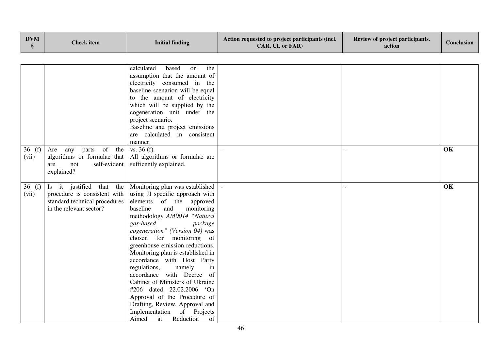| <b>DVM</b><br>$\S$ | <b>Check item</b>                                                                                                    | <b>Initial finding</b>                                                                                                                                                                                                                                                                                                                                                                                                                                                                                                                                                                                                    | Action requested to project participants (incl.<br>CAR, CL or FAR) | Review of project participants.<br>action | <b>Conclusion</b> |
|--------------------|----------------------------------------------------------------------------------------------------------------------|---------------------------------------------------------------------------------------------------------------------------------------------------------------------------------------------------------------------------------------------------------------------------------------------------------------------------------------------------------------------------------------------------------------------------------------------------------------------------------------------------------------------------------------------------------------------------------------------------------------------------|--------------------------------------------------------------------|-------------------------------------------|-------------------|
|                    |                                                                                                                      |                                                                                                                                                                                                                                                                                                                                                                                                                                                                                                                                                                                                                           |                                                                    |                                           |                   |
|                    |                                                                                                                      | calculated<br>based<br>the<br>on<br>assumption that the amount of<br>electricity consumed in the<br>baseline scenarion will be equal<br>to the amount of electricity<br>which will be supplied by the<br>cogeneration unit under the<br>project scenario.<br>Baseline and project emissions<br>are calculated in consistent<br>manner.                                                                                                                                                                                                                                                                                    |                                                                    |                                           |                   |
| 36 (f)<br>(vii)    | of the<br>Are<br>any parts<br>algorithms or formulae that<br>self-evident<br>are<br>not<br>explained?                | vs. $36(f)$ .<br>All algorithms or formulae are<br>sufficently explained.                                                                                                                                                                                                                                                                                                                                                                                                                                                                                                                                                 |                                                                    |                                           | OK                |
| 36 (f)<br>(vii)    | Is it justified that the<br>procedure is consistent with<br>standard technical procedures<br>in the relevant sector? | Monitoring plan was established<br>using JI specific approach with<br>elements of the approved<br>baseline<br>and<br>monitoring<br>methodology AM0014 "Natural<br>gas-based<br>package<br>cogeneration" (Version 04) was<br>chosen for monitoring of<br>greenhouse emission reductions.<br>Monitoring plan is established in<br>accordance with Host Party<br>regulations,<br>namely<br>in<br>accordance with Decree of<br>Cabinet of Ministers of Ukraine<br>#206 dated 22.02.2006 'On<br>Approval of the Procedure of<br>Drafting, Review, Approval and<br>Implementation of Projects<br>Aimed<br>Reduction<br>at<br>of |                                                                    |                                           | OK                |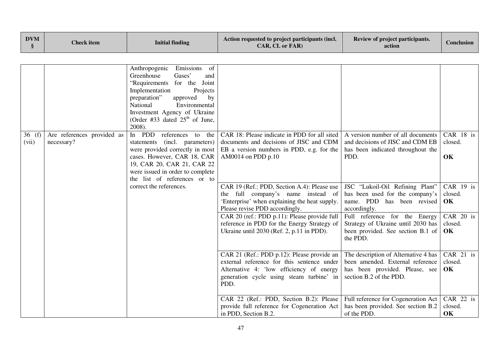| <b>DVM</b><br>§   | <b>Check item</b>                        | <b>Initial finding</b>                                                                                                                                                                                                                                                 | Action requested to project participants (incl.<br>CAR, CL or FAR)                                                                                                                       | Review of project participants.<br>action                                                                                             | <b>Conclusion</b>          |
|-------------------|------------------------------------------|------------------------------------------------------------------------------------------------------------------------------------------------------------------------------------------------------------------------------------------------------------------------|------------------------------------------------------------------------------------------------------------------------------------------------------------------------------------------|---------------------------------------------------------------------------------------------------------------------------------------|----------------------------|
|                   |                                          |                                                                                                                                                                                                                                                                        |                                                                                                                                                                                          |                                                                                                                                       |                            |
|                   |                                          | Emissions of<br>Anthropogenic<br>Greenhouse<br>Gases'<br>and<br>"Requirements for the Joint<br>Implementation<br>Projects<br>preparation"<br>approved<br>by<br>National<br>Environmental<br>Investment Agency of Ukraine<br>(Order #33 dated $25th$ of June,<br>2008). |                                                                                                                                                                                          |                                                                                                                                       |                            |
| 36 $(f)$<br>(vii) | Are references provided as<br>necessary? | In PDD<br>references to the<br>statements (incl. parameters)<br>were provided correctly in most                                                                                                                                                                        | CAR 18: Please indicate in PDD for all sited<br>documents and decisions of JISC and CDM<br>EB a version numbers in PDD, e.g. for the                                                     | A version number of all documents<br>and decisions of JISC and CDM EB<br>has been indicated throughout the                            | CAR 18 is<br>closed.       |
|                   |                                          | cases. However, CAR 18, CAR<br>19, CAR 20, CAR 21, CAR 22<br>were issued in order to complete<br>the list of references or to                                                                                                                                          | AM0014 on PDD $p.10$                                                                                                                                                                     | PDD.                                                                                                                                  | OK                         |
|                   |                                          | correct the references.                                                                                                                                                                                                                                                | CAR 19 (Ref.: PDD, Section A.4): Please use<br>the full company's name instead of<br>'Enterprise' when explaining the heat supply.<br>Please revise PDD accordingly.                     | JSC "Lukoil-Oil Refining Plant"<br>has been used for the company's<br>name. PDD has been revised<br>accordingly.                      | CAR 19 is<br>closed.<br>OK |
|                   |                                          |                                                                                                                                                                                                                                                                        | CAR 20 (ref.: PDD p.11): Please provide full<br>reference in PDD for the Energy Strategy of<br>Ukraine until 2030 (Ref. 2, p.11 in PDD).                                                 | Full reference for the Energy<br>Strategy of Ukraine until 2030 has<br>been provided. See section B.1 of<br>the PDD.                  | CAR 20 is<br>closed.<br>OK |
|                   |                                          |                                                                                                                                                                                                                                                                        | CAR 21 (Ref.: PDD p.12): Please provide an<br>external reference for this sentence under<br>Alternative 4: 'low efficiency of energy<br>generation cycle using steam turbine' in<br>PDD. | The description of Alternative 4 has<br>been amended. External reference<br>has been provided. Please, see<br>section B.2 of the PDD. | CAR 21 is<br>closed.<br>OK |
|                   |                                          |                                                                                                                                                                                                                                                                        | CAR 22 (Ref.: PDD, Section B.2): Please<br>provide full reference for Cogeneration Act<br>in PDD, Section B.2.                                                                           | Full reference for Cogeneration Act<br>has been provided. See section B.2<br>of the PDD.                                              | CAR 22 is<br>closed.<br>OK |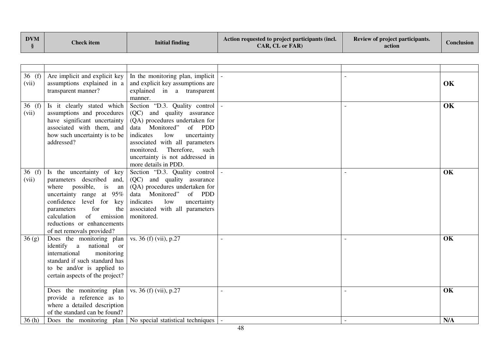| <b>DVM</b> | <b>Check item</b> | Initial finding | Action requested to project participants (incl.<br><b>CAR. CL or FAR)</b> | <b>Review of project participants.</b><br>action | <b>Conclusion</b> |
|------------|-------------------|-----------------|---------------------------------------------------------------------------|--------------------------------------------------|-------------------|
|------------|-------------------|-----------------|---------------------------------------------------------------------------|--------------------------------------------------|-------------------|

| 36 (f)   | Are implicit and explicit key           | In the monitoring plan, implicit                                   |        |     |
|----------|-----------------------------------------|--------------------------------------------------------------------|--------|-----|
| (vii)    | assumptions explained in a              | and explicit key assumptions are                                   |        | OK  |
|          | transparent manner?                     | explained in a transparent                                         |        |     |
|          |                                         | manner.                                                            |        |     |
| 36 $(f)$ | Is it clearly stated which              | Section "D.3. Quality control                                      | $\sim$ | OK  |
| (vii)    | assumptions and procedures              | (QC) and quality assurance                                         |        |     |
|          | have significant uncertainty            | (QA) procedures undertaken for                                     |        |     |
|          |                                         | data Monitored"                                                    |        |     |
|          | associated with them, and               | of PDD                                                             |        |     |
|          | how such uncertainty is to be           | indicates<br>low<br>uncertainty                                    |        |     |
|          | addressed?                              | associated with all parameters                                     |        |     |
|          |                                         | Therefore, such<br>monitored.                                      |        |     |
|          |                                         | uncertainty is not addressed in                                    |        |     |
|          |                                         | more details in PDD.                                               |        |     |
| 36 (f)   | Is the uncertainty of key               | Section "D.3. Quality control                                      |        | OK  |
| (vii)    | parameters described<br>and,            | (QC) and quality assurance                                         |        |     |
|          | where possible, is<br>an                | (QA) procedures undertaken for                                     |        |     |
|          | uncertainty range at<br>95%             | data Monitored"<br>of PDD                                          |        |     |
|          | confidence level for<br>key             | indicates<br>low<br>uncertainty                                    |        |     |
|          | for<br>the<br>parameters                | associated with all parameters                                     |        |     |
|          | of emission<br>calculation              | monitored.                                                         |        |     |
|          | reductions or enhancements              |                                                                    |        |     |
|          | of net removals provided?               |                                                                    |        |     |
| 36(g)    | Does the monitoring plan                | vs. 36 (f) (vii), p.27                                             |        | OK  |
|          | national<br>identify a<br><sub>or</sub> |                                                                    |        |     |
|          |                                         |                                                                    |        |     |
|          | international<br>monitoring             |                                                                    |        |     |
|          | standard if such standard has           |                                                                    |        |     |
|          | to be and/or is applied to              |                                                                    |        |     |
|          | certain aspects of the project?         |                                                                    |        |     |
|          |                                         |                                                                    |        |     |
|          | Does the monitoring plan                | vs. 36 (f) (vii), p.27                                             |        | OK  |
|          | provide a reference as to               |                                                                    |        |     |
|          | where a detailed description            |                                                                    |        |     |
|          | of the standard can be found?           |                                                                    |        |     |
| 36(h)    |                                         | Does the monitoring plan $\vert$ No special statistical techniques |        | N/A |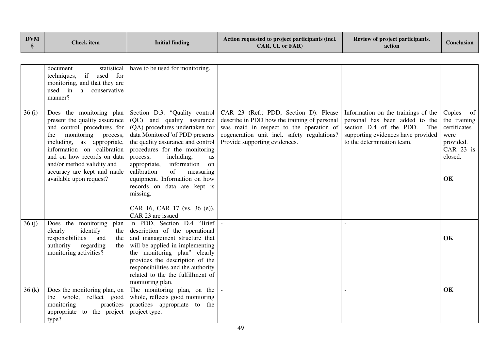| <b>DVM</b><br>§ | <b>Check</b> item                                                                                                                                                                                                                                                                                         | <b>Initial finding</b>                                                                                                                                                                                                                                                                                                                                                                                                                                 | Action requested to project participants (incl.<br>CAR, CL or FAR)                                                                                                                                               | Review of project participants.<br>action                                                                                                                                   | <b>Conclusion</b>                                                                                 |
|-----------------|-----------------------------------------------------------------------------------------------------------------------------------------------------------------------------------------------------------------------------------------------------------------------------------------------------------|--------------------------------------------------------------------------------------------------------------------------------------------------------------------------------------------------------------------------------------------------------------------------------------------------------------------------------------------------------------------------------------------------------------------------------------------------------|------------------------------------------------------------------------------------------------------------------------------------------------------------------------------------------------------------------|-----------------------------------------------------------------------------------------------------------------------------------------------------------------------------|---------------------------------------------------------------------------------------------------|
|                 |                                                                                                                                                                                                                                                                                                           |                                                                                                                                                                                                                                                                                                                                                                                                                                                        |                                                                                                                                                                                                                  |                                                                                                                                                                             |                                                                                                   |
|                 | statistical<br>document<br>techniques, if used for<br>monitoring, and that they are<br>used in a conservative<br>manner?                                                                                                                                                                                  | have to be used for monitoring.                                                                                                                                                                                                                                                                                                                                                                                                                        |                                                                                                                                                                                                                  |                                                                                                                                                                             |                                                                                                   |
| 36(i)           | Does the monitoring plan<br>present the quality assurance<br>and control procedures for<br>monitoring<br>process,<br>the<br>including, as appropriate,<br>information on calibration<br>and on how records on data<br>and/or method validity and<br>accuracy are kept and made<br>available upon request? | Section D.3. "Quality control<br>(QC) and quality assurance<br>(QA) procedures undertaken for<br>data Monitored" of PDD presents<br>the quality assurance and control<br>procedures for the monitoring<br>including,<br>process,<br><b>as</b><br>appropriate,<br>information<br>on<br>calibration<br>of<br>measuring<br>equipment. Information on how<br>records on data are kept is<br>missing.<br>CAR 16, CAR 17 (vs. 36 (e)),<br>CAR 23 are issued. | CAR 23 (Ref.: PDD, Section D): Please<br>describe in PDD how the training of personal<br>was maid in respect to the operation of<br>cogeneration unit incl. safety regulations?<br>Provide supporting evidences. | Information on the trainings of the<br>personal has been added to the<br>section D.4 of the PDD.<br>The<br>supporting evidences have provided<br>to the determination team. | Copies<br>- of<br>the training<br>certificates<br>were<br>provided.<br>CAR 23 is<br>closed.<br>OK |
| 36(j)           | Does the monitoring plan<br>clearly<br>identify<br>the<br>responsibilities<br>and<br>the<br>authority<br>regarding<br>the<br>monitoring activities?                                                                                                                                                       | In PDD, Section D.4 "Brief<br>description of the operational<br>and management structure that<br>will be applied in implementing<br>the monitoring plan" clearly<br>provides the description of the<br>responsibilities and the authority<br>related to the the fulfillment of<br>monitoring plan.                                                                                                                                                     |                                                                                                                                                                                                                  |                                                                                                                                                                             | OK                                                                                                |
| 36(k)           | Does the monitoring plan, on<br>the whole, reflect good<br>monitoring<br>practices<br>appropriate to the project<br>type?                                                                                                                                                                                 | The monitoring plan, on the<br>whole, reflects good monitoring<br>practices appropriate to the<br>project type.                                                                                                                                                                                                                                                                                                                                        |                                                                                                                                                                                                                  |                                                                                                                                                                             | OK                                                                                                |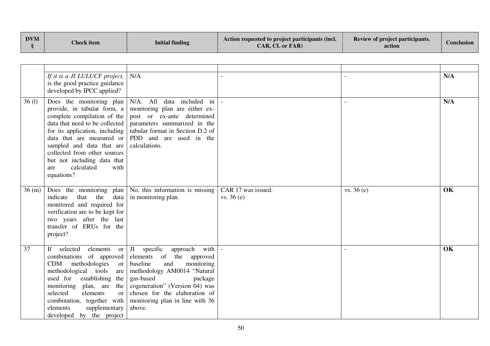| <b>DVM</b><br><b>Review of project participants.</b><br>Action requested to project participants (incl.<br><b>Initial finding</b><br><b>Check item</b><br><b>CAR. CL or FAR)</b><br>action | Conclusion |
|--------------------------------------------------------------------------------------------------------------------------------------------------------------------------------------------|------------|
|--------------------------------------------------------------------------------------------------------------------------------------------------------------------------------------------|------------|

|       | If it is a JI LULUCF project,<br>is the good practice guidance<br>developed by IPCC applied?                                                                                                                                                                                                                                   | N/A                                                                                                                                                                                                                                                                    |                                 |           | N/A |
|-------|--------------------------------------------------------------------------------------------------------------------------------------------------------------------------------------------------------------------------------------------------------------------------------------------------------------------------------|------------------------------------------------------------------------------------------------------------------------------------------------------------------------------------------------------------------------------------------------------------------------|---------------------------------|-----------|-----|
| 36(1) | Does the monitoring plan<br>provide, in tabular form, a<br>complete compilation of the<br>data that need to be collected<br>for its application, including<br>data that are measured or<br>sampled and data that are<br>collected from other sources<br>but not including data that<br>calculated<br>with<br>are<br>equations? | N/A. All data included in<br>monitoring plan are either ex-<br>post or ex-ante determined<br>parameters summarized in the<br>tabular format in Section D.2 of<br>PDD and are used in the<br>calculations.                                                              |                                 |           | N/A |
| 36(m) | Does the monitoring plan<br>the<br>indicate<br>that<br>data<br>monitored and required for<br>verification are to be kept for<br>two years after the last<br>transfer of ERUs for the<br>project?                                                                                                                               | No, this information is missing<br>in monitoring plan.                                                                                                                                                                                                                 | CAR 17 was issued.<br>vs. 36(e) | vs. 36(e) | OK  |
| 37    | If selected<br>elements<br>or<br>combinations of approved<br>CDM methodologies<br><sub>or</sub><br>methodological tools<br>are<br>used for<br>establishing the<br>monitoring plan, are<br>the<br>elements<br>selected<br>$\alpha$<br>combination, together with<br>elements<br>supplementary<br>developed by the project       | JI<br>specific<br>approach<br>with<br>elements of the approved<br>baseline<br>monitoring<br>and<br>methodology AM0014 "Natural<br>gas-based<br>package<br>cogeneration" (Version 04) was<br>chosen for the elaboration of<br>monitoring plan in line with 36<br>above. |                                 |           | OK  |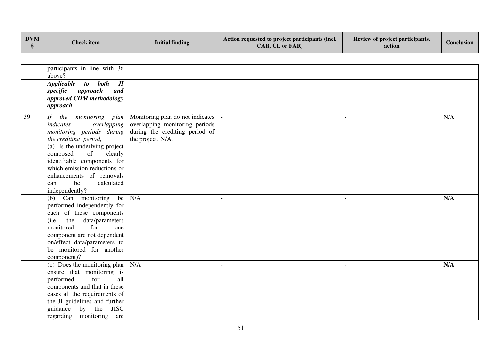| <b>DVM</b> | <b>Check item</b> | <b>Initial finding</b> | Action requested to project participants (incl.<br><b>CAR. CL or FAR)</b> | Review of project participants.<br>action | Conclusion |
|------------|-------------------|------------------------|---------------------------------------------------------------------------|-------------------------------------------|------------|
|------------|-------------------|------------------------|---------------------------------------------------------------------------|-------------------------------------------|------------|

|    | participants in line with 36<br>above?                        |                                                           |  |     |
|----|---------------------------------------------------------------|-----------------------------------------------------------|--|-----|
|    | Applicable to both<br>$J\!I$                                  |                                                           |  |     |
|    | specific<br>approach<br>and                                   |                                                           |  |     |
|    | approved CDM methodology                                      |                                                           |  |     |
|    | approach                                                      |                                                           |  |     |
| 39 |                                                               | If the monitoring plan   Monitoring plan do not indicates |  | N/A |
|    | overlapping<br>indicates                                      | overlapping monitoring periods                            |  |     |
|    | monitoring periods during                                     | during the crediting period of                            |  |     |
|    | the crediting period,                                         | the project. N/A.                                         |  |     |
|    | (a) Is the underlying project                                 |                                                           |  |     |
|    | composed<br>of<br>clearly                                     |                                                           |  |     |
|    | identifiable components for                                   |                                                           |  |     |
|    | which emission reductions or                                  |                                                           |  |     |
|    | enhancements of removals                                      |                                                           |  |     |
|    | be<br>calculated<br>can                                       |                                                           |  |     |
|    | independently?                                                |                                                           |  |     |
|    | (b) Can monitoring                                            | be $N/A$                                                  |  | N/A |
|    | performed independently for                                   |                                                           |  |     |
|    | each of these components                                      |                                                           |  |     |
|    | the<br>data/parameters<br>(i.e.                               |                                                           |  |     |
|    | monitored<br>for<br>one                                       |                                                           |  |     |
|    | component are not dependent                                   |                                                           |  |     |
|    | on/effect data/parameters to                                  |                                                           |  |     |
|    | be monitored for another                                      |                                                           |  |     |
|    | component)?                                                   |                                                           |  |     |
|    | (c) Does the monitoring plan $\vert$                          | N/A                                                       |  | N/A |
|    | ensure that monitoring is<br>for                              |                                                           |  |     |
|    | performed<br>all                                              |                                                           |  |     |
|    | components and that in these<br>cases all the requirements of |                                                           |  |     |
|    | the JI guidelines and further                                 |                                                           |  |     |
|    | guidance by the<br><b>JISC</b>                                |                                                           |  |     |
|    | regarding monitoring<br>are                                   |                                                           |  |     |
|    |                                                               |                                                           |  |     |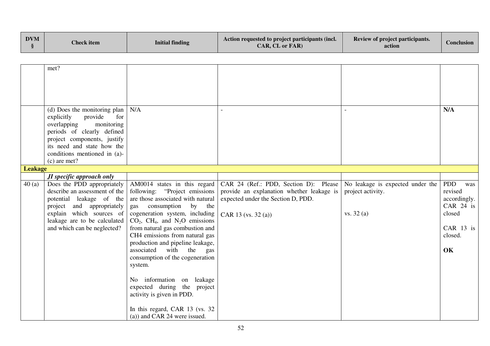| <b>DVM</b> | <b>Check item</b> | Initial finding | Action requested to project participants (incl.<br><b>CAR. CL or FAR)</b> | Review of project participants.<br>action | <b>Conclusion</b> |
|------------|-------------------|-----------------|---------------------------------------------------------------------------|-------------------------------------------|-------------------|
|------------|-------------------|-----------------|---------------------------------------------------------------------------|-------------------------------------------|-------------------|

|                | met?                                                                                                                                                                                                            |                                                                                                                                                                                                                                                                                                                                                                                                                                                                                                                                                                                         |                                                                                                                                                 |                                                                    |                                                                                                   |
|----------------|-----------------------------------------------------------------------------------------------------------------------------------------------------------------------------------------------------------------|-----------------------------------------------------------------------------------------------------------------------------------------------------------------------------------------------------------------------------------------------------------------------------------------------------------------------------------------------------------------------------------------------------------------------------------------------------------------------------------------------------------------------------------------------------------------------------------------|-------------------------------------------------------------------------------------------------------------------------------------------------|--------------------------------------------------------------------|---------------------------------------------------------------------------------------------------|
|                |                                                                                                                                                                                                                 |                                                                                                                                                                                                                                                                                                                                                                                                                                                                                                                                                                                         |                                                                                                                                                 |                                                                    |                                                                                                   |
|                |                                                                                                                                                                                                                 |                                                                                                                                                                                                                                                                                                                                                                                                                                                                                                                                                                                         |                                                                                                                                                 |                                                                    |                                                                                                   |
|                |                                                                                                                                                                                                                 |                                                                                                                                                                                                                                                                                                                                                                                                                                                                                                                                                                                         |                                                                                                                                                 |                                                                    |                                                                                                   |
|                |                                                                                                                                                                                                                 |                                                                                                                                                                                                                                                                                                                                                                                                                                                                                                                                                                                         |                                                                                                                                                 |                                                                    |                                                                                                   |
|                | (d) Does the monitoring plan<br>explicitly<br>provide<br>for<br>overlapping<br>monitoring<br>periods of clearly defined<br>project components, justify<br>its need and state how the                            | N/A                                                                                                                                                                                                                                                                                                                                                                                                                                                                                                                                                                                     |                                                                                                                                                 |                                                                    | N/A                                                                                               |
|                | conditions mentioned in (a)-                                                                                                                                                                                    |                                                                                                                                                                                                                                                                                                                                                                                                                                                                                                                                                                                         |                                                                                                                                                 |                                                                    |                                                                                                   |
|                | $(c)$ are met?                                                                                                                                                                                                  |                                                                                                                                                                                                                                                                                                                                                                                                                                                                                                                                                                                         |                                                                                                                                                 |                                                                    |                                                                                                   |
| <b>Leakage</b> |                                                                                                                                                                                                                 |                                                                                                                                                                                                                                                                                                                                                                                                                                                                                                                                                                                         |                                                                                                                                                 |                                                                    |                                                                                                   |
|                | JI specific approach only                                                                                                                                                                                       |                                                                                                                                                                                                                                                                                                                                                                                                                                                                                                                                                                                         |                                                                                                                                                 |                                                                    |                                                                                                   |
| 40(a)          | Does the PDD appropriately<br>describe an assessment of the<br>potential leakage of the<br>project and appropriately<br>explain which sources of<br>leakage are to be calculated<br>and which can be neglected? | AM0014 states in this regard<br>following: "Project emissions<br>are those associated with natural<br>consumption<br>by the<br>gas<br>cogeneration system, including<br>$CO2$ , CH <sub>4</sub> , and N <sub>2</sub> O emissions<br>from natural gas combustion and<br>CH4 emissions from natural gas<br>production and pipeline leakage,<br>associated<br>with<br>the<br>gas<br>consumption of the cogeneration<br>system.<br>No information on leakage<br>expected during the project<br>activity is given in PDD.<br>In this regard, CAR 13 (vs. 32)<br>(a)) and CAR 24 were issued. | CAR 24 (Ref.: PDD, Section D): Please<br>provide an explanation whether leakage is<br>expected under the Section D, PDD.<br>CAR 13 (vs. 32 (a)) | No leakage is expected under the<br>project activity.<br>vs. 32(a) | <b>PDD</b><br>was<br>revised<br>accordingly.<br>CAR 24 is<br>closed<br>CAR 13 is<br>closed.<br>OK |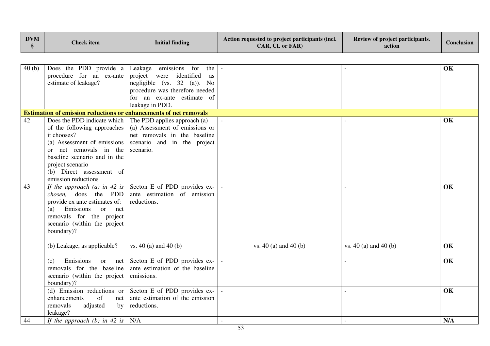| <b>DVM</b><br>§ | <b>Check</b> item                                                                                                                                                                                                                                                                                                                                                                                                           | <b>Initial finding</b>                                                                                                                                                                                                                                       | Action requested to project participants (incl.<br>CAR, CL or FAR) | Review of project participants.<br>action | <b>Conclusion</b> |
|-----------------|-----------------------------------------------------------------------------------------------------------------------------------------------------------------------------------------------------------------------------------------------------------------------------------------------------------------------------------------------------------------------------------------------------------------------------|--------------------------------------------------------------------------------------------------------------------------------------------------------------------------------------------------------------------------------------------------------------|--------------------------------------------------------------------|-------------------------------------------|-------------------|
|                 |                                                                                                                                                                                                                                                                                                                                                                                                                             |                                                                                                                                                                                                                                                              |                                                                    |                                           |                   |
| 40(b)           | Does the PDD provide a Leakage emissions for<br>procedure for an ex-ante<br>estimate of leakage?                                                                                                                                                                                                                                                                                                                            | the<br>project were<br>identified<br>as<br>negligible (vs. 32 (a)). No<br>procedure was therefore needed<br>for an ex-ante estimate of<br>leakage in PDD.                                                                                                    |                                                                    |                                           | OK                |
|                 | <b>Estimation of emission reductions or enhancements of net removals</b>                                                                                                                                                                                                                                                                                                                                                    |                                                                                                                                                                                                                                                              |                                                                    |                                           |                   |
| 42<br>43        | of the following approaches<br>it chooses?<br>(a) Assessment of emissions<br>or net removals in the<br>baseline scenario and in the<br>project scenario<br>(b) Direct assessment of<br>emission reductions<br>If the approach $(a)$ in 42 is<br>chosen, does the PDD<br>provide ex ante estimates of:<br>Emissions<br><sub>or</sub><br>(a)<br>net<br>removals for the project<br>scenario (within the project<br>boundary)? | Does the PDD indicate which $\vert$ The PDD applies approach (a)<br>(a) Assessment of emissions or<br>net removals in the baseline<br>scenario and in the project<br>scenario.<br>Secton E of PDD provides ex-<br>ante estimation of emission<br>reductions. |                                                                    |                                           | OK<br>OK          |
|                 | (b) Leakage, as applicable?                                                                                                                                                                                                                                                                                                                                                                                                 | vs. $40$ (a) and $40$ (b)                                                                                                                                                                                                                                    | vs. 40 (a) and 40 (b)                                              | vs. $40$ (a) and $40$ (b)                 | OK                |
|                 | Emissions<br><b>or</b><br>(c)<br>net<br>removals for the baseline<br>scenario (within the project<br>boundary)?                                                                                                                                                                                                                                                                                                             | Secton E of PDD provides ex-<br>ante estimation of the baseline<br>emissions.                                                                                                                                                                                |                                                                    |                                           | OK                |
|                 | $(d)$ Emission reductions or<br>enhancements<br>of<br>net<br>removals<br>adjusted<br>by<br>leakage?                                                                                                                                                                                                                                                                                                                         | Secton E of PDD provides ex-<br>ante estimation of the emission<br>reductions.                                                                                                                                                                               |                                                                    |                                           | OK                |
| 44              | If the approach (b) in 42 is $N/A$                                                                                                                                                                                                                                                                                                                                                                                          |                                                                                                                                                                                                                                                              |                                                                    |                                           | N/A               |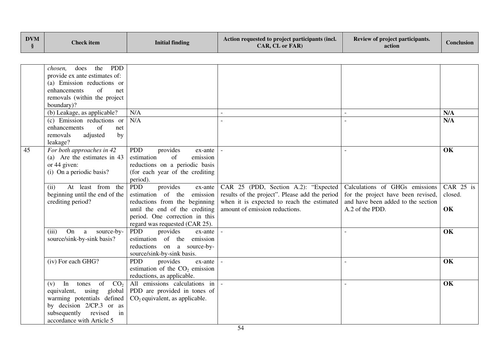| <b>DVM</b><br>§ | <b>Check</b> item                                                                                                                                                                                     | <b>Initial finding</b>                                                                                                                                                                                    | Action requested to project participants (incl.<br>CAR, CL or FAR)                                                                                                     | Review of project participants.<br>action                                                                                     | <b>Conclusion</b>          |
|-----------------|-------------------------------------------------------------------------------------------------------------------------------------------------------------------------------------------------------|-----------------------------------------------------------------------------------------------------------------------------------------------------------------------------------------------------------|------------------------------------------------------------------------------------------------------------------------------------------------------------------------|-------------------------------------------------------------------------------------------------------------------------------|----------------------------|
|                 |                                                                                                                                                                                                       |                                                                                                                                                                                                           |                                                                                                                                                                        |                                                                                                                               |                            |
|                 | PDD<br>does<br>the<br>chosen,<br>provide ex ante estimates of:<br>(a) Emission reductions or<br>of<br>enhancements<br>net<br>removals (within the project<br>boundary)?                               |                                                                                                                                                                                                           |                                                                                                                                                                        |                                                                                                                               |                            |
|                 | (b) Leakage, as applicable?                                                                                                                                                                           | N/A                                                                                                                                                                                                       |                                                                                                                                                                        |                                                                                                                               | N/A                        |
|                 | (c) Emission reductions or<br>enhancements<br>of<br>net<br>adjusted<br>removals<br>by<br>leakage?                                                                                                     | N/A                                                                                                                                                                                                       |                                                                                                                                                                        |                                                                                                                               | N/A                        |
| 45              | For both approaches in 42<br>(a) Are the estimates in 43<br>or 44 given:<br>(i) On a periodic basis?                                                                                                  | <b>PDD</b><br>provides<br>ex-ante<br>of<br>estimation<br>emission<br>reductions on a periodic basis<br>(for each year of the crediting<br>period).                                                        |                                                                                                                                                                        |                                                                                                                               | OK                         |
|                 | At least from the<br>(ii)<br>beginning until the end of the<br>crediting period?                                                                                                                      | <b>PDD</b><br>provides<br>ex-ante<br>estimation of the<br>emission<br>reductions from the beginning<br>until the end of the crediting<br>period. One correction in this<br>regard was requested (CAR 25). | CAR 25 (PDD, Section A.2): "Expected<br>results of the project". Please add the period<br>when it is expected to reach the estimated<br>amount of emission reductions. | Calculations of GHGs emissions<br>for the project have been revised,<br>and have been added to the section<br>A.2 of the PDD. | CAR 25 is<br>closed.<br>OK |
|                 | On<br>(iii)<br>a<br>source-by-<br>source/sink-by-sink basis?                                                                                                                                          | <b>PDD</b><br>provides<br>ex-ante<br>estimation of the<br>emission<br>reductions on a source-by-<br>source/sink-by-sink basis.                                                                            |                                                                                                                                                                        |                                                                                                                               | OK                         |
|                 | (iv) For each GHG?                                                                                                                                                                                    | <b>PDD</b><br>provides<br>ex-ante<br>estimation of the $CO2$ emission<br>reductions, as applicable.                                                                                                       | $\sim$                                                                                                                                                                 |                                                                                                                               | OK                         |
|                 | In<br>tones<br>of<br>CO <sub>2</sub><br>(v)<br>using<br>global<br>equivalent,<br>warming potentials defined<br>by decision 2/CP.3 or as<br>subsequently<br>revised<br>in<br>accordance with Article 5 | All emissions calculations in<br>PDD are provided in tones of<br>$CO2$ equivalent, as applicable.                                                                                                         |                                                                                                                                                                        |                                                                                                                               | OK                         |

г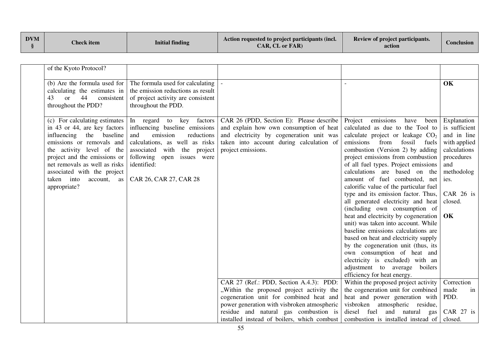| <b>DVM</b> | <b>Check item</b> | <b>Initial finding</b> | Action requested to project participants (incl.<br><b>CAR. CL or FAR)</b> | Review of project participants.<br>action | <b>Conclusion</b> |
|------------|-------------------|------------------------|---------------------------------------------------------------------------|-------------------------------------------|-------------------|
|------------|-------------------|------------------------|---------------------------------------------------------------------------|-------------------------------------------|-------------------|

| of the Kyoto Protocol?                                                                                                                                                                                                                                                                           |                                                                                                                                                                                                                                                 |                                                                                                                                                                                                   |                                                                                                                                                                                                                                                                                                                                                                                                                                                                                                                                                                                                                                                                                                                                                                                                                                                     |                                                                                                                                                      |
|--------------------------------------------------------------------------------------------------------------------------------------------------------------------------------------------------------------------------------------------------------------------------------------------------|-------------------------------------------------------------------------------------------------------------------------------------------------------------------------------------------------------------------------------------------------|---------------------------------------------------------------------------------------------------------------------------------------------------------------------------------------------------|-----------------------------------------------------------------------------------------------------------------------------------------------------------------------------------------------------------------------------------------------------------------------------------------------------------------------------------------------------------------------------------------------------------------------------------------------------------------------------------------------------------------------------------------------------------------------------------------------------------------------------------------------------------------------------------------------------------------------------------------------------------------------------------------------------------------------------------------------------|------------------------------------------------------------------------------------------------------------------------------------------------------|
| (b) Are the formula used for<br>calculating the estimates in<br>43<br><sub>or</sub><br>44<br>consistent<br>throughout the PDD?                                                                                                                                                                   | The formula used for calculating<br>the emission reductions as result<br>of project activity are consistent<br>throughout the PDD.                                                                                                              |                                                                                                                                                                                                   |                                                                                                                                                                                                                                                                                                                                                                                                                                                                                                                                                                                                                                                                                                                                                                                                                                                     | OK                                                                                                                                                   |
| (c) For calculating estimates<br>in 43 or 44, are key factors<br>influencing the baseline<br>emissions or removals and<br>the activity level of the<br>project and the emissions or<br>net removals as well as risks<br>associated with the project<br>taken into<br>account, as<br>appropriate? | factors<br>In regard<br>to<br>key<br>influencing baseline emissions<br>emission<br>reductions<br>and<br>calculations, as well as risks<br>associated with<br>the project<br>following open issues were<br>identified:<br>CAR 26, CAR 27, CAR 28 | CAR 26 (PDD, Section E): Please describe<br>and explain how own consumption of heat<br>and electricity by cogeneration unit was<br>taken into account during calculation of<br>project emissions. | Project<br>emissions<br>have<br>been<br>calculated as due to the Tool to<br>calculate project or leakage CO <sub>2</sub><br>emissions<br>from<br>fossil<br>fuels<br>combustion (Version 2) by adding<br>project emissions from combustion<br>of all fuel types. Project emissions<br>calculations are based on the<br>amount of fuel combusted, net<br>calorific value of the particular fuel<br>type and its emission factor. Thus,<br>all generated electricity and heat<br>(including own consumption of<br>heat and electricity by cogeneration<br>unit) was taken into account. While<br>baseline emissions calculations are<br>based on heat and electricity supply<br>by the cogeneration unit (thus, its<br>own consumption of heat and<br>electricity is excluded) with an<br>adjustment to average boilers<br>efficiency for heat energy. | Explanation<br>is sufficient<br>and in line<br>with applied<br>calculations<br>procedures<br>and<br>methodolog<br>ies.<br>CAR 26 is<br>closed.<br>OK |
|                                                                                                                                                                                                                                                                                                  |                                                                                                                                                                                                                                                 | CAR 27 (Ref.: PDD, Section A.4.3): PDD:<br>"Within the proposed project activity the                                                                                                              | Within the proposed project activity<br>the cogeneration unit for combined                                                                                                                                                                                                                                                                                                                                                                                                                                                                                                                                                                                                                                                                                                                                                                          | Correction<br>made<br>in                                                                                                                             |
|                                                                                                                                                                                                                                                                                                  |                                                                                                                                                                                                                                                 | cogeneration unit for combined heat and<br>power generation with visbroken atmospheric                                                                                                            | heat and power generation with<br>visbroken<br>atmospheric residue,                                                                                                                                                                                                                                                                                                                                                                                                                                                                                                                                                                                                                                                                                                                                                                                 | PDD.                                                                                                                                                 |
|                                                                                                                                                                                                                                                                                                  |                                                                                                                                                                                                                                                 | residue and natural gas combustion is<br>installed instead of boilers, which combust                                                                                                              | diesel fuel<br>and natural gas<br>combustion is installed instead of                                                                                                                                                                                                                                                                                                                                                                                                                                                                                                                                                                                                                                                                                                                                                                                | CAR 27 is<br>closed.                                                                                                                                 |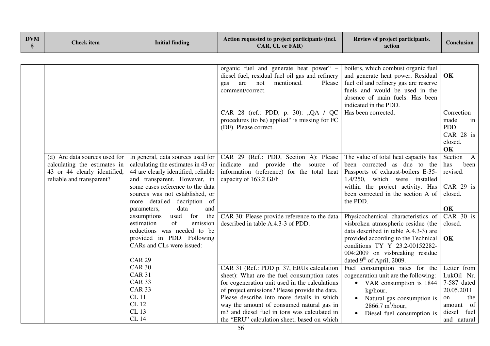| <b>DVM</b><br>§ | <b>Check</b> item                                                                                                          | <b>Initial finding</b>                                                                                                                                                             | Action requested to project participants (incl.<br>CAR, CL or FAR)                                                                                           | Review of project participants.<br>action                                                                                                                                                                       | <b>Conclusion</b>                                                 |
|-----------------|----------------------------------------------------------------------------------------------------------------------------|------------------------------------------------------------------------------------------------------------------------------------------------------------------------------------|--------------------------------------------------------------------------------------------------------------------------------------------------------------|-----------------------------------------------------------------------------------------------------------------------------------------------------------------------------------------------------------------|-------------------------------------------------------------------|
|                 |                                                                                                                            |                                                                                                                                                                                    |                                                                                                                                                              |                                                                                                                                                                                                                 |                                                                   |
|                 |                                                                                                                            |                                                                                                                                                                                    | organic fuel and generate heat power" -<br>diesel fuel, residual fuel oil gas and refinery<br>are not<br>mentioned.<br>Please<br>gas<br>comment/correct.     | boilers, which combust organic fuel<br>and generate heat power. Residual<br>fuel oil and refinery gas are reserve<br>fuels and would be used in the<br>absence of main fuels. Has been<br>indicated in the PDD. | OK                                                                |
|                 |                                                                                                                            |                                                                                                                                                                                    | CAR 28 (ref.: PDD, p. 30): "QA / QC<br>procedures (to be) applied" is missing for FC<br>(DF). Please correct.                                                | Has been corrected.                                                                                                                                                                                             | Correction<br>made<br>in<br>PDD.<br>CAR 28 is<br>closed.<br>OK    |
|                 | (d) Are data sources used for<br>calculating the estimates in<br>43 or 44 clearly identified,<br>reliable and transparent? | In general, data sources used for<br>calculating the estimates in 43 or<br>44 are clearly identified, reliable<br>and transparent. However, in<br>some cases reference to the data | CAR 29 (Ref.: PDD, Section A): Please<br>and<br>provide<br>the source of<br>indicate<br>information (reference) for the total heat<br>capacity of 163,2 GJ/h | The value of total heat capacity has<br>been corrected as due to the<br>Passports of exhaust-boilers E-35-<br>1.4/250, which were installed<br>within the project activity. Has                                 | Section<br>$\overline{A}$<br>has<br>been<br>revised.<br>CAR 29 is |
|                 |                                                                                                                            | sources was not established, or<br>more detailed decription of<br>data<br>and<br>parameters,                                                                                       |                                                                                                                                                              | been corrected in the section A of<br>the PDD.                                                                                                                                                                  | closed.<br>OK                                                     |
|                 |                                                                                                                            | assumptions<br>used<br>for<br>the<br>of<br>emission<br>estimation<br>reductions was needed to be                                                                                   | CAR 30: Please provide reference to the data<br>described in table A.4.3-3 of PDD.                                                                           | Physicochemical characteristics of<br>visbroken atmospheric residue (the<br>data described in table A.4.3-3) are                                                                                                | CAR 30 is<br>closed.                                              |
|                 |                                                                                                                            | provided in PDD. Following<br>CARs and CLs were issued:<br><b>CAR 29</b>                                                                                                           |                                                                                                                                                              | provided according to the Technical<br>conditions TY Y 23.2-00152282-<br>004:2009 on visbreaking residue<br>dated $9th$ of April, 2009.                                                                         | OK                                                                |
|                 |                                                                                                                            | <b>CAR 30</b><br><b>CAR 31</b>                                                                                                                                                     | CAR 31 (Ref.: PDD p. 37, ERUs calculation<br>sheet): What are the fuel consumption rates                                                                     | Fuel consumption rates for the<br>cogeneration unit are the following:                                                                                                                                          | Letter from<br>LukOil Nr.                                         |
|                 |                                                                                                                            | <b>CAR 33</b><br><b>CAR 33</b>                                                                                                                                                     | for cogeneration unit used in the calculations<br>of project emissions? Please provide the data.                                                             | • VAR consumption is 1844<br>kg/hour,                                                                                                                                                                           | 7-587 dated<br>20.05.2011                                         |
|                 |                                                                                                                            | <b>CL11</b><br>CL 12                                                                                                                                                               | Please describe into more details in which<br>way the amount of consumed natural gas in                                                                      | Natural gas consumption is<br>2866.7 $m^3/h$ our,                                                                                                                                                               | the<br>on<br>amount of                                            |
|                 |                                                                                                                            | CL 13<br><b>CL 14</b>                                                                                                                                                              | m3 and diesel fuel in tons was calculated in<br>the "ERU" calculation sheet, based on which                                                                  | Diesel fuel consumption is                                                                                                                                                                                      | diesel<br>fuel<br>and natural                                     |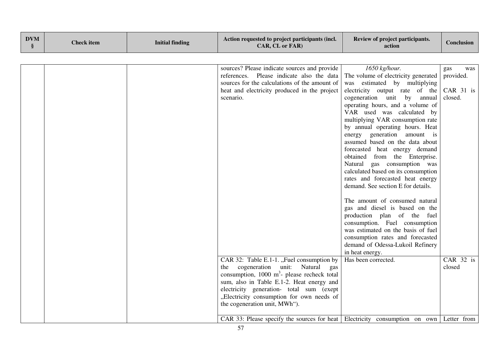| <b>DVM</b><br>§ | <b>Check item</b> | <b>Initial finding</b> | Action requested to project participants (incl.<br>CAR, CL or FAR)                                                                                                                                                                                                  | Review of project participants.<br>action                                                                                                                                                                                                                                                                                                                                                                                                                                                                                                                                                                                                                                                                                                                                                                                               | <b>Conclusion</b>                               |
|-----------------|-------------------|------------------------|---------------------------------------------------------------------------------------------------------------------------------------------------------------------------------------------------------------------------------------------------------------------|-----------------------------------------------------------------------------------------------------------------------------------------------------------------------------------------------------------------------------------------------------------------------------------------------------------------------------------------------------------------------------------------------------------------------------------------------------------------------------------------------------------------------------------------------------------------------------------------------------------------------------------------------------------------------------------------------------------------------------------------------------------------------------------------------------------------------------------------|-------------------------------------------------|
|                 |                   |                        |                                                                                                                                                                                                                                                                     |                                                                                                                                                                                                                                                                                                                                                                                                                                                                                                                                                                                                                                                                                                                                                                                                                                         |                                                 |
|                 |                   |                        | sources? Please indicate sources and provide<br>references. Please indicate also the data<br>sources for the calculations of the amount of<br>heat and electricity produced in the project<br>scenario.                                                             | 1650 kg/hour.<br>The volume of electricity generated<br>was estimated by multiplying<br>electricity output rate of the<br>cogeneration unit by<br>annual<br>operating hours, and a volume of<br>VAR used was calculated by<br>multiplying VAR consumption rate<br>by annual operating hours. Heat<br>energy generation amount is<br>assumed based on the data about<br>forecasted heat energy demand<br>obtained from the Enterprise.<br>Natural gas consumption was<br>calculated based on its consumption<br>rates and forecasted heat energy<br>demand. See section E for details.<br>The amount of consumed natural<br>gas and diesel is based on the<br>production plan of the fuel<br>consumption. Fuel consumption<br>was estimated on the basis of fuel<br>consumption rates and forecasted<br>demand of Odessa-Lukoil Refinery | gas<br>was<br>provided.<br>CAR 31 is<br>closed. |
|                 |                   |                        | CAR 32: Table E.1-1. "Fuel consumption by                                                                                                                                                                                                                           | in heat energy.<br>Has been corrected.                                                                                                                                                                                                                                                                                                                                                                                                                                                                                                                                                                                                                                                                                                                                                                                                  | CAR 32 is                                       |
|                 |                   |                        | cogeneration unit:<br>Natural<br>the<br>gas<br>consumption, 1000 $m3$ - please recheck total<br>sum, also in Table E.1-2. Heat energy and<br>electricity generation- total sum (exept<br>"Electricity consumption for own needs of<br>the cogeneration unit, MWh"). |                                                                                                                                                                                                                                                                                                                                                                                                                                                                                                                                                                                                                                                                                                                                                                                                                                         | closed                                          |
|                 |                   |                        | CAR 33: Please specify the sources for heat Electricity consumption on own Letter from                                                                                                                                                                              |                                                                                                                                                                                                                                                                                                                                                                                                                                                                                                                                                                                                                                                                                                                                                                                                                                         |                                                 |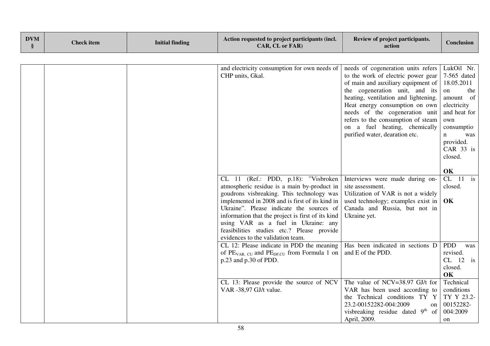| <b>DVM</b><br>§ | <b>Check</b> item | <b>Initial finding</b> | Action requested to project participants (incl.<br>CAR, CL or FAR)                                                                                                                                                                                                                                                                                                                                            | Review of project participants.<br>action                                                                                                                                                                                                                                                                                                                             | <b>Conclusion</b>                                                                                                                                                                  |
|-----------------|-------------------|------------------------|---------------------------------------------------------------------------------------------------------------------------------------------------------------------------------------------------------------------------------------------------------------------------------------------------------------------------------------------------------------------------------------------------------------|-----------------------------------------------------------------------------------------------------------------------------------------------------------------------------------------------------------------------------------------------------------------------------------------------------------------------------------------------------------------------|------------------------------------------------------------------------------------------------------------------------------------------------------------------------------------|
|                 |                   |                        | and electricity consumption for own needs of<br>CHP units, Gkal.                                                                                                                                                                                                                                                                                                                                              | needs of cogeneration units refers<br>to the work of electric power gear<br>of main and auxiliary equipment of<br>the cogeneration unit, and its<br>heating, ventilation and lightening.<br>Heat energy consumption on own<br>needs of the cogeneration unit<br>refers to the consumption of steam<br>on a fuel heating, chemically<br>purified water, dearation etc. | LukOil Nr.<br>$7-565$ dated<br>18.05.2011<br>the<br>on<br>amount of<br>electricity<br>and heat for<br>own<br>consumptio<br>$\mathbf n$<br>was<br>provided.<br>CAR 33 is<br>closed. |
|                 |                   |                        | CL 11 (Ref.: PDD, p.18): "Visbroken<br>atmospheric residue is a main by-product in<br>goudrons visbreaking. This technology was<br>implemented in 2008 and is first of its kind in<br>Ukraine". Please indicate the sources of<br>information that the project is first of its kind<br>using VAR as a fuel in Ukraine: any<br>feasibilities studies etc.? Please provide<br>evidences to the validation team. | Interviews were made during on-<br>site assessment.<br>Utilization of VAR is not a widely<br>used technology; examples exist in<br>Canada and Russia, but not in<br>Ukraine yet.                                                                                                                                                                                      | OK<br>CL<br>$11$ is<br>closed.<br>OK                                                                                                                                               |
|                 |                   |                        | CL 12: Please indicate in PDD the meaning<br>of $PEVAR, CU$ and $PEDF, CU$ from Formula 1 on<br>p.23 and p.30 of PDD.                                                                                                                                                                                                                                                                                         | Has been indicated in sections D<br>and E of the PDD.                                                                                                                                                                                                                                                                                                                 | <b>PDD</b><br>was<br>revised.<br>$CL$ 12 is<br>closed.<br>OK                                                                                                                       |
|                 |                   |                        | CL 13: Please provide the source of NCV<br>VAR -38,97 GJ/t value.                                                                                                                                                                                                                                                                                                                                             | The value of NCV=38.97 GJ/t for<br>VAR has been used according to<br>the Technical conditions TY Y<br>23.2-00152282-004:2009<br>on<br>visbreaking residue dated 9th<br>of<br>April, 2009.                                                                                                                                                                             | Technical<br>conditions<br>TY Y 23.2-<br>00152282-<br>004:2009<br>on                                                                                                               |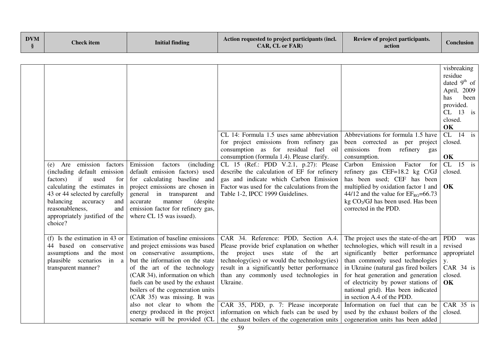| <b>DVM</b><br>§ | <b>Check</b> item                                                                                                                                                                                                                                                 | <b>Initial finding</b>                                                                                                                                                                                                                                                                                                                           | Action requested to project participants (incl.<br>CAR, CL or FAR)                                                                                                                                                                                                                                                         | Review of project participants.<br>action                                                                                                                                                                                                                                                                                                                                          | <b>Conclusion</b>                                                                                                  |
|-----------------|-------------------------------------------------------------------------------------------------------------------------------------------------------------------------------------------------------------------------------------------------------------------|--------------------------------------------------------------------------------------------------------------------------------------------------------------------------------------------------------------------------------------------------------------------------------------------------------------------------------------------------|----------------------------------------------------------------------------------------------------------------------------------------------------------------------------------------------------------------------------------------------------------------------------------------------------------------------------|------------------------------------------------------------------------------------------------------------------------------------------------------------------------------------------------------------------------------------------------------------------------------------------------------------------------------------------------------------------------------------|--------------------------------------------------------------------------------------------------------------------|
|                 |                                                                                                                                                                                                                                                                   |                                                                                                                                                                                                                                                                                                                                                  |                                                                                                                                                                                                                                                                                                                            |                                                                                                                                                                                                                                                                                                                                                                                    |                                                                                                                    |
|                 |                                                                                                                                                                                                                                                                   |                                                                                                                                                                                                                                                                                                                                                  |                                                                                                                                                                                                                                                                                                                            |                                                                                                                                                                                                                                                                                                                                                                                    | visbreaking<br>residue<br>dated $9th$ of<br>April, 2009<br>been<br>has<br>provided.<br>$CL$ 13 is<br>closed.<br>OK |
|                 |                                                                                                                                                                                                                                                                   |                                                                                                                                                                                                                                                                                                                                                  | CL 14: Formula 1.5 uses same abbreviation<br>for project emissions from refinery gas<br>consumption as for residual fuel oil<br>consumption (formula 1.4). Please clarify.                                                                                                                                                 | Abbreviations for formula 1.5 have<br>been corrected as per project<br>emissions<br>from refinery gas<br>consumption.                                                                                                                                                                                                                                                              | $CL$ 14 is<br>closed.<br>OK                                                                                        |
|                 | Are emission factors<br>(e)<br>(including default emission<br>if<br>used<br>factors)<br>for<br>calculating the estimates in<br>43 or 44 selected by carefully<br>balancing accuracy<br>and<br>reasonableness.<br>and<br>appropriately justified of the<br>choice? | Emission<br>factors<br><i>(including)</i><br>default emission factors) used<br>for calculating baseline and<br>project emissions are chosen in<br>general in transparent and<br>accurate<br>manner<br>(despite)<br>emission factor for refinery gas,<br>where CL 15 was issued).                                                                 | CL 15 (Ref.: PDD V.2.1, p.27): Please<br>describe the calculation of EF for refinery<br>gas and indicate which Carbon Emission<br>Factor was used for the calculations from the<br>Table 1-2, IPCC 1999 Guidelines.                                                                                                        | Emission<br>Carbon<br>Factor<br>for<br>refinery gas CEF=18.2 kg C/GJ<br>has been used; CEF has been<br>multiplied by oxidation factor 1 and<br>44/12 and the value for $EF_{RG} = 66.73$<br>kg $CO2/GI$ has been used. Has been<br>corrected in the PDD.                                                                                                                           | CL<br>$15$ is<br>closed.<br>OK                                                                                     |
|                 | (f) Is the estimation in 43 or<br>44 based on conservative<br>assumptions and the most<br>plausible scenarios in a<br>transparent manner?                                                                                                                         | Estimation of baseline emissions<br>and project emissions was based<br>on conservative assumptions,<br>but the information on the state<br>of the art of the technology<br>(CAR 34), information on which<br>fuels can be used by the exhaust<br>boilers of the cogeneration units<br>(CAR 35) was missing. It was<br>also not clear to whom the | CAR 34. Reference: PDD, Section A.4.<br>Please provide brief explanation on whether<br>project uses state of the art<br>the<br>technology(ies) or would the technology(ies)<br>result in a significantly better performance<br>than any commonly used technologies in<br>Ukraine.<br>CAR 35, PDD, p. 7: Please incorporate | The project uses the state-of-the-art<br>technologies, which will result in a<br>significantly better performance<br>than commonly used technologies<br>in Ukraine (natural gas fired boilers)<br>for heat generation and generation<br>of electricity by power stations of<br>national grid). Has been indicated<br>in section A.4 of the PDD.<br>Information on fuel that can be | <b>PDD</b><br>was<br>revised<br>appropriatel<br>y.<br>CAR 34 is<br>closed.<br>OK<br>CAR 35 is                      |
|                 |                                                                                                                                                                                                                                                                   | energy produced in the project<br>scenario will be provided (CL                                                                                                                                                                                                                                                                                  | information on which fuels can be used by<br>the exhaust boilers of the cogeneration units                                                                                                                                                                                                                                 | used by the exhaust boilers of the<br>cogeneration units has been added                                                                                                                                                                                                                                                                                                            | closed.                                                                                                            |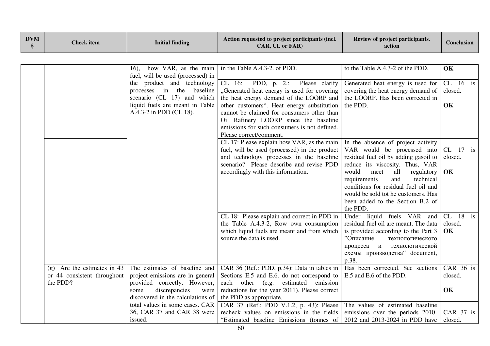| <b>DVM</b><br>§ | <b>Check</b> item                                                        | <b>Initial finding</b>                                                                                                                                                  | Action requested to project participants (incl.<br>CAR, CL or FAR)                                                                                                                                                                                                                                                                                   | Review of project participants.<br>action                                                                                                                                                                                                                                                                                                              | Conclusion                  |
|-----------------|--------------------------------------------------------------------------|-------------------------------------------------------------------------------------------------------------------------------------------------------------------------|------------------------------------------------------------------------------------------------------------------------------------------------------------------------------------------------------------------------------------------------------------------------------------------------------------------------------------------------------|--------------------------------------------------------------------------------------------------------------------------------------------------------------------------------------------------------------------------------------------------------------------------------------------------------------------------------------------------------|-----------------------------|
|                 |                                                                          |                                                                                                                                                                         |                                                                                                                                                                                                                                                                                                                                                      |                                                                                                                                                                                                                                                                                                                                                        |                             |
|                 |                                                                          | how VAR, as the main<br>16).<br>fuel, will be used (processed) in                                                                                                       | in the Table A.4.3-2. of PDD.                                                                                                                                                                                                                                                                                                                        | to the Table A.4.3-2 of the PDD.                                                                                                                                                                                                                                                                                                                       | OK                          |
|                 |                                                                          | the product and technology<br>processes in the baseline<br>scenario (CL 17) and which<br>liquid fuels are meant in Table<br>A.4.3-2 in PDD (CL 18).                     | PDD, $p. 2$ .:<br>Please clarify<br>CL 16:<br>"Generated heat energy is used for covering<br>the heat energy demand of the LOORP and<br>other customers". Heat energy substitution<br>cannot be claimed for consumers other than<br>Oil Rafinery LOORP since the baseline<br>emissions for such consumers is not defined.<br>Please correct/comment. | Generated heat energy is used for<br>covering the heat energy demand of<br>the LOORP. Has been corrected in<br>the PDD.                                                                                                                                                                                                                                | $CL$ 16 is<br>closed.<br>OK |
|                 |                                                                          |                                                                                                                                                                         | CL 17: Please explain how VAR, as the main<br>fuel, will be used (processed) in the product<br>and technology processes in the baseline<br>scenario? Please describe and revise PDD<br>accordingly with this information.                                                                                                                            | In the absence of project activity<br>VAR would be processed into<br>residual fuel oil by adding gasoil to<br>reduce its viscosity. Thus, VAR<br>would<br>meet<br>all<br>regulatory<br>technical<br>requirements<br>and<br>conditions for residual fuel oil and<br>would be sold tot he customers. Has<br>been added to the Section B.2 of<br>the PDD. | $CL$ 17 is<br>closed.<br>OK |
|                 |                                                                          |                                                                                                                                                                         | CL 18: Please explain and correct in PDD in<br>the Table A.4.3-2, Row own consumption<br>which liquid fuels are meant and from which<br>source the data is used.                                                                                                                                                                                     | Under liquid fuels VAR and<br>residual fuel oil are meant. The data<br>is provided according to the Part 3<br>"Описание<br>технологического<br>процесса и технологической<br>схемы производства" document,<br>p.38.                                                                                                                                    | $CL$ 18 is<br>closed.<br>OK |
|                 | $(g)$ Are the estimates in 43<br>or 44 consistent throughout<br>the PDD? | The estimates of baseline and<br>project emissions are in general<br>provided correctly. However,<br>discrepancies<br>some<br>were<br>discovered in the calculations of | CAR 36 (Ref.: PDD, p.34): Data in tables in<br>Sections E.5 and E.6. do not correspond to<br>each other (e.g. estimated emission<br>reductions for the year 2011). Please correct<br>the PDD as appropriate.                                                                                                                                         | Has been corrected. See sections<br>E.5 and E.6 of the PDD.                                                                                                                                                                                                                                                                                            | CAR 36 is<br>closed.<br>OK  |
|                 |                                                                          | total values in some cases. CAR<br>36, CAR 37 and CAR 38 were<br>issued.                                                                                                | CAR 37 (Ref.: PDD V.1.2, p. 43): Please<br>recheck values on emissions in the fields<br>"Estimated baseline Emissions (tonnes of                                                                                                                                                                                                                     | The values of estimated baseline<br>emissions over the periods 2010-<br>2012 and 2013-2024 in PDD have                                                                                                                                                                                                                                                 | CAR 37 is<br>closed.        |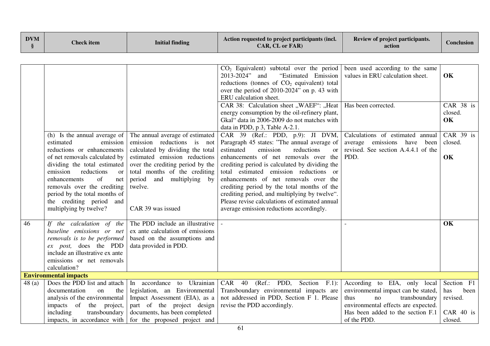| <b>DVM</b><br>§ | <b>Check</b> item                                                                                                                                                                                                                                       | <b>Initial finding</b>                                                                                                                                                | Action requested to project participants (incl.<br>CAR, CL or FAR)                                                                                                                                                                                                                                                                                                                | Review of project participants.<br>action                                                                                                 | Conclusion                            |
|-----------------|---------------------------------------------------------------------------------------------------------------------------------------------------------------------------------------------------------------------------------------------------------|-----------------------------------------------------------------------------------------------------------------------------------------------------------------------|-----------------------------------------------------------------------------------------------------------------------------------------------------------------------------------------------------------------------------------------------------------------------------------------------------------------------------------------------------------------------------------|-------------------------------------------------------------------------------------------------------------------------------------------|---------------------------------------|
|                 |                                                                                                                                                                                                                                                         |                                                                                                                                                                       |                                                                                                                                                                                                                                                                                                                                                                                   |                                                                                                                                           |                                       |
|                 |                                                                                                                                                                                                                                                         |                                                                                                                                                                       | $CO2$ Equivalent) subtotal over the period<br>"Estimated Emission<br>2013-2024" and<br>reductions (tonnes of $CO2$ equivalent) total<br>over the period of 2010-2024" on p. 43 with<br>ERU calculation sheet.                                                                                                                                                                     | been used according to the same<br>values in ERU calculation sheet.                                                                       | OK                                    |
|                 |                                                                                                                                                                                                                                                         |                                                                                                                                                                       | CAR 38: Calculation sheet "WAEF": "Heat<br>energy consumption by the oil-refinery plant,<br>Gkal" data in 2006-2009 do not matches with<br>data in PDD, p 3, Table A-2.1.                                                                                                                                                                                                         | Has been corrected.                                                                                                                       | CAR 38 is<br>closed.<br>OK            |
|                 | estimated<br>emission<br>reductions or enhancements                                                                                                                                                                                                     | (h) Is the annual average of $\vert$ The annual average of estimated<br>emission reductions is not<br>calculated by dividing the total                                | CAR 39 (Ref.: PDD, p.9): JI DVM,<br>Paragraph 45 states: "The annual average of<br>estimated<br>emission<br>reductions<br><b>or</b>                                                                                                                                                                                                                                               | Calculations of estimated annual<br>average emissions have been<br>revised. See section A.4.4.1 of the                                    | CAR 39 is<br>closed.                  |
|                 | of net removals calculated by<br>dividing the total estimated<br>emission<br>reductions<br><b>or</b><br>enhancements<br>of<br>net<br>removals over the crediting<br>period by the total months of<br>the crediting period and<br>multiplying by twelve? | estimated emission reductions<br>over the crediting period by the<br>total months of the crediting<br>period<br>and<br>multiplying by<br>twelve.<br>CAR 39 was issued | enhancements of net removals over the<br>crediting period is calculated by dividing the<br>total estimated emission reductions<br>$\alpha$<br>enhancements of net removals over the<br>crediting period by the total months of the<br>crediting period, and multiplying by twelve".<br>Please revise calculations of estimated annual<br>average emission reductions accordingly. | PDD.                                                                                                                                      | OK                                    |
| 46              | If the calculation of the<br>baseline emissions or net<br>removals is to be performed<br>ex post, does the PDD<br>include an illustrative ex ante<br>emissions or net removals<br>calculation?                                                          | The PDD include an illustrative<br>ex ante calculation of emissions<br>based on the assumptions and<br>data provided in PDD.                                          |                                                                                                                                                                                                                                                                                                                                                                                   |                                                                                                                                           | OK                                    |
|                 | <b>Environmental impacts</b>                                                                                                                                                                                                                            |                                                                                                                                                                       |                                                                                                                                                                                                                                                                                                                                                                                   |                                                                                                                                           |                                       |
| 48(a)           | Does the PDD list and attach<br>documentation<br>on<br>the<br>analysis of the environmental<br>impacts of the<br>project,                                                                                                                               | accordance to Ukrainian<br>In<br>legislation, an Environmental<br>Impact Assessment (EIA), as a<br>part of the project design                                         | 40<br>(Ref.: PDD, Section F.1):<br>CAR<br>Transboundary environmental impacts are<br>not addressed in PDD, Section F 1. Please<br>revise the PDD accordingly.                                                                                                                                                                                                                     | According to EIA, only local<br>environmental impact can be stated,<br>transboundary<br>thus<br>no<br>environmental effects are expected. | Section F1<br>has<br>been<br>revised. |
|                 | including<br>transboundary                                                                                                                                                                                                                              | documents, has been completed<br>impacts, in accordance with for the proposed project and                                                                             |                                                                                                                                                                                                                                                                                                                                                                                   | Has been added to the section F.1<br>of the PDD.                                                                                          | CAR 40 is<br>closed.                  |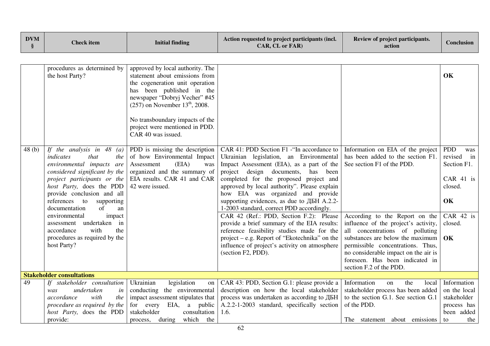| <b>DVM</b><br>§ | <b>Check</b> item                                                                                                                                                                                                                                                          | <b>Initial finding</b>                                                                                                                                                                                                                                 | Action requested to project participants (incl.<br>CAR, CL or FAR)                                                                                                                                                                                                                                                                                                                                   | Review of project participants.<br>action                                                                                                                                                                                                                                                | <b>Conclusion</b>                                                                    |
|-----------------|----------------------------------------------------------------------------------------------------------------------------------------------------------------------------------------------------------------------------------------------------------------------------|--------------------------------------------------------------------------------------------------------------------------------------------------------------------------------------------------------------------------------------------------------|------------------------------------------------------------------------------------------------------------------------------------------------------------------------------------------------------------------------------------------------------------------------------------------------------------------------------------------------------------------------------------------------------|------------------------------------------------------------------------------------------------------------------------------------------------------------------------------------------------------------------------------------------------------------------------------------------|--------------------------------------------------------------------------------------|
|                 | procedures as determined by<br>the host Party?                                                                                                                                                                                                                             | approved by local authority. The<br>statement about emissions from<br>the cogeneration unit operation<br>has been published in the<br>newspaper "Dobryj Vecher" #45<br>$(257)$ on November 13 <sup>th</sup> , 2008.<br>No transboundary impacts of the |                                                                                                                                                                                                                                                                                                                                                                                                      |                                                                                                                                                                                                                                                                                          | OK                                                                                   |
|                 |                                                                                                                                                                                                                                                                            | project were mentioned in PDD.<br>CAR 40 was issued.                                                                                                                                                                                                   |                                                                                                                                                                                                                                                                                                                                                                                                      |                                                                                                                                                                                                                                                                                          |                                                                                      |
| 48(b)           | If the analysis in $48$ (a)<br>that<br>indicates<br>the<br>environmental impacts are<br>considered significant by the<br>project participants or the<br>host Party, does the PDD<br>provide conclusion and all<br>references to<br>supporting<br>documentation<br>of<br>an | PDD is missing the description<br>of how Environmental Impact<br>Assessment<br>(EIA)<br>was<br>organized and the summary of<br>EIA results. CAR 41 and CAR<br>42 were issued.                                                                          | CAR 41: PDD Section F1 - Tn accordance to<br>Ukrainian legislation, an Environmental<br>Impact Assessment (EIA), as a part of the<br>project design documents, has<br>been<br>completed for the proposed project and<br>approved by local authority". Please explain<br>how EIA was organized and provide<br>supporting evidences, as due to ДБН А.2.2-<br>1-2003 standard, correct PDD accordingly. | Information on EIA of the project<br>has been added to the section F1.<br>See section F1 of the PDD.                                                                                                                                                                                     | <b>PDD</b><br>was<br>revised in<br>Section F1.<br>CAR 41 is<br>closed.<br>OK         |
|                 | environmental<br>impact<br>undertaken in<br>assessment<br>accordance<br>with<br>the<br>procedures as required by the<br>host Party?                                                                                                                                        |                                                                                                                                                                                                                                                        | CAR 42 (Ref.: PDD, Section F.2): Please<br>provide a brief summary of the EIA results:<br>reference feasibility studies made for the<br>$project - e.g.$ Report of "Ekotechnika" on the<br>influence of project's activity on atmosphere<br>(section F2, PDD).                                                                                                                                       | According to the Report on the<br>influence of the project's activity,<br>all concentrations of polluting<br>substances are below the maximum<br>permissible concentrations. Thus,<br>no considerable impact on the air is<br>foreseen. Has been indicated in<br>section F.2 of the PDD. | CAR 42 is<br>closed.<br>OK                                                           |
|                 | <b>Stakeholder consultations</b>                                                                                                                                                                                                                                           |                                                                                                                                                                                                                                                        |                                                                                                                                                                                                                                                                                                                                                                                                      |                                                                                                                                                                                                                                                                                          |                                                                                      |
| 49              | If stakeholder consultation<br>undertaken<br>in<br>was<br>accordance<br>with<br>the<br>procedure as required by the<br>host Party, does the PDD<br>provide:                                                                                                                | Ukrainian<br>legislation<br>on<br>conducting the environmental<br>impact assessment stipulates that<br>for every EIA, a public<br>stakeholder<br>consultation<br>process, during which the                                                             | CAR 43: PDD, Section G.1: please provide a<br>description on how the local stakeholder<br>process was undertaken as according to ДБН<br>A.2.2-1-2003 standard, specifically section<br>1.6.                                                                                                                                                                                                          | Information<br>the<br>on<br>local<br>stakeholder process has been added<br>to the section G.1. See section G.1<br>of the PDD.<br>The statement about emissions                                                                                                                           | Information<br>on the local<br>stakeholder<br>process has<br>been added<br>the<br>to |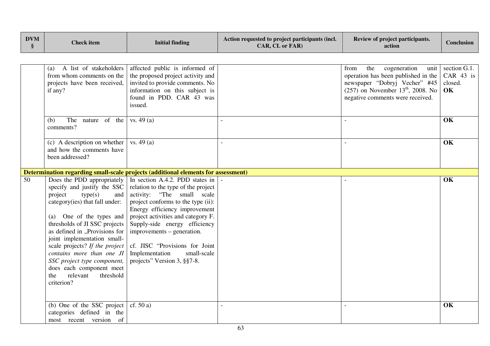| <b>DVM</b><br>§ | <b>Check</b> item                                                                                                                                                                                                                                                                                                                                                                                                                | <b>Initial finding</b>                                                                                                                                                                                                                                                                                                                                                             | Action requested to project participants (incl.<br>CAR, CL or FAR) | Review of project participants.<br>action                                                                                                                                                          | <b>Conclusion</b>                            |
|-----------------|----------------------------------------------------------------------------------------------------------------------------------------------------------------------------------------------------------------------------------------------------------------------------------------------------------------------------------------------------------------------------------------------------------------------------------|------------------------------------------------------------------------------------------------------------------------------------------------------------------------------------------------------------------------------------------------------------------------------------------------------------------------------------------------------------------------------------|--------------------------------------------------------------------|----------------------------------------------------------------------------------------------------------------------------------------------------------------------------------------------------|----------------------------------------------|
|                 |                                                                                                                                                                                                                                                                                                                                                                                                                                  |                                                                                                                                                                                                                                                                                                                                                                                    |                                                                    |                                                                                                                                                                                                    |                                              |
|                 | A list of stakeholders<br>(a)<br>from whom comments on the<br>projects have been received,<br>if any?                                                                                                                                                                                                                                                                                                                            | affected public is informed of<br>the proposed project activity and<br>invited to provide comments. No<br>information on this subject is<br>found in PDD. CAR 43 was<br>issued.                                                                                                                                                                                                    |                                                                    | the<br>cogeneration<br>from<br>unit<br>operation has been published in the<br>newspaper "Dobryj Vecher" #45<br>$(257)$ on November 13 <sup>th</sup> , 2008. No<br>negative comments were received. | section G.1.<br>CAR $43$ is<br>closed.<br>OK |
|                 | The nature of the<br>(b)<br>comments?                                                                                                                                                                                                                                                                                                                                                                                            | vs. 49(a)                                                                                                                                                                                                                                                                                                                                                                          |                                                                    |                                                                                                                                                                                                    | OK                                           |
|                 | (c) A description on whether<br>and how the comments have<br>been addressed?                                                                                                                                                                                                                                                                                                                                                     | vs. 49(a)                                                                                                                                                                                                                                                                                                                                                                          |                                                                    |                                                                                                                                                                                                    | OK                                           |
|                 |                                                                                                                                                                                                                                                                                                                                                                                                                                  | Determination regarding small-scale projects (additional elements for assessment)                                                                                                                                                                                                                                                                                                  |                                                                    |                                                                                                                                                                                                    |                                              |
| 50              | Does the PDD appropriately<br>specify and justify the SSC<br>type(s)<br>project<br>and<br>category(ies) that fall under:<br>One of the types and<br>(a)<br>thresholds of JI SSC projects<br>as defined in "Provisions for<br>joint implementation small-<br>scale projects? If the project<br>contains more than one JI<br>SSC project type component,<br>does each component meet<br>relevant<br>threshold<br>the<br>criterion? | In section A.4.2. PDD states in<br>relation to the type of the project<br>activity: "The small scale<br>project conforms to the type (ii):<br>Energy efficiency improvement<br>project activities and category F.<br>Supply-side energy efficiency<br>improvements – generation.<br>cf. JISC "Provisions for Joint<br>Implementation<br>small-scale<br>projects" Version 3, §§7-8. |                                                                    |                                                                                                                                                                                                    | OK                                           |
|                 | (b) One of the SSC project                                                                                                                                                                                                                                                                                                                                                                                                       | cf. $50a$                                                                                                                                                                                                                                                                                                                                                                          |                                                                    |                                                                                                                                                                                                    | OK                                           |
|                 | categories defined in the<br>most recent version<br>of                                                                                                                                                                                                                                                                                                                                                                           |                                                                                                                                                                                                                                                                                                                                                                                    |                                                                    |                                                                                                                                                                                                    |                                              |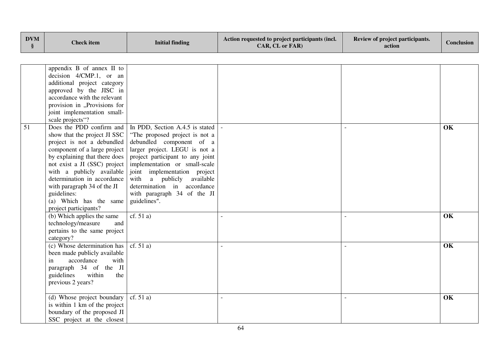| <b>DVM</b><br>$\S$ | <b>Check</b> item                                                                                                                                                                                                                                                                                                                                    | <b>Initial finding</b>                                                                                                                                                                                                                                                                                                                         | Action requested to project participants (incl.<br>CAR, CL or FAR) | Review of project participants.<br>action | <b>Conclusion</b> |
|--------------------|------------------------------------------------------------------------------------------------------------------------------------------------------------------------------------------------------------------------------------------------------------------------------------------------------------------------------------------------------|------------------------------------------------------------------------------------------------------------------------------------------------------------------------------------------------------------------------------------------------------------------------------------------------------------------------------------------------|--------------------------------------------------------------------|-------------------------------------------|-------------------|
|                    |                                                                                                                                                                                                                                                                                                                                                      |                                                                                                                                                                                                                                                                                                                                                |                                                                    |                                           |                   |
|                    | appendix $B$ of annex $\overline{II}$ to<br>decision 4/CMP.1, or an<br>additional project category<br>approved by the JISC in<br>accordance with the relevant<br>provision in "Provisions for<br>joint implementation small-<br>scale projects"?                                                                                                     |                                                                                                                                                                                                                                                                                                                                                |                                                                    |                                           |                   |
| 51                 | Does the PDD confirm and<br>show that the project JI SSC<br>project is not a debundled<br>component of a large project<br>by explaining that there does<br>not exist a JI (SSC) project<br>with a publicly available<br>determination in accordance<br>with paragraph 34 of the JI<br>guidelines:<br>(a) Which has the same<br>project participants? | In PDD, Section A.4.5 is stated<br>"The proposed project is not a<br>debundled component of a<br>larger project. LEGU is not a<br>project participant to any joint<br>implementation or small-scale<br>joint implementation project<br>with a publicly available<br>determination in accordance<br>with paragraph 34 of the JI<br>guidelines". |                                                                    |                                           | OK                |
|                    | (b) Which applies the same<br>technology/measure<br>and<br>pertains to the same project<br>category?                                                                                                                                                                                                                                                 | cf. 51 a)                                                                                                                                                                                                                                                                                                                                      |                                                                    |                                           | OK                |
|                    | (c) Whose determination has<br>been made publicly available<br>accordance<br>with<br>in<br>paragraph 34 of the JI<br>guidelines<br>within<br>the<br>previous 2 years?                                                                                                                                                                                | cf. 51 a)                                                                                                                                                                                                                                                                                                                                      |                                                                    |                                           | OK                |
|                    | (d) Whose project boundary<br>is within 1 km of the project<br>boundary of the proposed JI<br>SSC project at the closest                                                                                                                                                                                                                             | cf. 51 a)                                                                                                                                                                                                                                                                                                                                      |                                                                    |                                           | OK                |